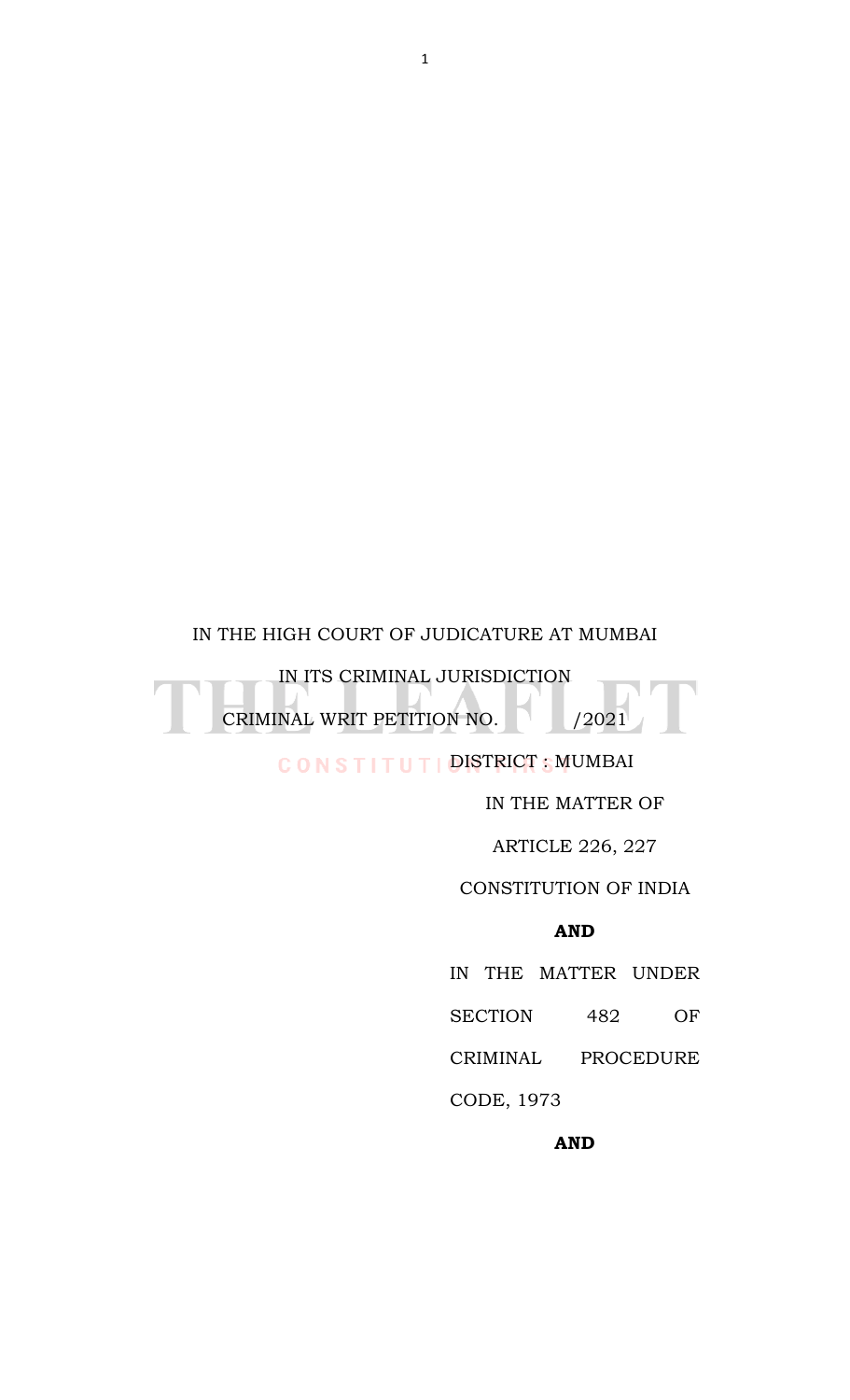# IN THE HIGH COURT OF JUDICATURE AT MUMBAI

IN ITS CRIMINAL JURISDICTION CRIMINAL WRIT PETITION NO. 2021

# CONSTITUTIONSTRICT SMUMBAI

IN THE MATTER OF

ARTICLE 226, 227

#### CONSTITUTION OF INDIA

# **AND**

IN THE MATTER UNDER SECTION 482 OF

CRIMINAL PROCEDURE

CODE, 1973

#### **AND**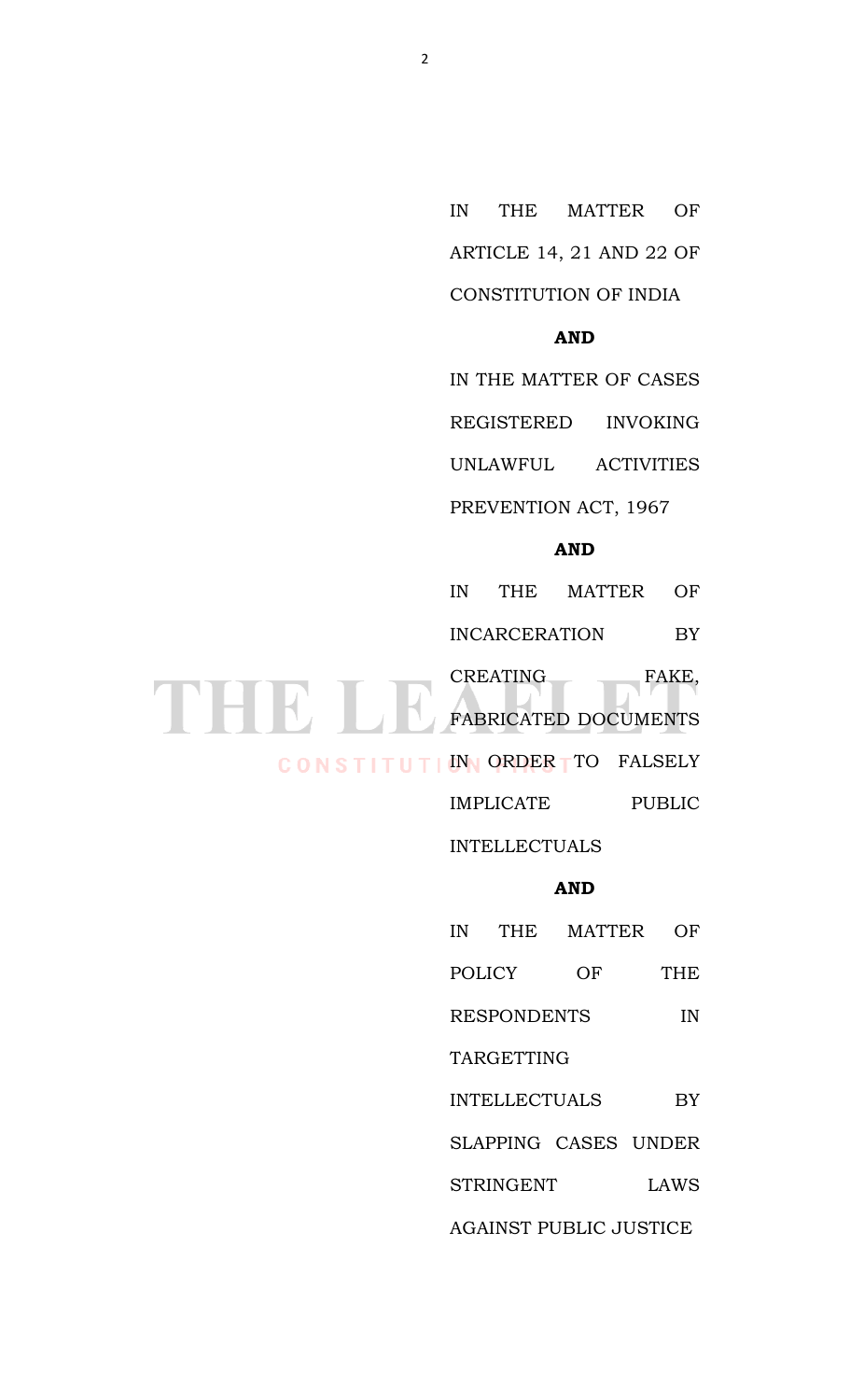IN THE MATTER OF ARTICLE 14, 21 AND 22 OF CONSTITUTION OF INDIA

## **AND**

IN THE MATTER OF CASES

REGISTERED INVOKING

UNLAWFUL ACTIVITIES

PREVENTION ACT, 1967

# **AND**

IN THE MATTER OF INCARCERATION BY

CREATING FAKE, EXEATING FAKE,

CONSTITUTION ORDER TTO FALSELY

IMPLICATE PUBLIC

INTELLECTUALS

# **AND**

| ΙN                            | <b>THE</b>           | <b>MATTER</b>        | ( ) H'     |  |  |
|-------------------------------|----------------------|----------------------|------------|--|--|
| <b>POLICY</b>                 |                      | OF                   | <b>THE</b> |  |  |
| <b>RESPONDENTS</b>            | ΙN                   |                      |            |  |  |
| TARGETTING                    |                      |                      |            |  |  |
|                               | <b>INTELLECTUALS</b> |                      | BY         |  |  |
|                               |                      | SLAPPING CASES UNDER |            |  |  |
|                               | <b>STRINGENT</b>     |                      | LAWS       |  |  |
| <b>AGAINST PUBLIC JUSTICE</b> |                      |                      |            |  |  |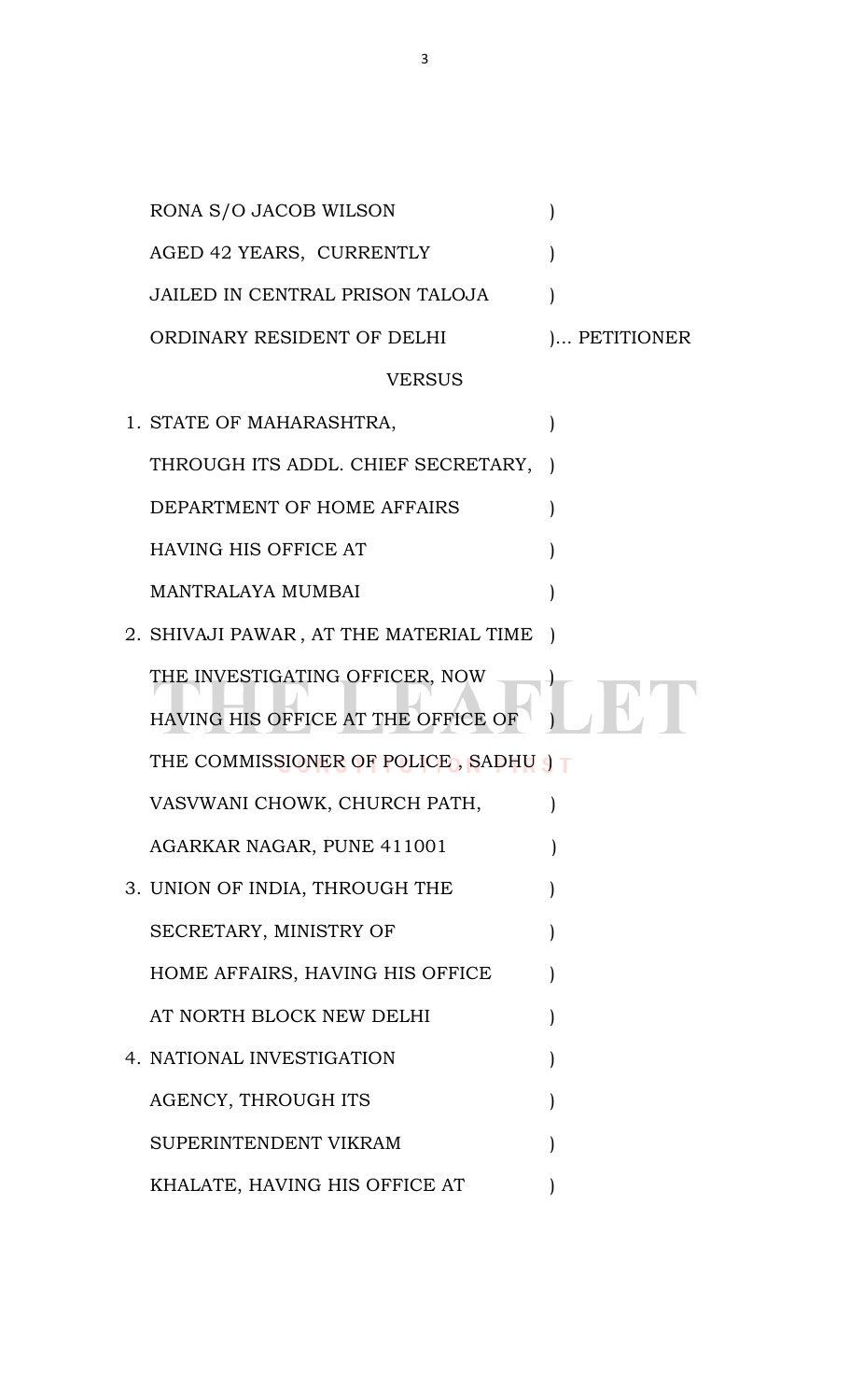| RONA S/O JACOB WILSON                   |              |
|-----------------------------------------|--------------|
| AGED 42 YEARS, CURRENTLY                |              |
| <b>JAILED IN CENTRAL PRISON TALOJA</b>  |              |
| ORDINARY RESIDENT OF DELHI              | ) PETITIONER |
| VERSUS                                  |              |
| 1. STATE OF MAHARASHTRA,                |              |
| THROUGH ITS ADDL. CHIEF SECRETARY, )    |              |
| DEPARTMENT OF HOME AFFAIRS              |              |
| <b>HAVING HIS OFFICE AT</b>             |              |
| <b>MANTRALAYA MUMBAI</b>                |              |
| 2. SHIVAJI PAWAR , AT THE MATERIAL TIME |              |
| THE INVESTIGATING OFFICER, NOW          |              |
| HAVING HIS OFFICE AT THE OFFICE OF      |              |
| THE COMMISSIONER OF POLICE, SADHU J     |              |
| VASVWANI CHOWK, CHURCH PATH,            |              |
| AGARKAR NAGAR, PUNE 411001              |              |
| 3. UNION OF INDIA, THROUGH THE          |              |
| SECRETARY, MINISTRY OF                  |              |
| HOME AFFAIRS, HAVING HIS OFFICE         |              |
| AT NORTH BLOCK NEW DELHI                |              |
| 4. NATIONAL INVESTIGATION               |              |
| AGENCY, THROUGH ITS                     |              |
| SUPERINTENDENT VIKRAM                   |              |
| KHALATE, HAVING HIS OFFICE AT           |              |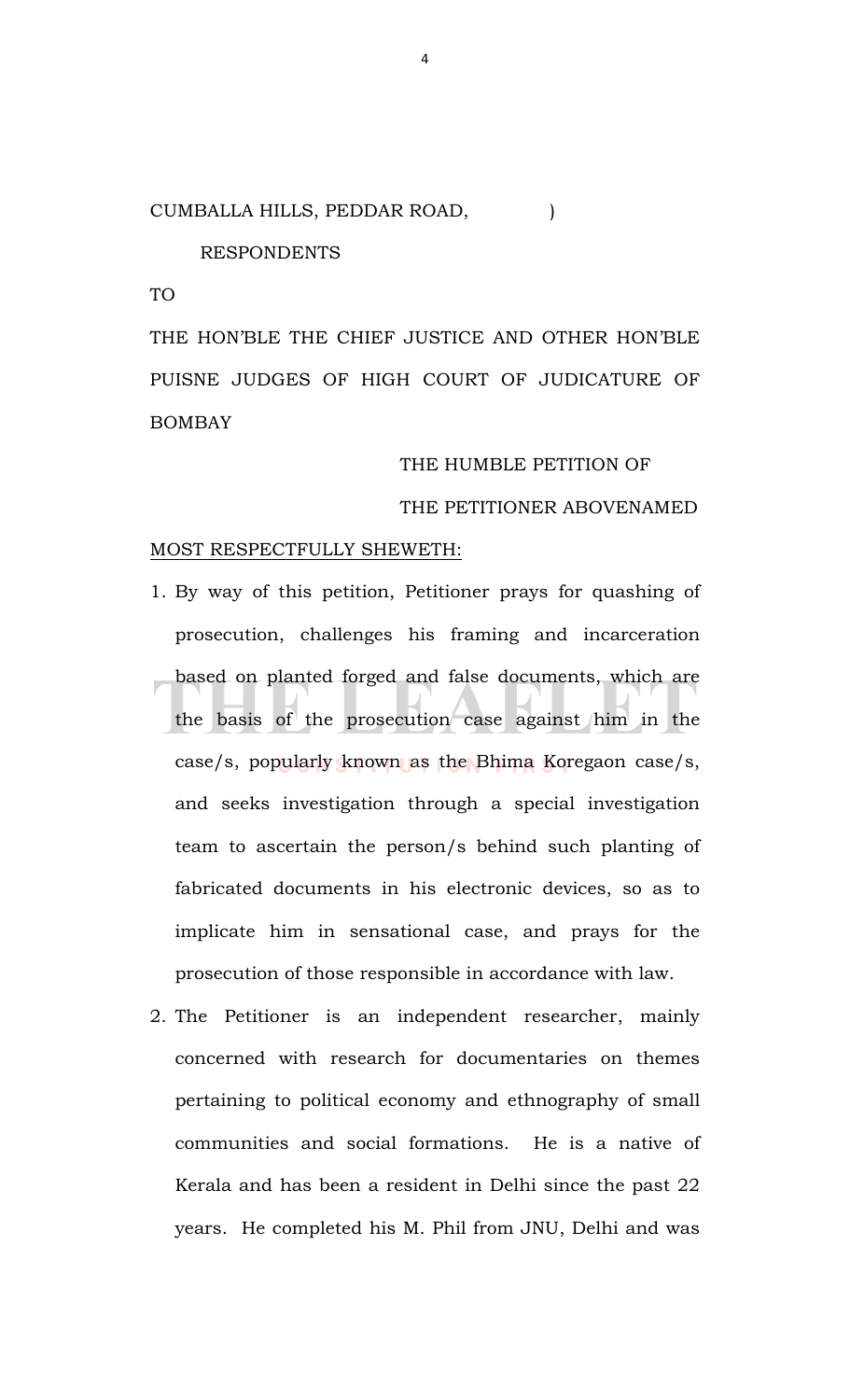#### CUMBALLA HILLS, PEDDAR ROAD,  $|$

RESPONDENTS

TO

THE HON'BLE THE CHIEF JUSTICE AND OTHER HON'BLE PUISNE JUDGES OF HIGH COURT OF JUDICATURE OF BOMBAY

#### THE HUMBLE PETITION OF

## THE PETITIONER ABOVENAMED

#### MOST RESPECTFULLY SHEWETH:

- 1. By way of this petition, Petitioner prays for quashing of prosecution, challenges his framing and incarceration based on planted forged and false documents, which are the basis of the prosecution case against him in the case/s, popularly known as the Bhima Koregaon case/s, and seeks investigation through a special investigation team to ascertain the person/s behind such planting of fabricated documents in his electronic devices, so as to implicate him in sensational case, and prays for the prosecution of those responsible in accordance with law.
- 2. The Petitioner is an independent researcher, mainly concerned with research for documentaries on themes pertaining to political economy and ethnography of small communities and social formations. He is a native of Kerala and has been a resident in Delhi since the past 22 years. He completed his M. Phil from JNU, Delhi and was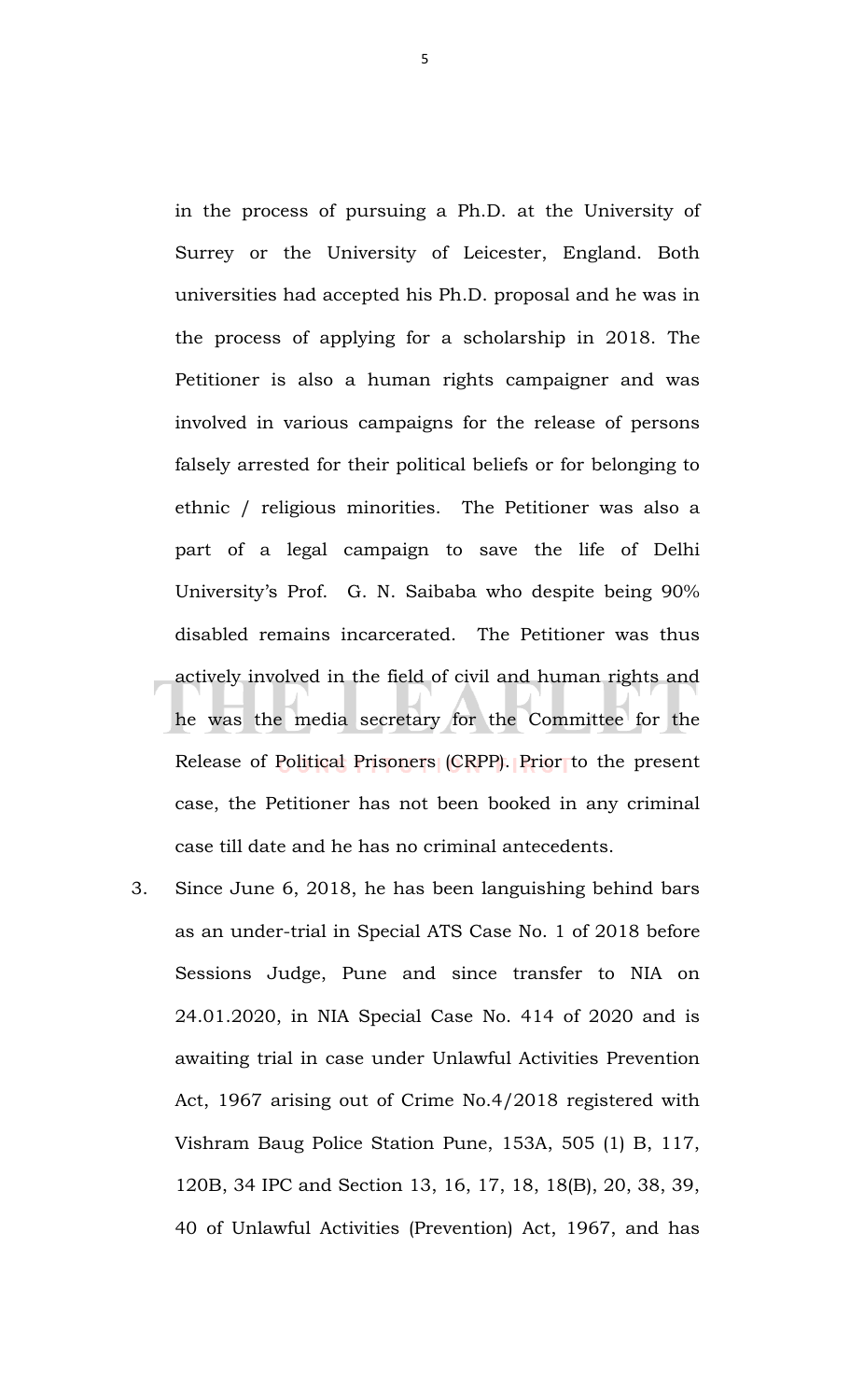in the process of pursuing a Ph.D. at the University of Surrey or the University of Leicester, England. Both universities had accepted his Ph.D. proposal and he was in the process of applying for a scholarship in 2018. The Petitioner is also a human rights campaigner and was involved in various campaigns for the release of persons falsely arrested for their political beliefs or for belonging to ethnic / religious minorities. The Petitioner was also a part of a legal campaign to save the life of Delhi University's Prof. G. N. Saibaba who despite being 90% disabled remains incarcerated. The Petitioner was thus actively involved in the field of civil and human rights and he was the media secretary for the Committee for the Release of Political Prisoners (CRPP). Prior to the present case, the Petitioner has not been booked in any criminal case till date and he has no criminal antecedents.

3. Since June 6, 2018, he has been languishing behind bars as an under-trial in Special ATS Case No. 1 of 2018 before Sessions Judge, Pune and since transfer to NIA on 24.01.2020, in NIA Special Case No. 414 of 2020 and is awaiting trial in case under Unlawful Activities Prevention Act, 1967 arising out of Crime No.4/2018 registered with Vishram Baug Police Station Pune, 153A, 505 (1) B, 117, 120B, 34 IPC and Section 13, 16, 17, 18, 18(B), 20, 38, 39, 40 of Unlawful Activities (Prevention) Act, 1967, and has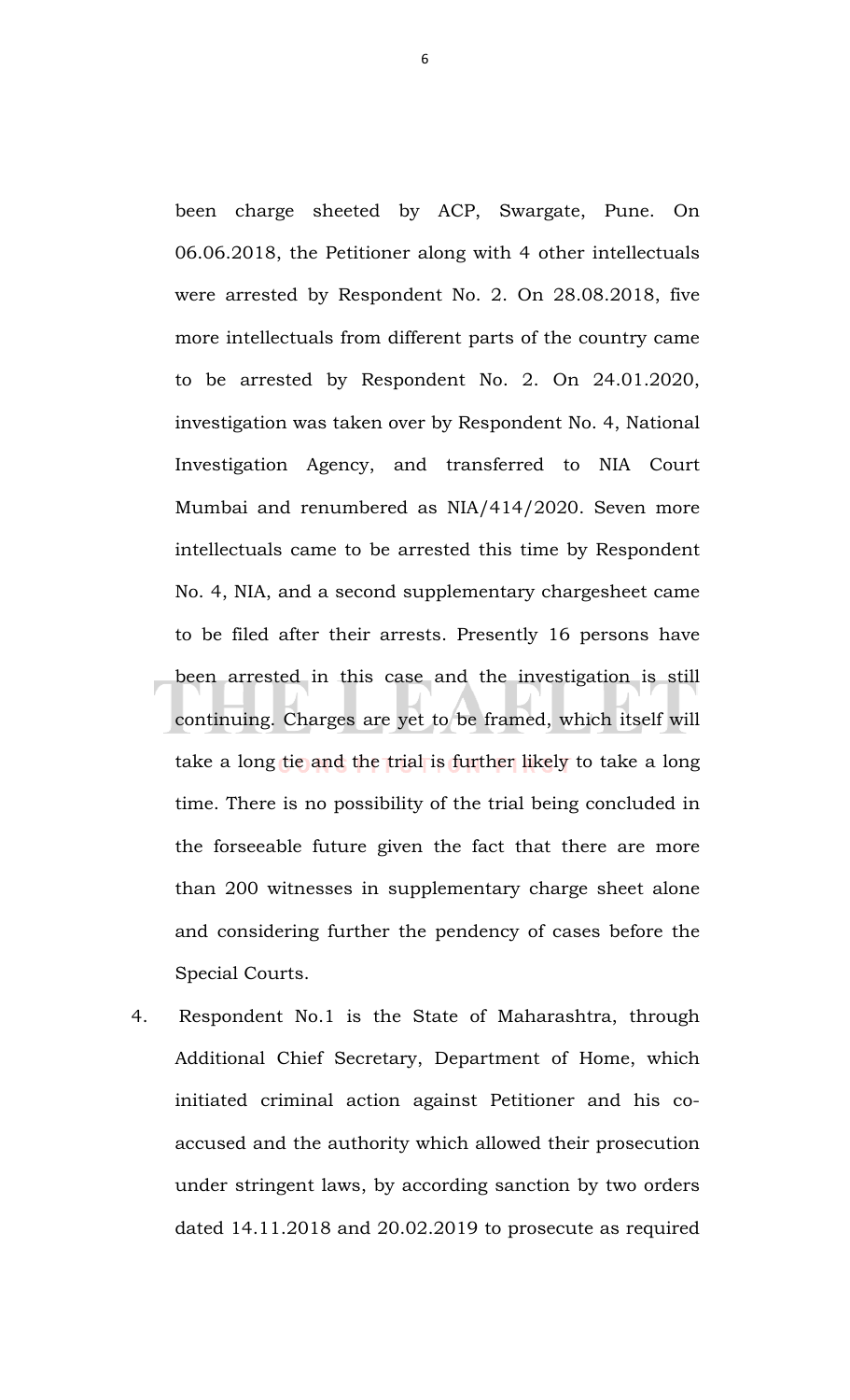been charge sheeted by ACP, Swargate, Pune. On 06.06.2018, the Petitioner along with 4 other intellectuals were arrested by Respondent No. 2. On 28.08.2018, five more intellectuals from different parts of the country came to be arrested by Respondent No. 2. On 24.01.2020, investigation was taken over by Respondent No. 4, National Investigation Agency, and transferred to NIA Court Mumbai and renumbered as NIA/414/2020. Seven more intellectuals came to be arrested this time by Respondent No. 4, NIA, and a second supplementary chargesheet came to be filed after their arrests. Presently 16 persons have been arrested in this case and the investigation is still continuing. Charges are yet to be framed, which itself will take a long tie and the trial is further likely to take a long time. There is no possibility of the trial being concluded in the forseeable future given the fact that there are more than 200 witnesses in supplementary charge sheet alone and considering further the pendency of cases before the Special Courts.

4. Respondent No.1 is the State of Maharashtra, through Additional Chief Secretary, Department of Home, which initiated criminal action against Petitioner and his coaccused and the authority which allowed their prosecution under stringent laws, by according sanction by two orders dated 14.11.2018 and 20.02.2019 to prosecute as required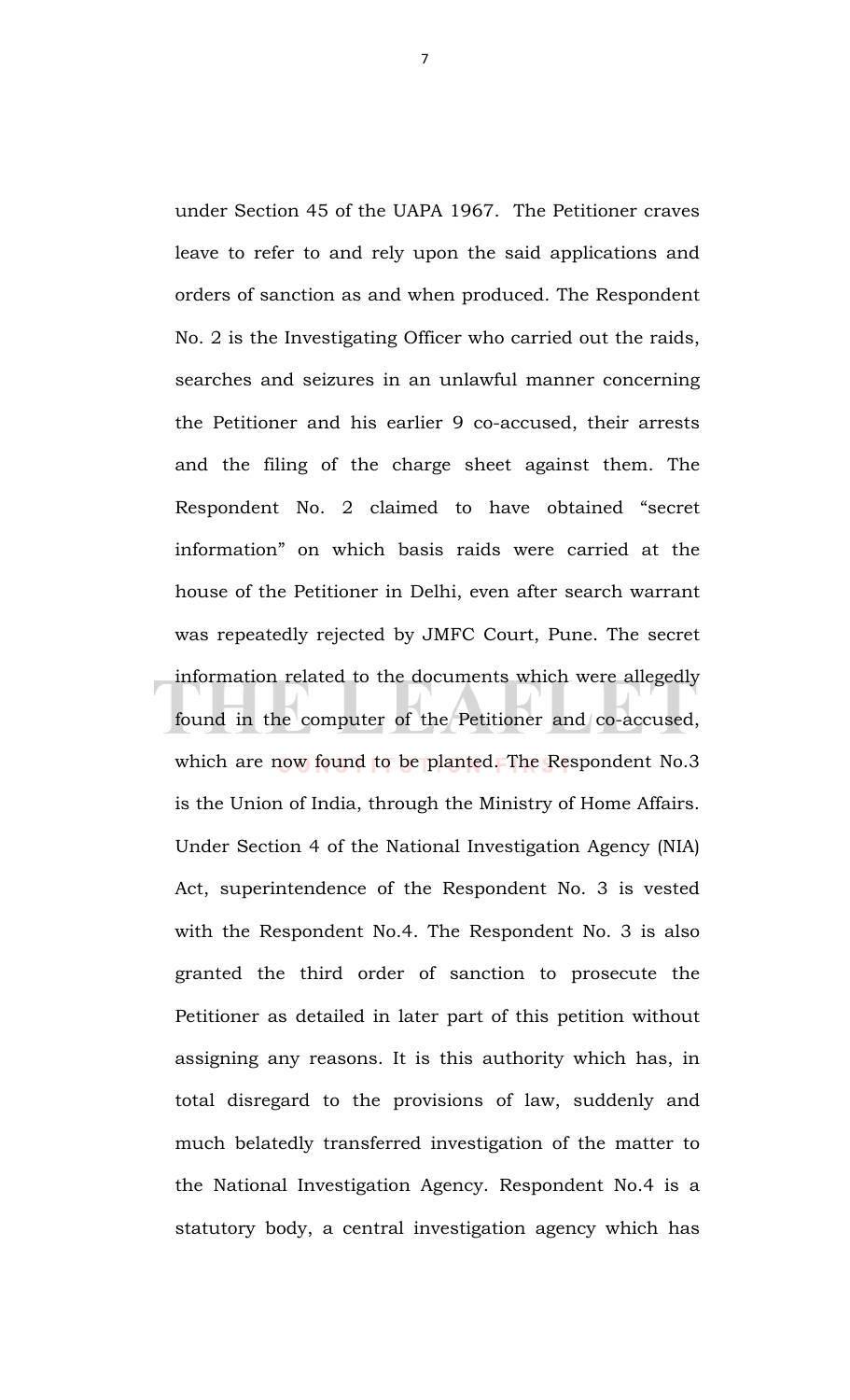under Section 45 of the UAPA 1967. The Petitioner craves leave to refer to and rely upon the said applications and orders of sanction as and when produced. The Respondent No. 2 is the Investigating Officer who carried out the raids, searches and seizures in an unlawful manner concerning the Petitioner and his earlier 9 co-accused, their arrests and the filing of the charge sheet against them. The Respondent No. 2 claimed to have obtained "secret information" on which basis raids were carried at the house of the Petitioner in Delhi, even after search warrant was repeatedly rejected by JMFC Court, Pune. The secret information related to the documents which were allegedly found in the computer of the Petitioner and co-accused, which are now found to be planted. The Respondent No.3 is the Union of India, through the Ministry of Home Affairs. Under Section 4 of the National Investigation Agency (NIA) Act, superintendence of the Respondent No. 3 is vested with the Respondent No.4. The Respondent No. 3 is also granted the third order of sanction to prosecute the Petitioner as detailed in later part of this petition without assigning any reasons. It is this authority which has, in total disregard to the provisions of law, suddenly and much belatedly transferred investigation of the matter to the National Investigation Agency. Respondent No.4 is a statutory body, a central investigation agency which has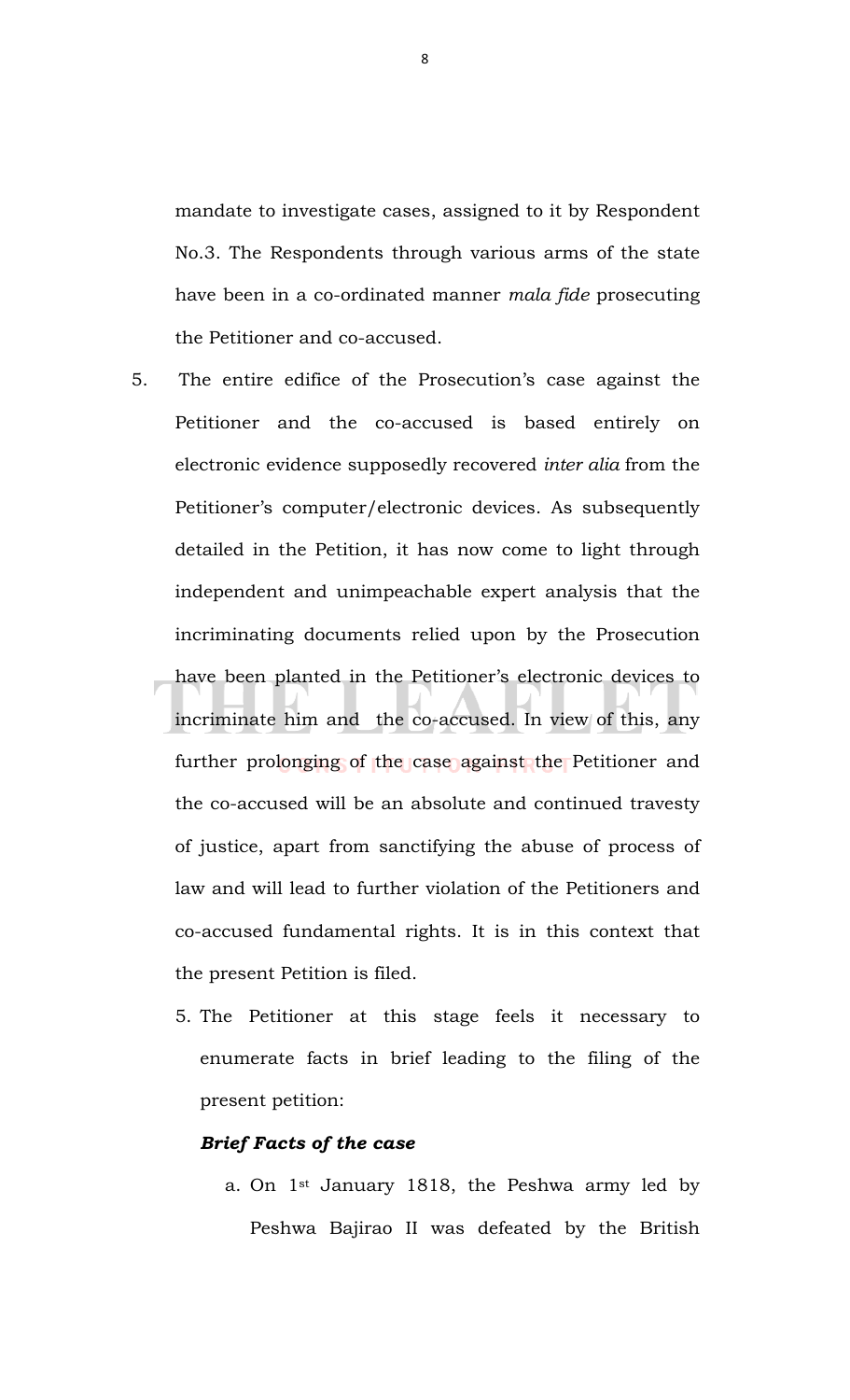mandate to investigate cases, assigned to it by Respondent No.3. The Respondents through various arms of the state have been in a co-ordinated manner *mala fide* prosecuting the Petitioner and co-accused.

- 5. The entire edifice of the Prosecution's case against the Petitioner and the co-accused is based entirely on electronic evidence supposedly recovered *inter alia* from the Petitioner's computer/electronic devices. As subsequently detailed in the Petition, it has now come to light through independent and unimpeachable expert analysis that the incriminating documents relied upon by the Prosecution have been planted in the Petitioner's electronic devices to incriminate him and the co-accused. In view of this, any further prolonging of the case against the Petitioner and the co-accused will be an absolute and continued travesty of justice, apart from sanctifying the abuse of process of law and will lead to further violation of the Petitioners and co-accused fundamental rights. It is in this context that the present Petition is filed.
	- 5. The Petitioner at this stage feels it necessary to enumerate facts in brief leading to the filing of the present petition:

#### *Brief Facts of the case*

a. On 1st January 1818, the Peshwa army led by Peshwa Bajirao II was defeated by the British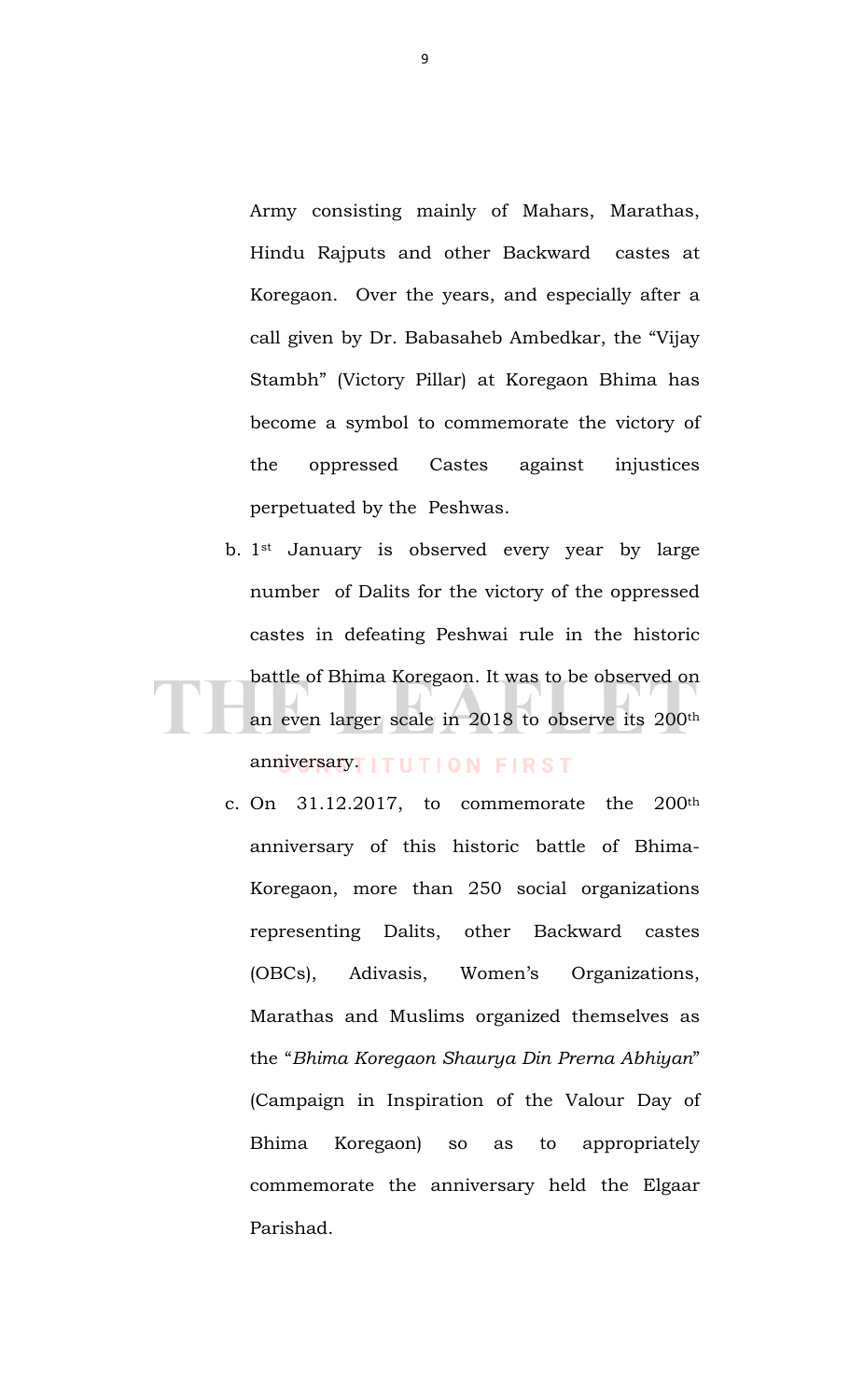Army consisting mainly of Mahars, Marathas, Hindu Rajputs and other Backward castes at Koregaon. Over the years, and especially after a call given by Dr. Babasaheb Ambedkar, the "Vijay Stambh" (Victory Pillar) at Koregaon Bhima has become a symbol to commemorate the victory of the oppressed Castes against injustices perpetuated by the Peshwas.

- b. 1st January is observed every year by large number of Dalits for the victory of the oppressed castes in defeating Peshwai rule in the historic battle of Bhima Koregaon. It was to be observed on an even larger scale in 2018 to observe its 200th anniversary<sup>T</sup>ITUTION FIRST
	- c. On 31.12.2017, to commemorate the 200th anniversary of this historic battle of Bhima-Koregaon, more than 250 social organizations representing Dalits, other Backward castes (OBCs), Adivasis, Women's Organizations, Marathas and Muslims organized themselves as the "*Bhima Koregaon Shaurya Din Prerna Abhiyan*" (Campaign in Inspiration of the Valour Day of Bhima Koregaon) so as to appropriately commemorate the anniversary held the Elgaar Parishad.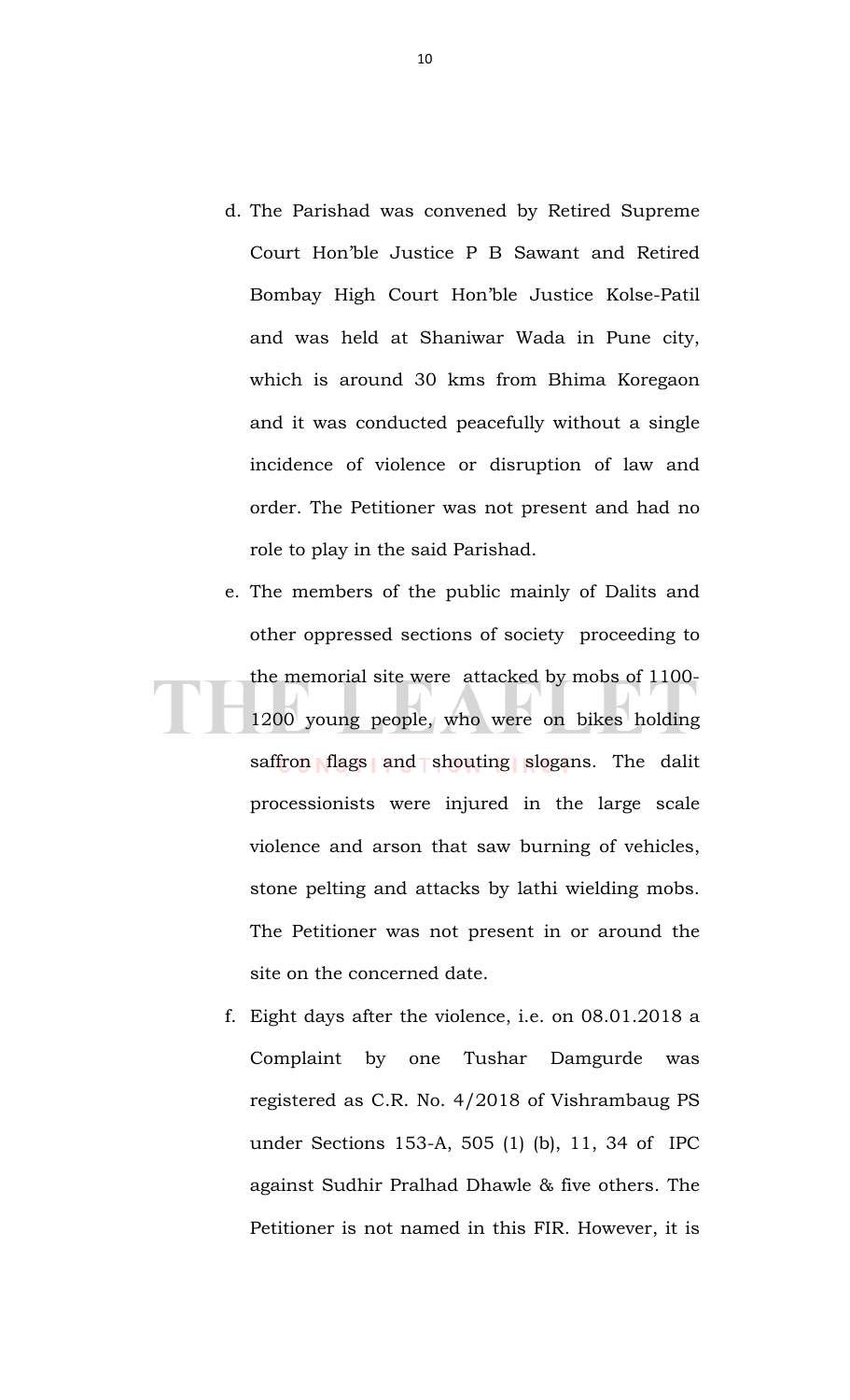- d. The Parishad was convened by Retired Supreme Court Hon'ble Justice P B Sawant and Retired Bombay High Court Hon'ble Justice Kolse-Patil and was held at Shaniwar Wada in Pune city, which is around 30 kms from Bhima Koregaon and it was conducted peacefully without a single incidence of violence or disruption of law and order. The Petitioner was not present and had no role to play in the said Parishad.
- e. The members of the public mainly of Dalits and other oppressed sections of society proceeding to the memorial site were attacked by mobs of 1100- 1200 young people, who were on bikes holding saffron flags and shouting slogans. The dalit processionists were injured in the large scale violence and arson that saw burning of vehicles, stone pelting and attacks by lathi wielding mobs. The Petitioner was not present in or around the site on the concerned date.
	- f. Eight days after the violence, i.e. on 08.01.2018 a Complaint by one Tushar Damgurde was registered as C.R. No. 4/2018 of Vishrambaug PS under Sections 153-A, 505 (1) (b), 11, 34 of IPC against Sudhir Pralhad Dhawle & five others. The Petitioner is not named in this FIR. However, it is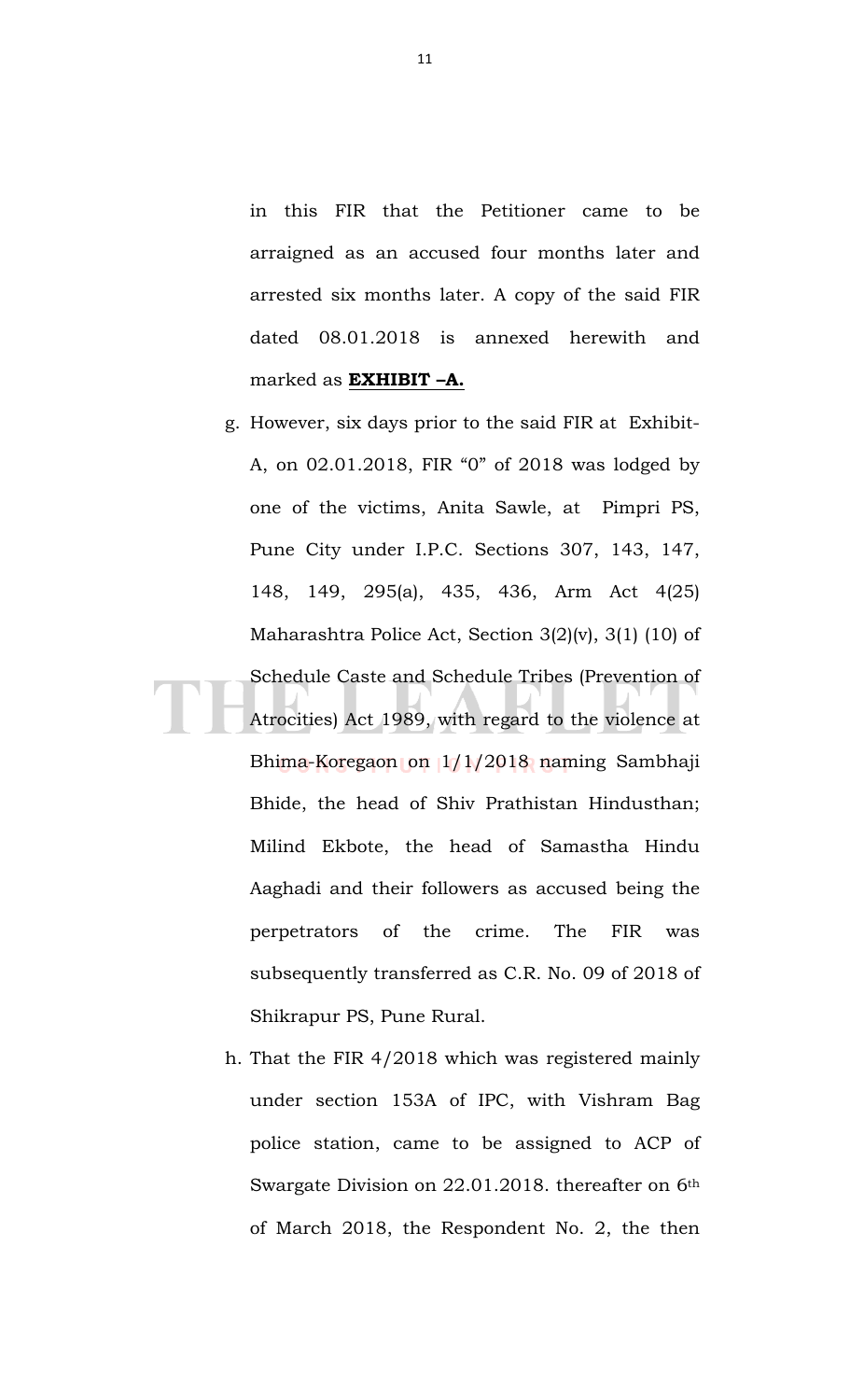in this FIR that the Petitioner came to be arraigned as an accused four months later and arrested six months later. A copy of the said FIR dated 08.01.2018 is annexed herewith and marked as **EXHIBIT –A.**

- g. However, six days prior to the said FIR at Exhibit-A, on 02.01.2018, FIR "0" of 2018 was lodged by one of the victims, Anita Sawle, at Pimpri PS, Pune City under I.P.C. Sections 307, 143, 147, 148, 149, 295(a), 435, 436, Arm Act 4(25) Maharashtra Police Act, Section 3(2)(v), 3(1) (10) of Schedule Caste and Schedule Tribes (Prevention of Atrocities) Act 1989, with regard to the violence at Bhima-Koregaon on 1/1/2018 naming Sambhaji Bhide, the head of Shiv Prathistan Hindusthan; Milind Ekbote, the head of Samastha Hindu Aaghadi and their followers as accused being the perpetrators of the crime. The FIR was subsequently transferred as C.R. No. 09 of 2018 of Shikrapur PS, Pune Rural.
- h. That the FIR 4/2018 which was registered mainly under section 153A of IPC, with Vishram Bag police station, came to be assigned to ACP of Swargate Division on 22.01.2018. thereafter on 6th of March 2018, the Respondent No. 2, the then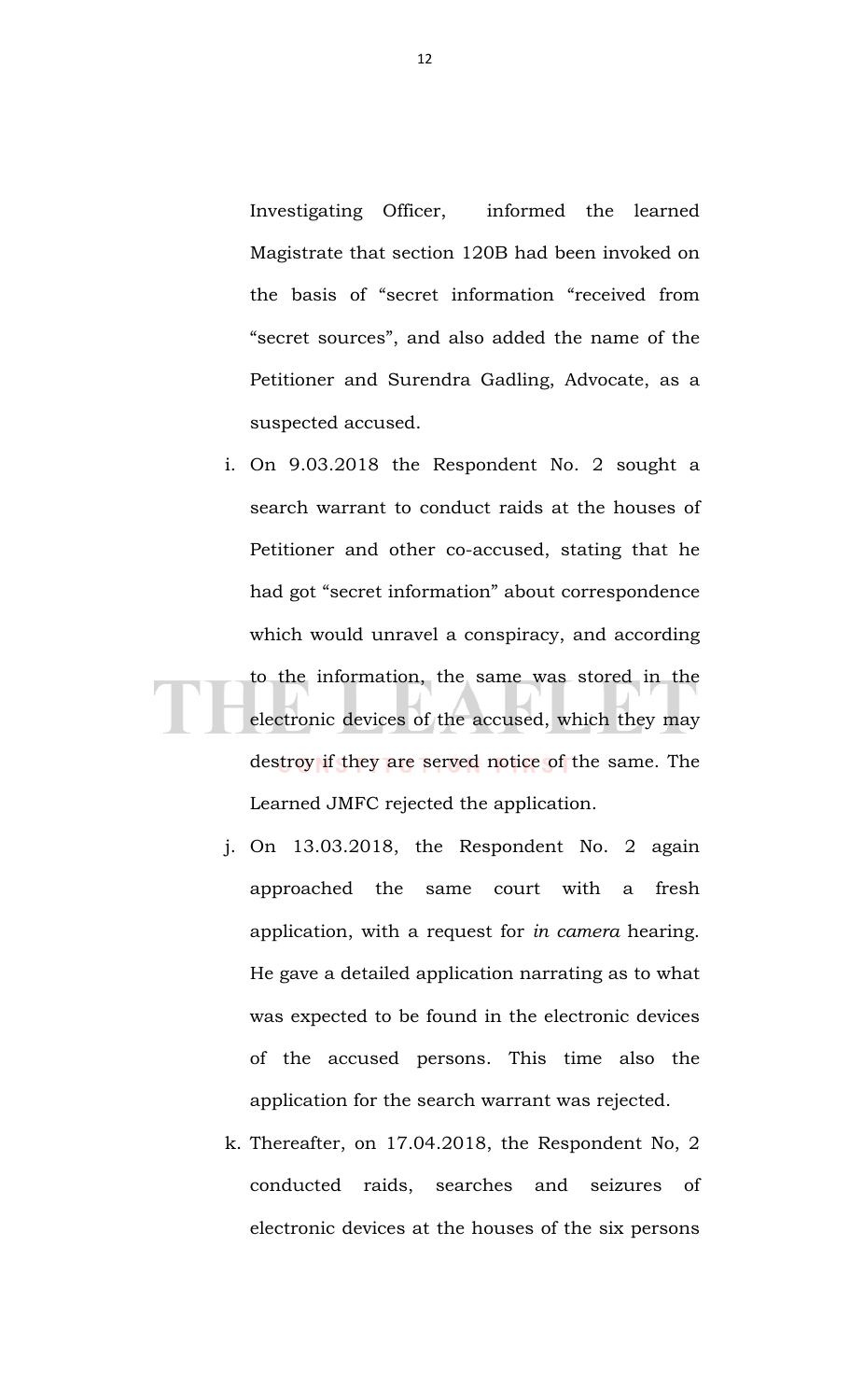Investigating Officer, informed the learned Magistrate that section 120B had been invoked on the basis of "secret information "received from "secret sources", and also added the name of the Petitioner and Surendra Gadling, Advocate, as a suspected accused.

- i. On 9.03.2018 the Respondent No. 2 sought a search warrant to conduct raids at the houses of Petitioner and other co-accused, stating that he had got "secret information" about correspondence which would unravel a conspiracy, and according to the information, the same was stored in the electronic devices of the accused, which they may destroy if they are served notice of the same. The Learned JMFC rejected the application.
	- j. On 13.03.2018, the Respondent No. 2 again approached the same court with a fresh application, with a request for *in camera* hearing. He gave a detailed application narrating as to what was expected to be found in the electronic devices of the accused persons. This time also the application for the search warrant was rejected.
	- k. Thereafter, on 17.04.2018, the Respondent No, 2 conducted raids, searches and seizures of electronic devices at the houses of the six persons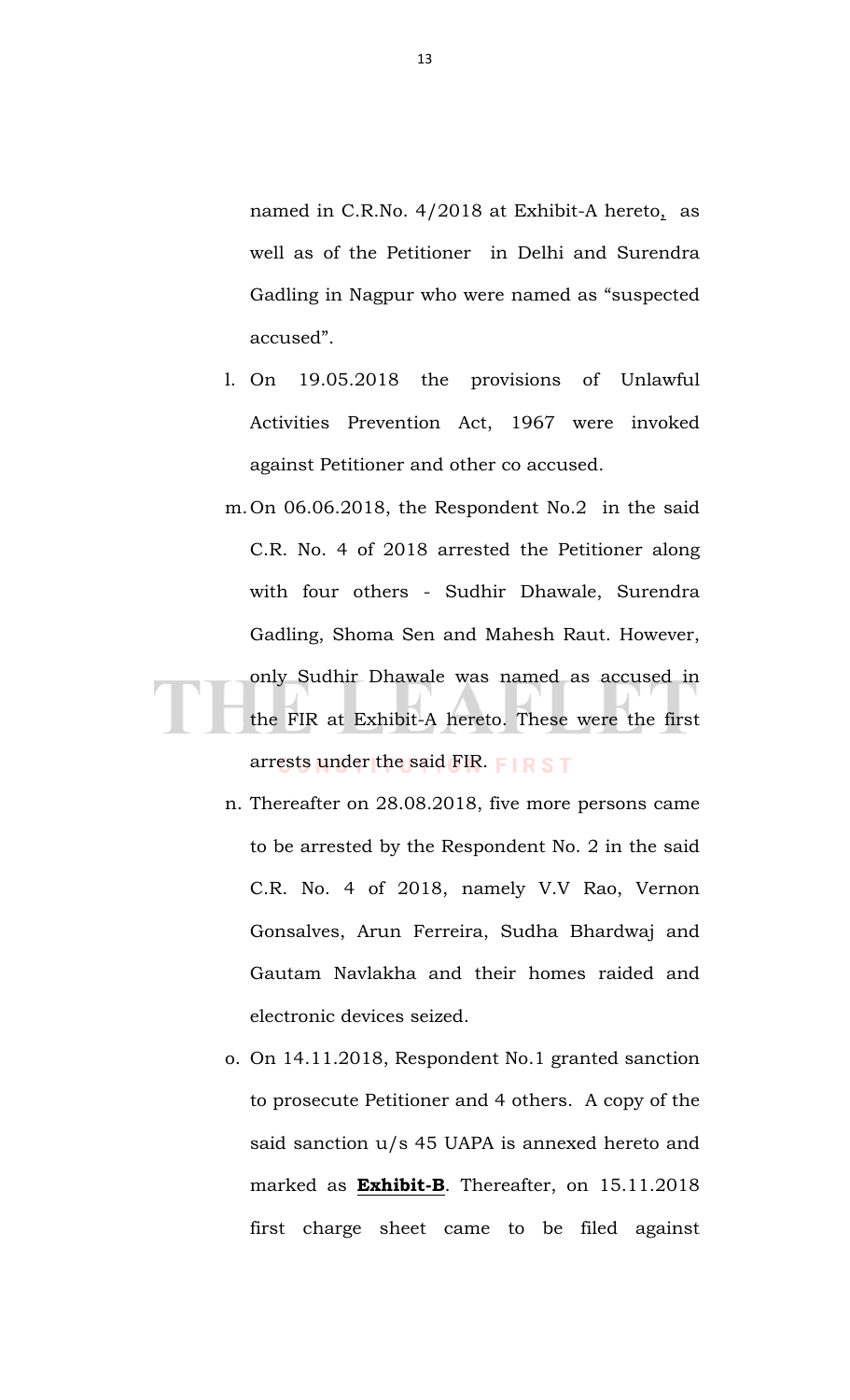named in C.R.No. 4/2018 at Exhibit-A hereto, as well as of the Petitioner in Delhi and Surendra Gadling in Nagpur who were named as "suspected accused".

- l. On 19.05.2018 the provisions of Unlawful Activities Prevention Act, 1967 were invoked against Petitioner and other co accused.
- m.On 06.06.2018, the Respondent No.2 in the said C.R. No. 4 of 2018 arrested the Petitioner along with four others - Sudhir Dhawale, Surendra Gadling, Shoma Sen and Mahesh Raut. However, only Sudhir Dhawale was named as accused in the FIR at Exhibit-A hereto. These were the first arrests under the said FIR. FIRST
	- n. Thereafter on 28.08.2018, five more persons came to be arrested by the Respondent No. 2 in the said C.R. No. 4 of 2018, namely V.V Rao, Vernon Gonsalves, Arun Ferreira, Sudha Bhardwaj and Gautam Navlakha and their homes raided and electronic devices seized.
	- o. On 14.11.2018, Respondent No.1 granted sanction to prosecute Petitioner and 4 others. A copy of the said sanction u/s 45 UAPA is annexed hereto and marked as **Exhibit-B**. Thereafter, on 15.11.2018 first charge sheet came to be filed against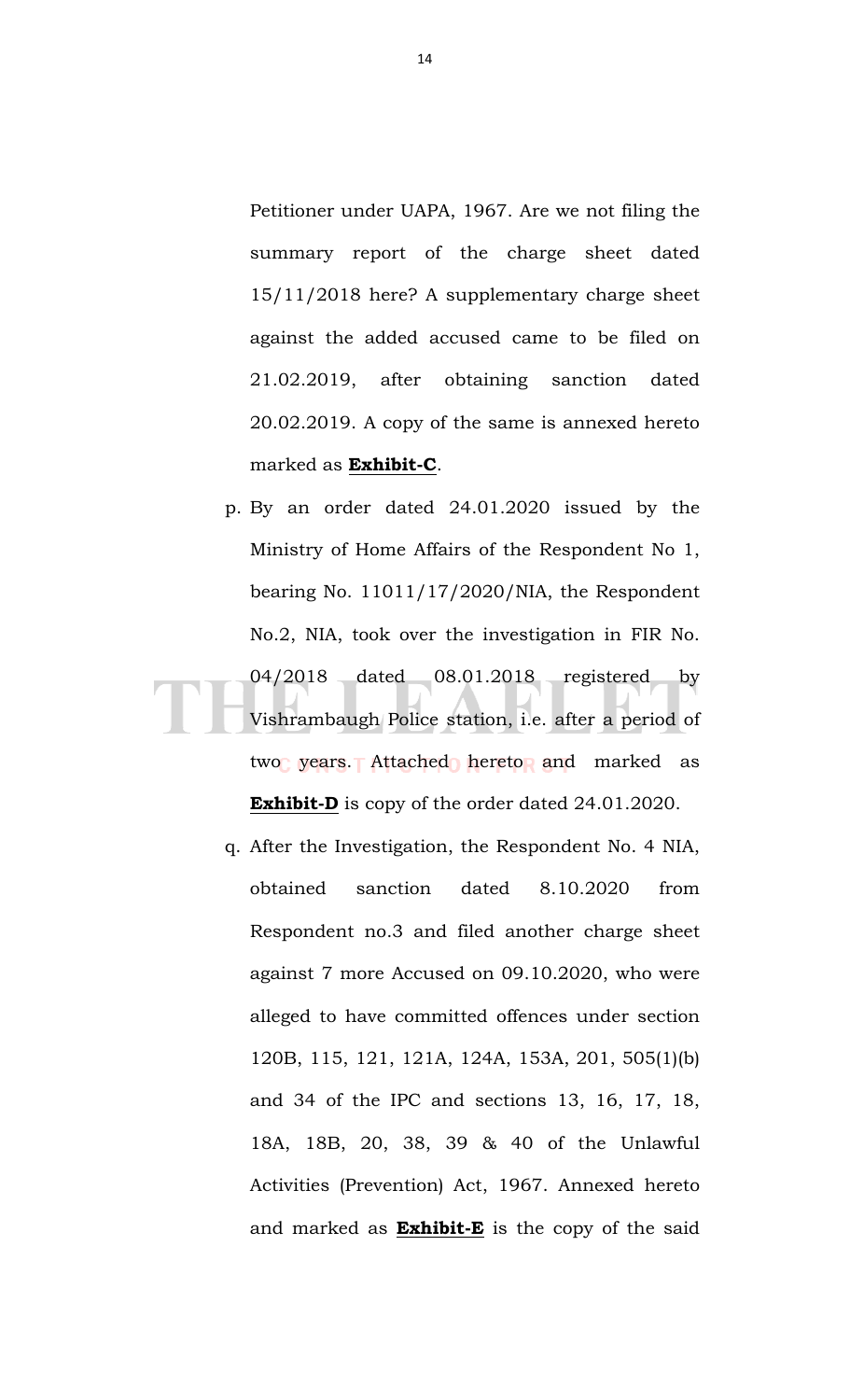Petitioner under UAPA, 1967. Are we not filing the summary report of the charge sheet dated 15/11/2018 here? A supplementary charge sheet against the added accused came to be filed on 21.02.2019, after obtaining sanction dated 20.02.2019. A copy of the same is annexed hereto marked as **Exhibit-C**.

- p. By an order dated 24.01.2020 issued by the Ministry of Home Affairs of the Respondent No 1, bearing No. 11011/17/2020/NIA, the Respondent No.2, NIA, took over the investigation in FIR No. 04/2018 dated 08.01.2018 registered by Vishrambaugh Police station, i.e. after a period of two years. Attached hereto and marked as **Exhibit-D** is copy of the order dated 24.01.2020.
	- q. After the Investigation, the Respondent No. 4 NIA, obtained sanction dated 8.10.2020 from Respondent no.3 and filed another charge sheet against 7 more Accused on 09.10.2020, who were alleged to have committed offences under section 120B, 115, 121, 121A, 124A, 153A, 201, 505(1)(b) and 34 of the IPC and sections 13, 16, 17, 18, 18A, 18B, 20, 38, 39 & 40 of the Unlawful Activities (Prevention) Act, 1967. Annexed hereto and marked as **Exhibit-E** is the copy of the said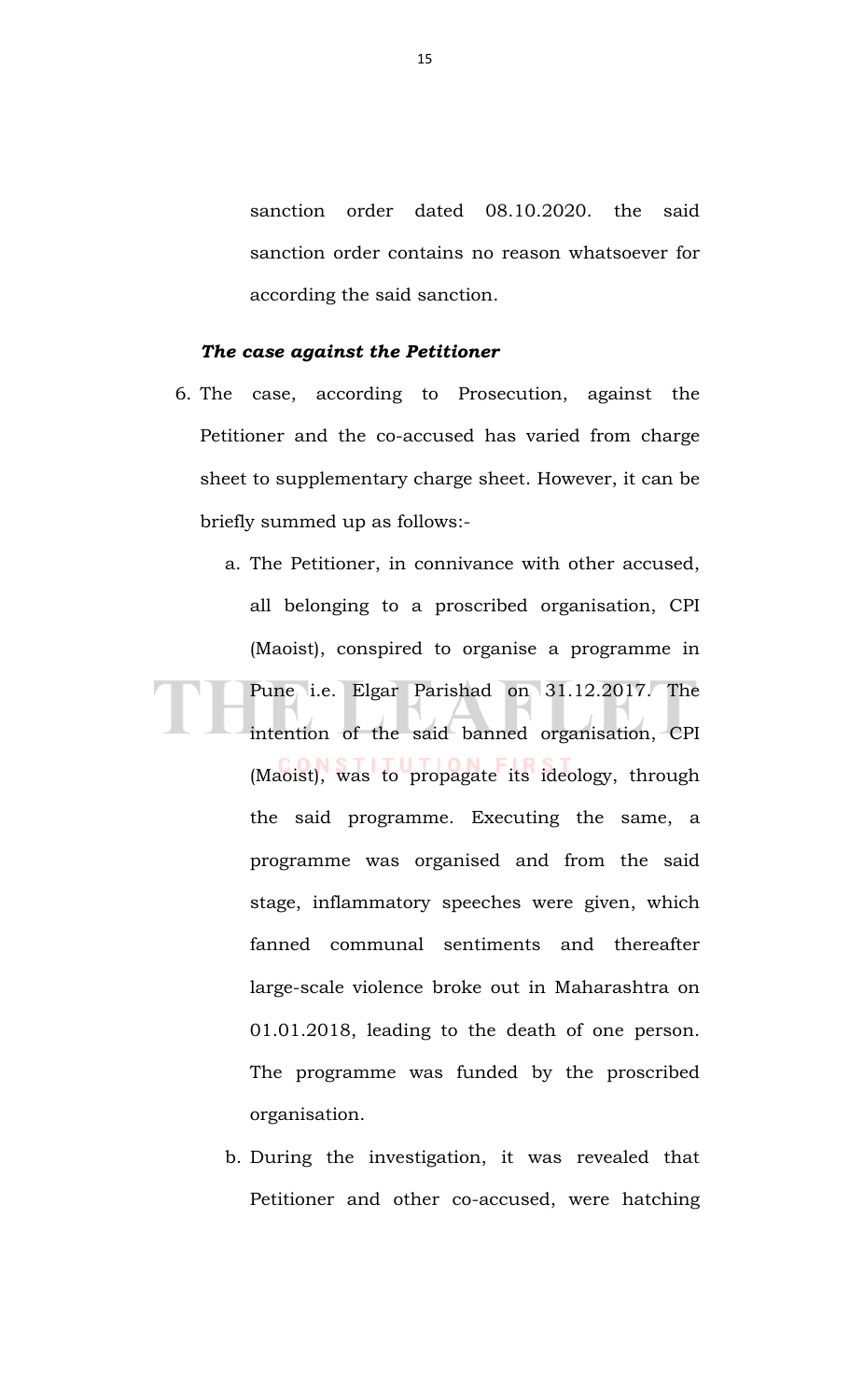sanction order dated 08.10.2020. the said sanction order contains no reason whatsoever for according the said sanction.

## *The case against the Petitioner*

- 6. The case, according to Prosecution, against the Petitioner and the co-accused has varied from charge sheet to supplementary charge sheet. However, it can be briefly summed up as follows:-
- a. The Petitioner, in connivance with other accused, all belonging to a proscribed organisation, CPI (Maoist), conspired to organise a programme in Pune i.e. Elgar Parishad on 31.12.2017. The intention of the said banned organisation, CPI (Maoist), was to propagate its ideology, through the said programme. Executing the same, a programme was organised and from the said stage, inflammatory speeches were given, which fanned communal sentiments and thereafter large-scale violence broke out in Maharashtra on 01.01.2018, leading to the death of one person. The programme was funded by the proscribed organisation.
	- b. During the investigation, it was revealed that Petitioner and other co-accused, were hatching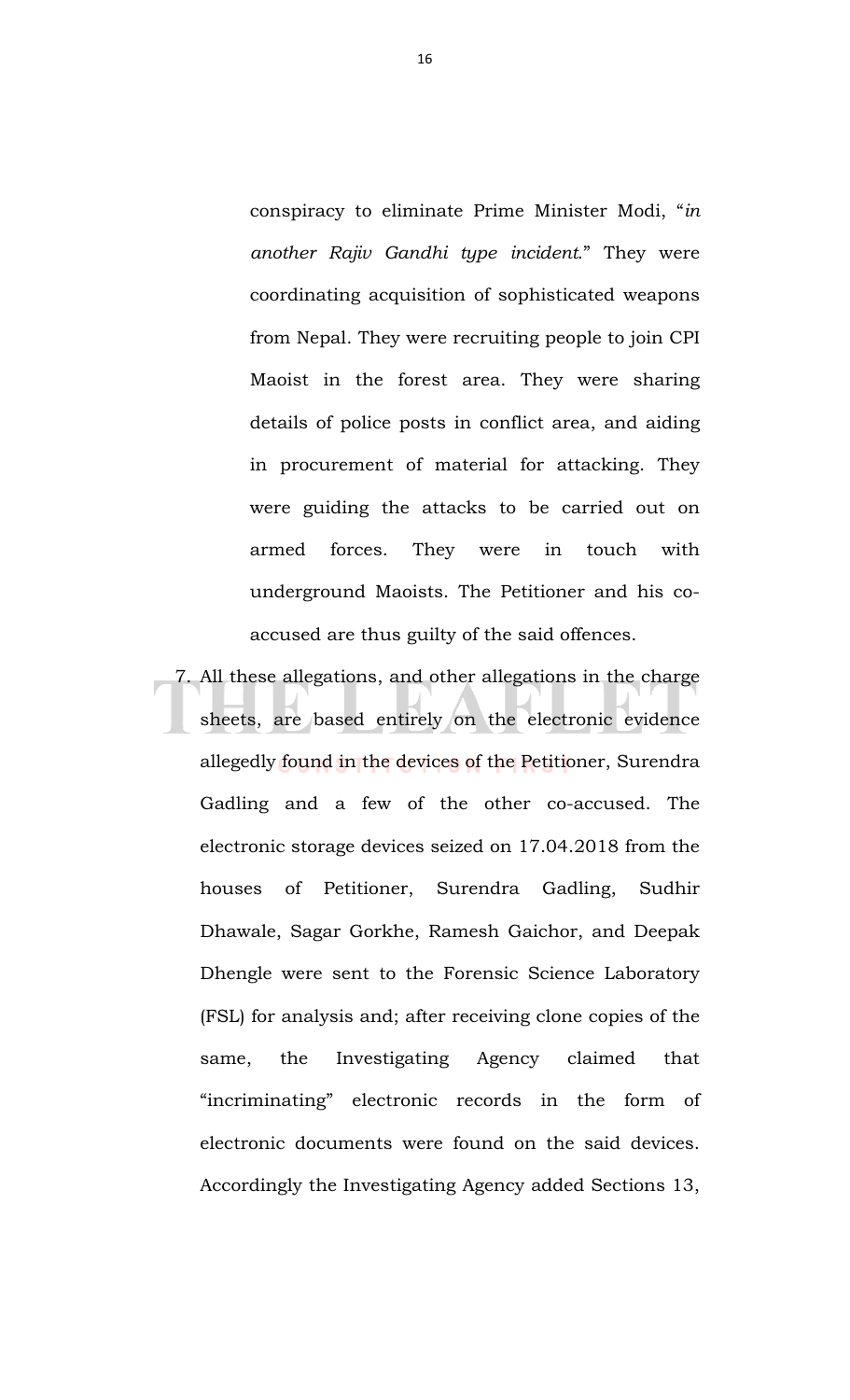conspiracy to eliminate Prime Minister Modi, "*in another Rajiv Gandhi type incident*." They were coordinating acquisition of sophisticated weapons from Nepal. They were recruiting people to join CPI Maoist in the forest area. They were sharing details of police posts in conflict area, and aiding in procurement of material for attacking. They were guiding the attacks to be carried out on armed forces. They were in touch with underground Maoists. The Petitioner and his coaccused are thus guilty of the said offences.

7. All these allegations, and other allegations in the charge sheets, are based entirely on the electronic evidence allegedly found in the devices of the Petitioner, Surendra Gadling and a few of the other co-accused. The electronic storage devices seized on 17.04.2018 from the houses of Petitioner, Surendra Gadling, Sudhir Dhawale, Sagar Gorkhe, Ramesh Gaichor, and Deepak Dhengle were sent to the Forensic Science Laboratory (FSL) for analysis and; after receiving clone copies of the same, the Investigating Agency claimed that "incriminating" electronic records in the form of electronic documents were found on the said devices. Accordingly the Investigating Agency added Sections 13,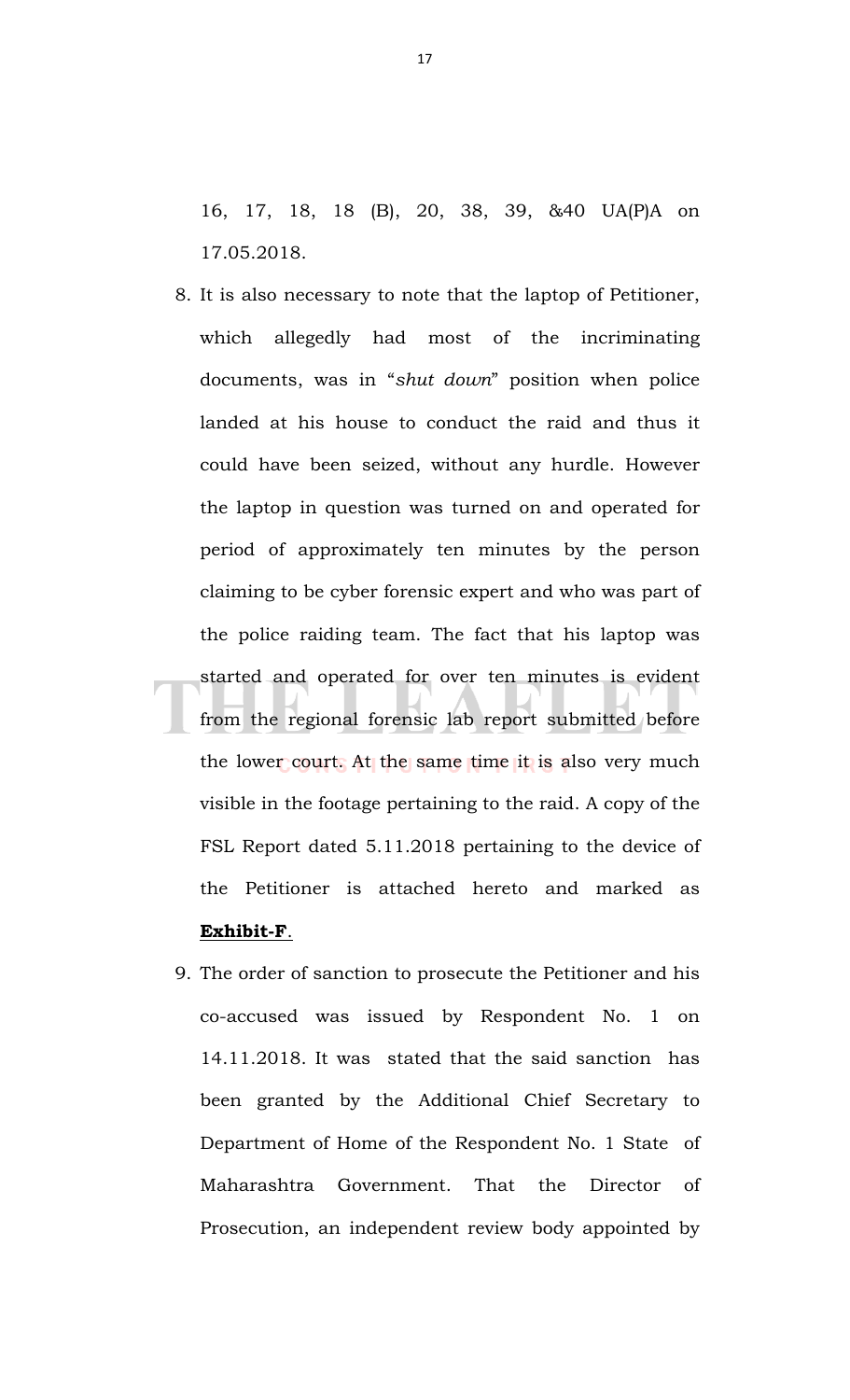16, 17, 18, 18 (B), 20, 38, 39, &40 UA(P)A on 17.05.2018.

- 8. It is also necessary to note that the laptop of Petitioner, which allegedly had most of the incriminating documents, was in "*shut down*" position when police landed at his house to conduct the raid and thus it could have been seized, without any hurdle. However the laptop in question was turned on and operated for period of approximately ten minutes by the person claiming to be cyber forensic expert and who was part of the police raiding team. The fact that his laptop was started and operated for over ten minutes is evident from the regional forensic lab report submitted before the lower court. At the same time it is also very much visible in the footage pertaining to the raid. A copy of the FSL Report dated 5.11.2018 pertaining to the device of the Petitioner is attached hereto and marked as **Exhibit-F**.
- 9. The order of sanction to prosecute the Petitioner and his co-accused was issued by Respondent No. 1 on 14.11.2018. It was stated that the said sanction has been granted by the Additional Chief Secretary to Department of Home of the Respondent No. 1 State of Maharashtra Government. That the Director of Prosecution, an independent review body appointed by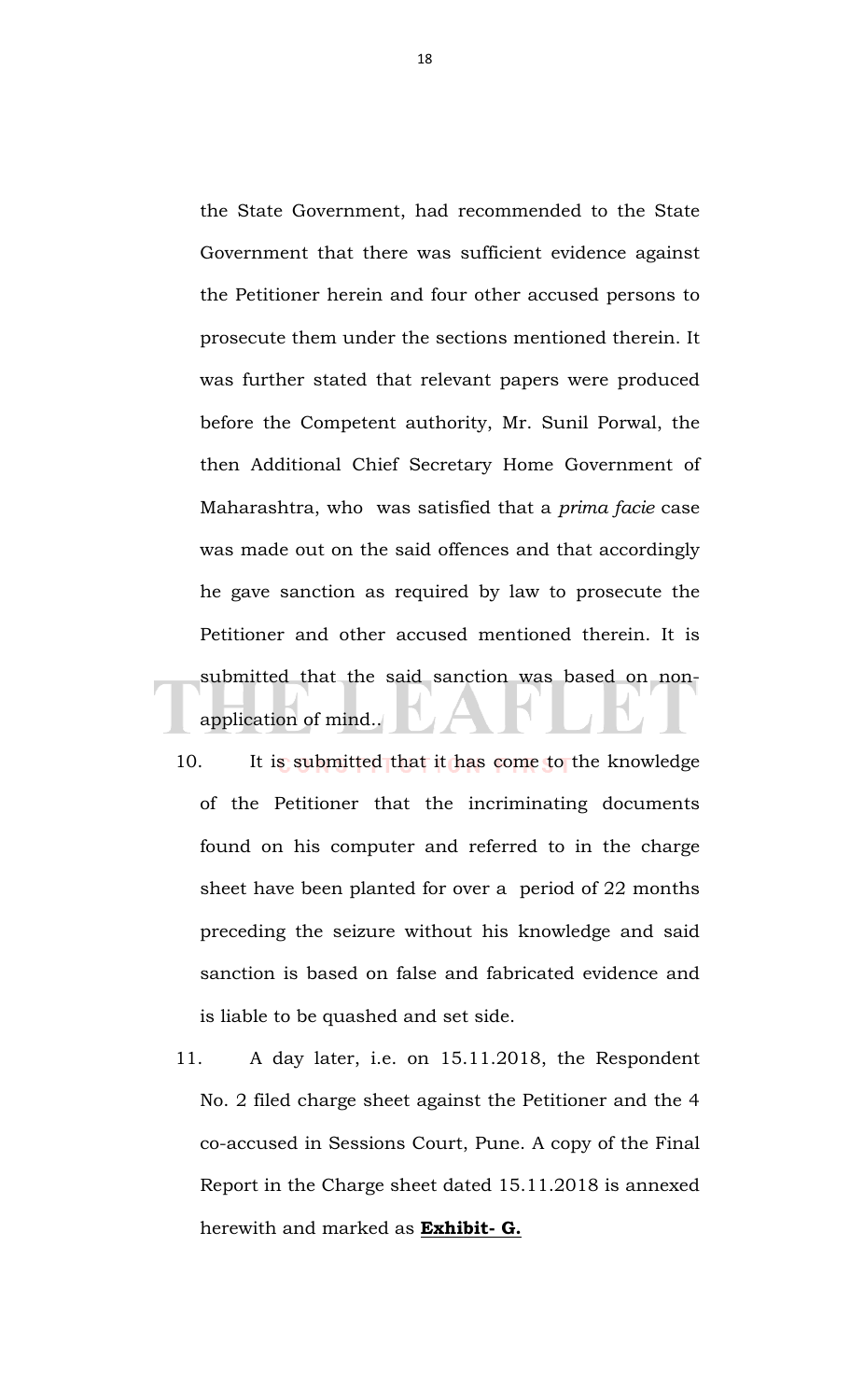the State Government, had recommended to the State Government that there was sufficient evidence against the Petitioner herein and four other accused persons to prosecute them under the sections mentioned therein. It was further stated that relevant papers were produced before the Competent authority, Mr. Sunil Porwal, the then Additional Chief Secretary Home Government of Maharashtra, who was satisfied that a *prima facie* case was made out on the said offences and that accordingly he gave sanction as required by law to prosecute the Petitioner and other accused mentioned therein. It is submitted that the said sanction was based on nonapplication of mind..

- 10. It is submitted that it has come to the knowledge of the Petitioner that the incriminating documents found on his computer and referred to in the charge sheet have been planted for over a period of 22 months preceding the seizure without his knowledge and said sanction is based on false and fabricated evidence and is liable to be quashed and set side.
- 11. A day later, i.e. on 15.11.2018, the Respondent No. 2 filed charge sheet against the Petitioner and the 4 co-accused in Sessions Court, Pune. A copy of the Final Report in the Charge sheet dated 15.11.2018 is annexed herewith and marked as **Exhibit- G.**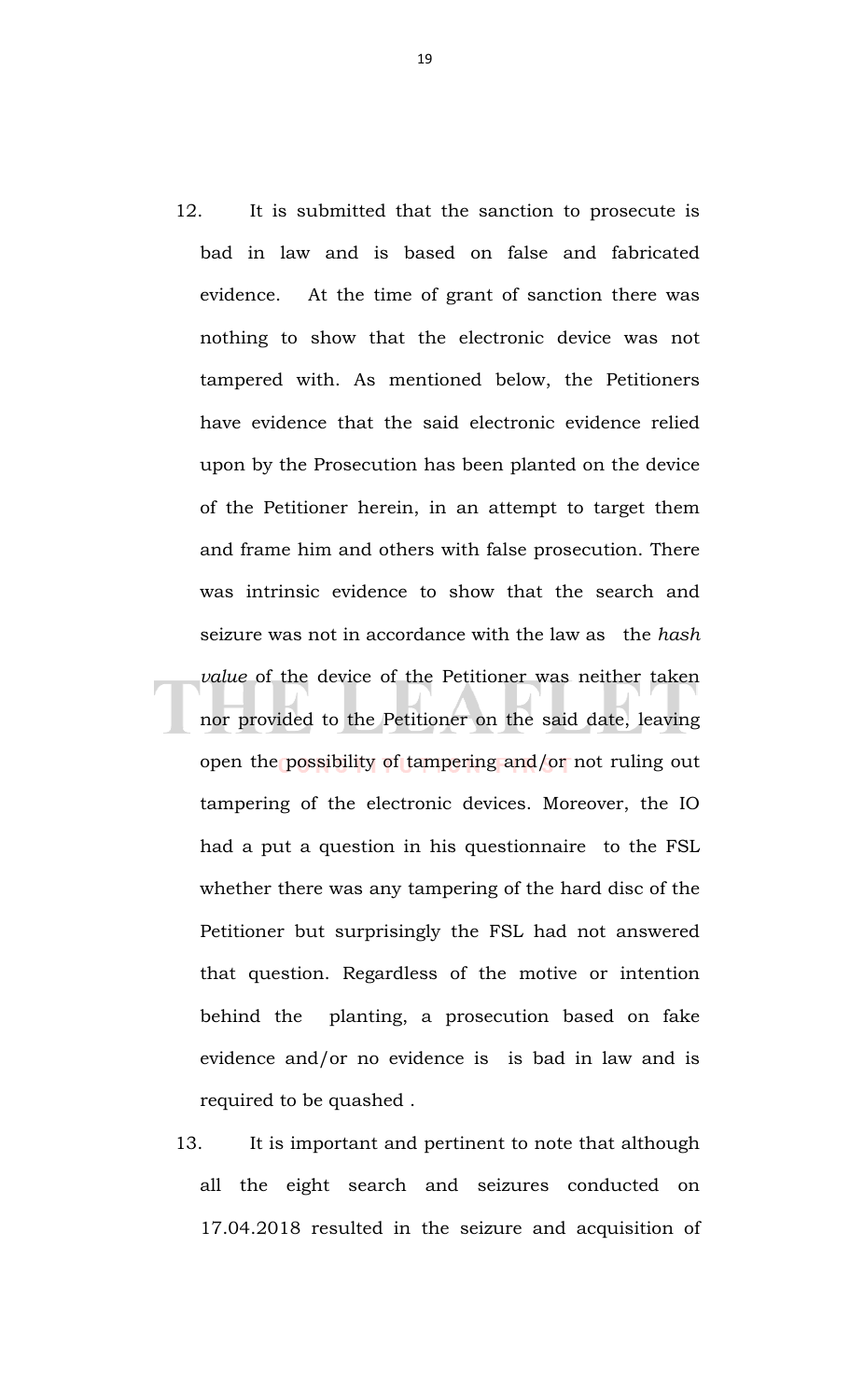- 12. It is submitted that the sanction to prosecute is bad in law and is based on false and fabricated evidence. At the time of grant of sanction there was nothing to show that the electronic device was not tampered with. As mentioned below, the Petitioners have evidence that the said electronic evidence relied upon by the Prosecution has been planted on the device of the Petitioner herein, in an attempt to target them and frame him and others with false prosecution. There was intrinsic evidence to show that the search and seizure was not in accordance with the law as the *hash value* of the device of the Petitioner was neither taken nor provided to the Petitioner on the said date, leaving open the possibility of tampering and/or not ruling out tampering of the electronic devices. Moreover, the IO had a put a question in his questionnaire to the FSL whether there was any tampering of the hard disc of the Petitioner but surprisingly the FSL had not answered that question. Regardless of the motive or intention behind the planting, a prosecution based on fake evidence and/or no evidence is is bad in law and is required to be quashed .
- 13. It is important and pertinent to note that although all the eight search and seizures conducted on 17.04.2018 resulted in the seizure and acquisition of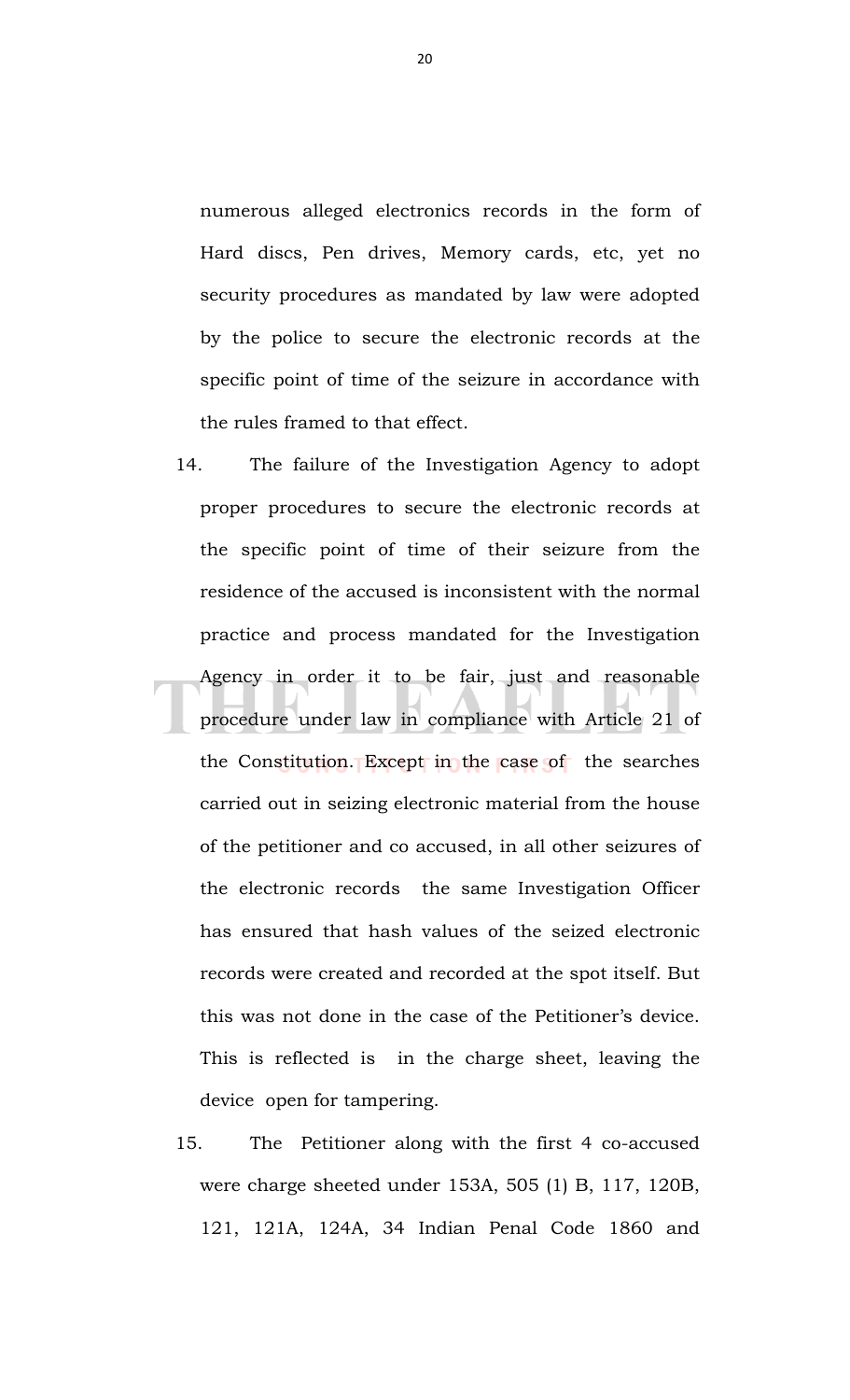numerous alleged electronics records in the form of Hard discs, Pen drives, Memory cards, etc, yet no security procedures as mandated by law were adopted by the police to secure the electronic records at the specific point of time of the seizure in accordance with the rules framed to that effect.

- 14. The failure of the Investigation Agency to adopt proper procedures to secure the electronic records at the specific point of time of their seizure from the residence of the accused is inconsistent with the normal practice and process mandated for the Investigation Agency in order it to be fair, just and reasonable procedure under law in compliance with Article 21 of the Constitution. Except in the case of the searches carried out in seizing electronic material from the house of the petitioner and co accused, in all other seizures of the electronic records the same Investigation Officer has ensured that hash values of the seized electronic records were created and recorded at the spot itself. But this was not done in the case of the Petitioner's device. This is reflected is in the charge sheet, leaving the device open for tampering.
- 15. The Petitioner along with the first 4 co-accused were charge sheeted under 153A, 505 (1) B, 117, 120B, 121, 121A, 124A, 34 Indian Penal Code 1860 and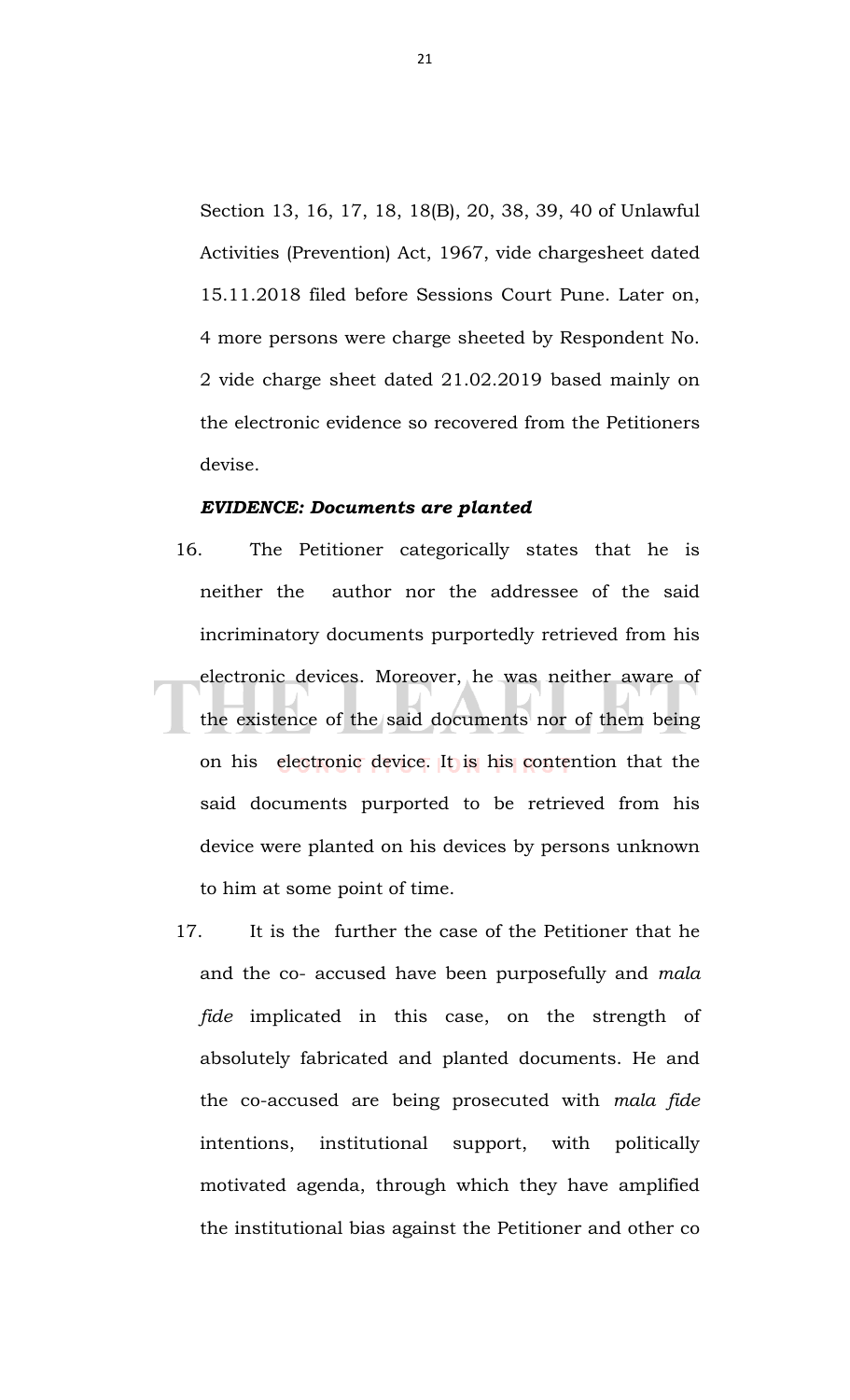Section 13, 16, 17, 18, 18(B), 20, 38, 39, 40 of Unlawful Activities (Prevention) Act, 1967, vide chargesheet dated 15.11.2018 filed before Sessions Court Pune. Later on, 4 more persons were charge sheeted by Respondent No. 2 vide charge sheet dated 21.02.2019 based mainly on the electronic evidence so recovered from the Petitioners devise.

#### *EVIDENCE: Documents are planted*

- 16. The Petitioner categorically states that he is neither the author nor the addressee of the said incriminatory documents purportedly retrieved from his electronic devices. Moreover, he was neither aware of the existence of the said documents nor of them being on his electronic device. It is his contention that the said documents purported to be retrieved from his device were planted on his devices by persons unknown to him at some point of time.
	- 17. It is the further the case of the Petitioner that he and the co- accused have been purposefully and *mala fide* implicated in this case, on the strength of absolutely fabricated and planted documents. He and the co-accused are being prosecuted with *mala fide* intentions, institutional support, with politically motivated agenda, through which they have amplified the institutional bias against the Petitioner and other co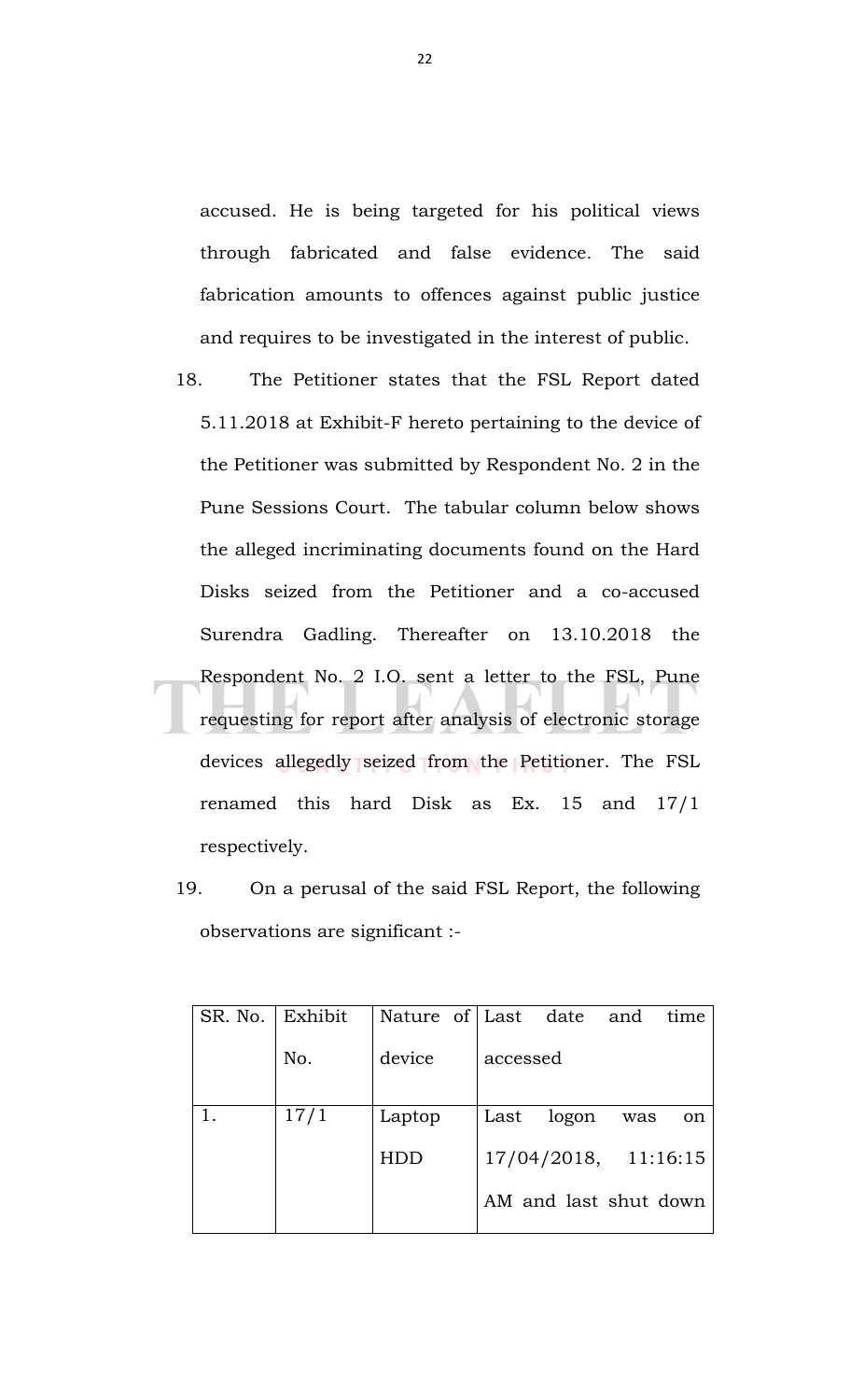accused. He is being targeted for his political views through fabricated and false evidence. The said fabrication amounts to offences against public justice and requires to be investigated in the interest of public.

- 18. The Petitioner states that the FSL Report dated 5.11.2018 at Exhibit-F hereto pertaining to the device of the Petitioner was submitted by Respondent No. 2 in the Pune Sessions Court. The tabular column below shows the alleged incriminating documents found on the Hard Disks seized from the Petitioner and a co-accused Surendra Gadling. Thereafter on 13.10.2018 the Respondent No. 2 I.O. sent a letter to the FSL, Pune requesting for report after analysis of electronic storage devices allegedly seized from the Petitioner. The FSL renamed this hard Disk as Ex. 15 and 17/1 respectively.
	- 19. On a perusal of the said FSL Report, the following observations are significant :-

| SR. No. | Exhibit | Nature of Last date and |          |                       |     | time |
|---------|---------|-------------------------|----------|-----------------------|-----|------|
|         | No.     | device                  | accessed |                       |     |      |
|         | 17/1    | Laptop                  | Last     | logon                 | was | on   |
|         |         | HDD                     |          | 17/04/2018, 11:16:15  |     |      |
|         |         |                         |          | AM and last shut down |     |      |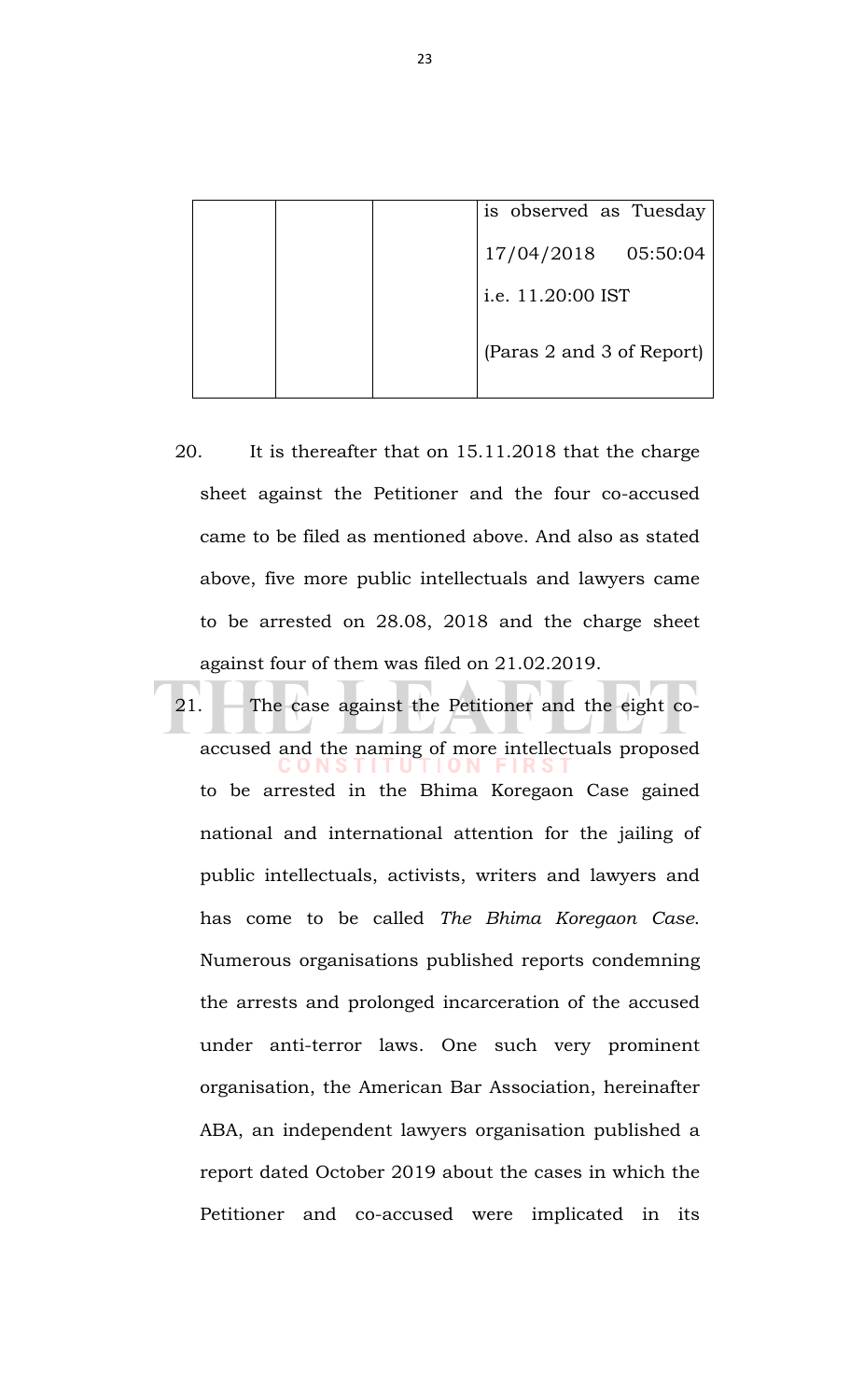|  |  | is observed as Tuesday    |
|--|--|---------------------------|
|  |  | 05:50:04<br>17/04/2018    |
|  |  | i.e. 11.20:00 IST         |
|  |  | (Paras 2 and 3 of Report) |

- 20. It is thereafter that on 15.11.2018 that the charge sheet against the Petitioner and the four co-accused came to be filed as mentioned above. And also as stated above, five more public intellectuals and lawyers came to be arrested on 28.08, 2018 and the charge sheet against four of them was filed on 21.02.2019.
- 21. The case against the Petitioner and the eight coaccused and the naming of more intellectuals proposed to be arrested in the Bhima Koregaon Case gained national and international attention for the jailing of public intellectuals, activists, writers and lawyers and has come to be called *The Bhima Koregaon Case*. Numerous organisations published reports condemning the arrests and prolonged incarceration of the accused under anti-terror laws. One such very prominent organisation, the American Bar Association, hereinafter ABA, an independent lawyers organisation published a report dated October 2019 about the cases in which the Petitioner and co-accused were implicated in its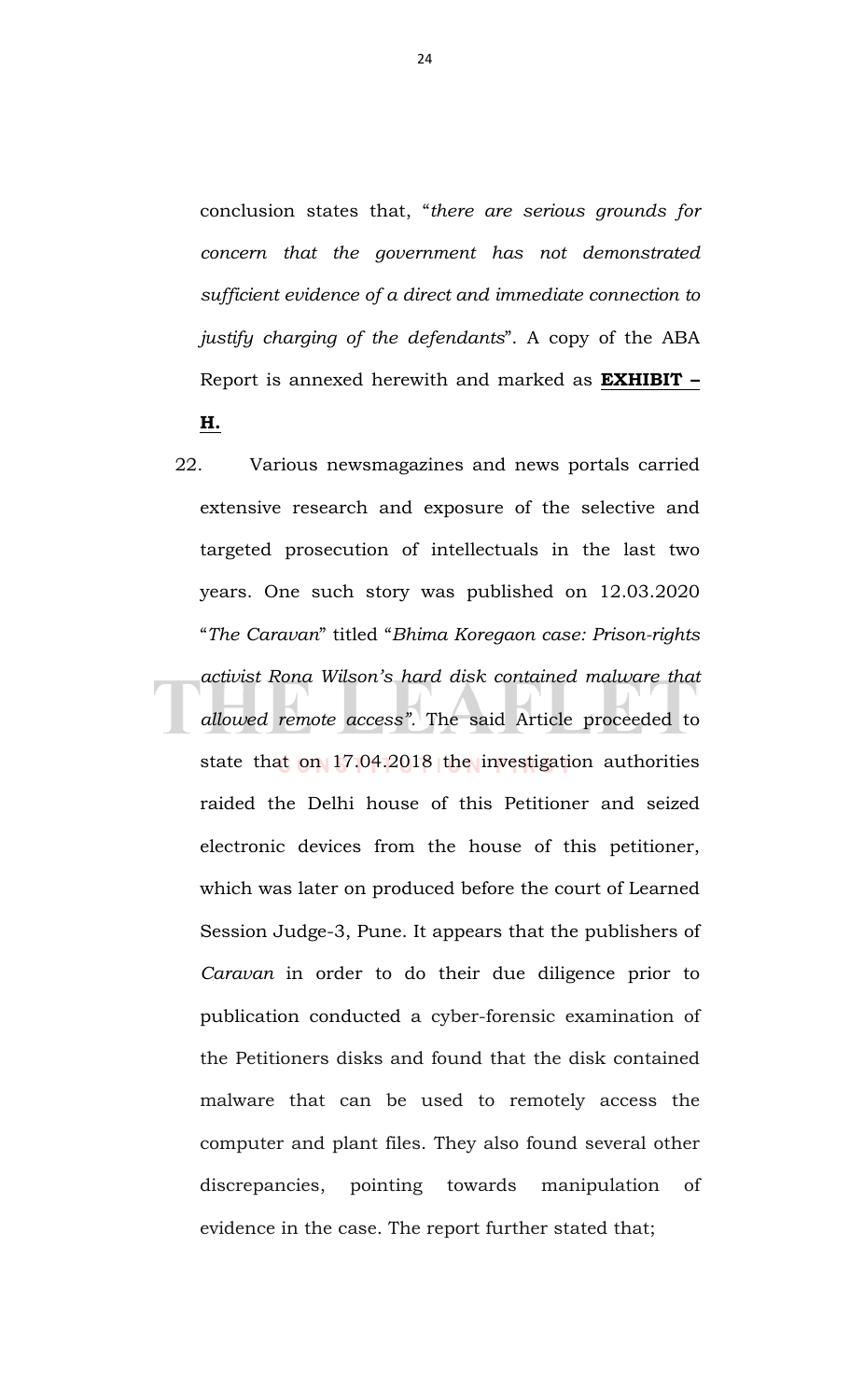conclusion states that, "*there are serious grounds for concern that the government has not demonstrated sufficient evidence of a direct and immediate connection to justify charging of the defendants*". A copy of the ABA Report is annexed herewith and marked as **EXHIBIT – H.**

22. Various newsmagazines and news portals carried extensive research and exposure of the selective and targeted prosecution of intellectuals in the last two years. One such story was published on 12.03.2020 "*The Caravan*" titled "*Bhima Koregaon case: Prison-rights activist Rona Wilson's hard disk contained malware that allowed remote access".* The said Article proceeded to state that on 17.04.2018 the investigation authorities raided the Delhi house of this Petitioner and seized electronic devices from the house of this petitioner, which was later on produced before the court of Learned Session Judge-3, Pune. It appears that the publishers of *Caravan* in order to do their due diligence prior to publication conducted a cyber-forensic examination of the Petitioners disks and found that the disk contained malware that can be used to remotely access the computer and plant files. They also found several other discrepancies, pointing towards manipulation of evidence in the case. The report further stated that;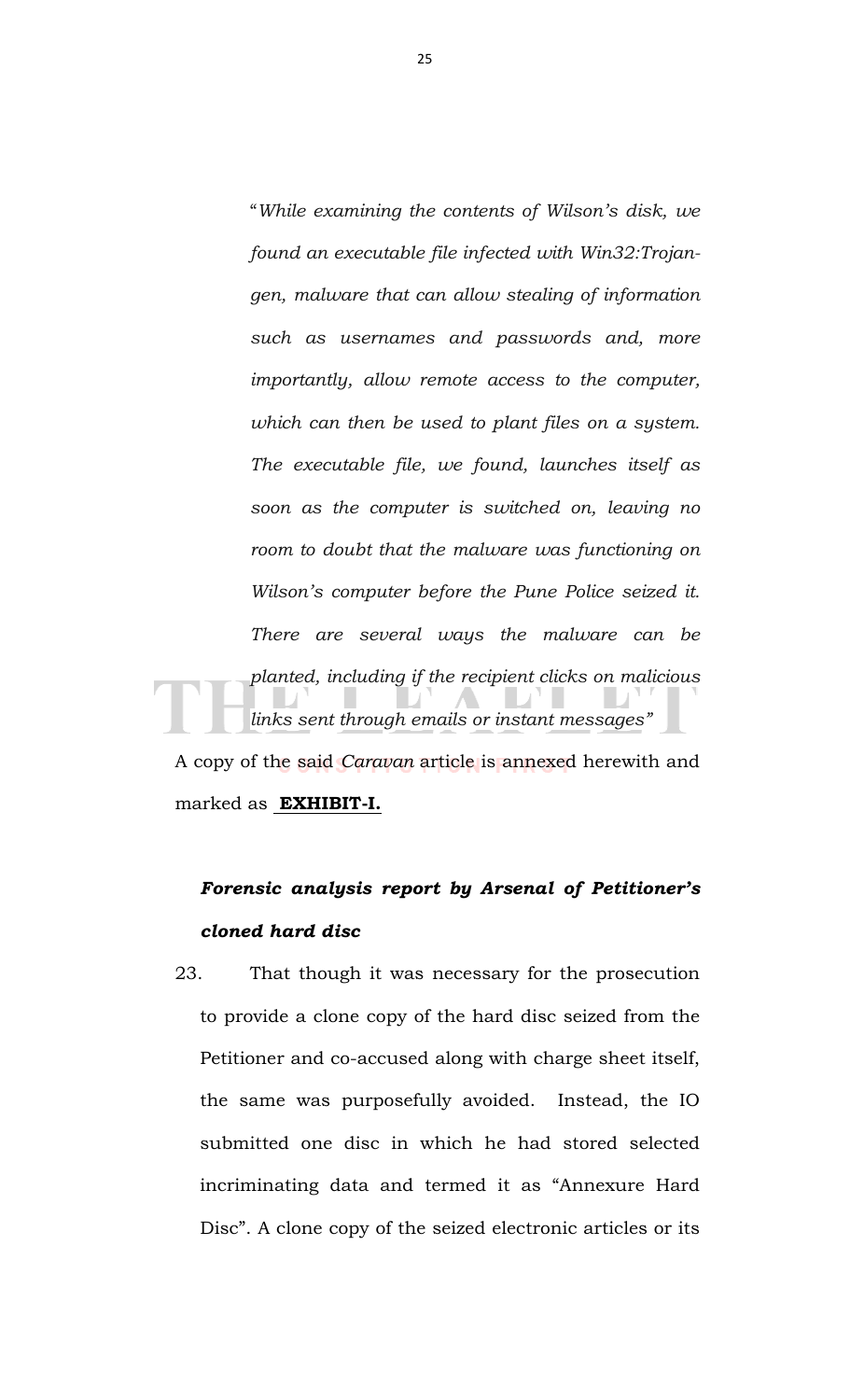"*While examining the contents of Wilson's disk, we found an executable file infected with Win32:Trojangen, malware that can allow stealing of information such as usernames and passwords and, more importantly, allow remote access to the computer, which can then be used to plant files on a system. The executable file, we found, launches itself as soon as the computer is switched on, leaving no room to doubt that the malware was functioning on Wilson's computer before the Pune Police seized it. There are several ways the malware can be planted, including if the recipient clicks on malicious links sent through emails or instant messages"*

A copy of the said *Caravan* article is annexed herewith and marked as **EXHIBIT-I.** 

# *Forensic analysis report by Arsenal of Petitioner's cloned hard disc*

23. That though it was necessary for the prosecution to provide a clone copy of the hard disc seized from the Petitioner and co-accused along with charge sheet itself, the same was purposefully avoided. Instead, the IO submitted one disc in which he had stored selected incriminating data and termed it as "Annexure Hard Disc". A clone copy of the seized electronic articles or its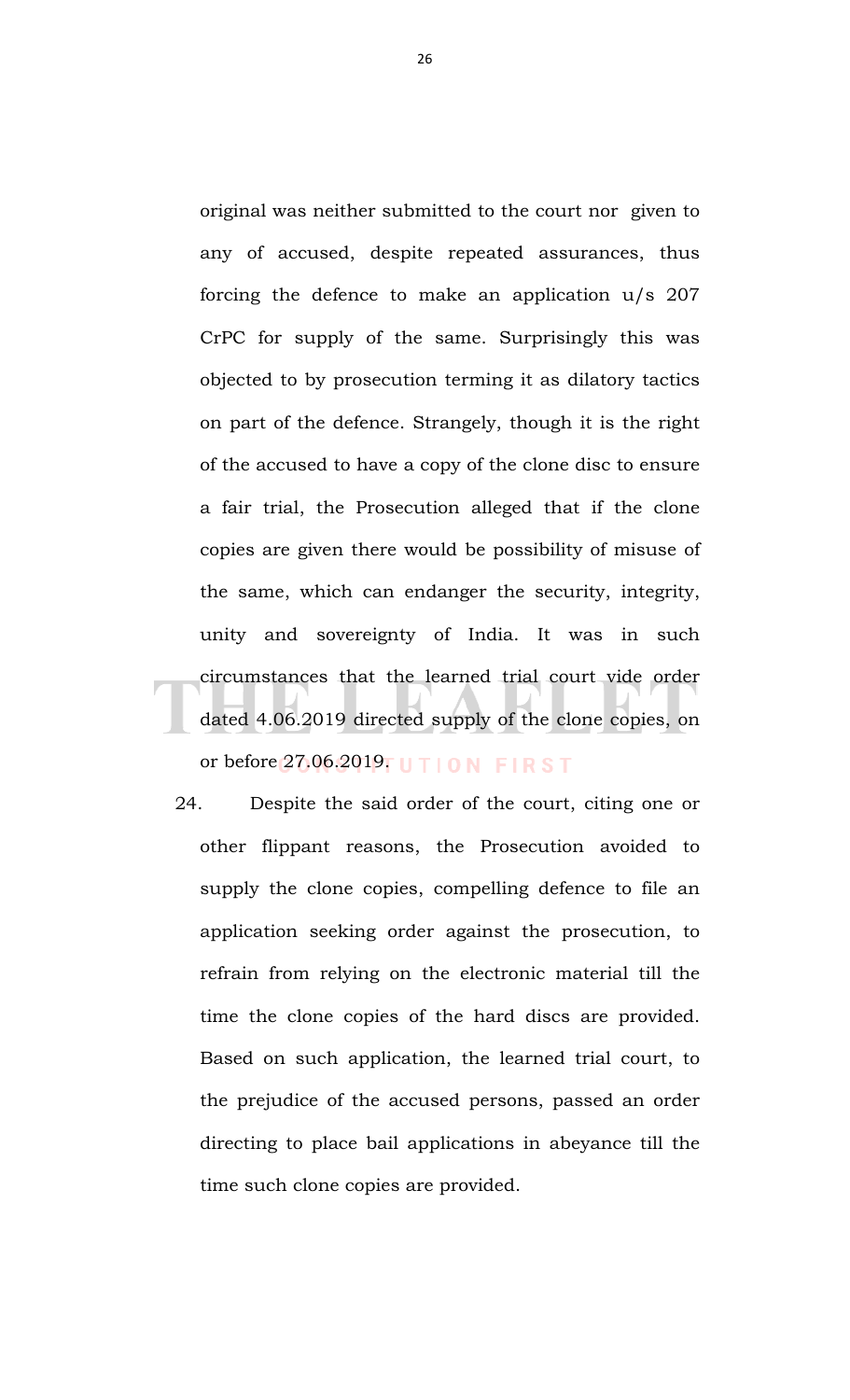original was neither submitted to the court nor given to any of accused, despite repeated assurances, thus forcing the defence to make an application u/s 207 CrPC for supply of the same. Surprisingly this was objected to by prosecution terming it as dilatory tactics on part of the defence. Strangely, though it is the right of the accused to have a copy of the clone disc to ensure a fair trial, the Prosecution alleged that if the clone copies are given there would be possibility of misuse of the same, which can endanger the security, integrity, unity and sovereignty of India. It was in such circumstances that the learned trial court vide order dated 4.06.2019 directed supply of the clone copies, on or before  $27.06.2019$ . U TION FIRST

24. Despite the said order of the court, citing one or other flippant reasons, the Prosecution avoided to supply the clone copies, compelling defence to file an application seeking order against the prosecution, to refrain from relying on the electronic material till the time the clone copies of the hard discs are provided. Based on such application, the learned trial court, to the prejudice of the accused persons, passed an order directing to place bail applications in abeyance till the time such clone copies are provided.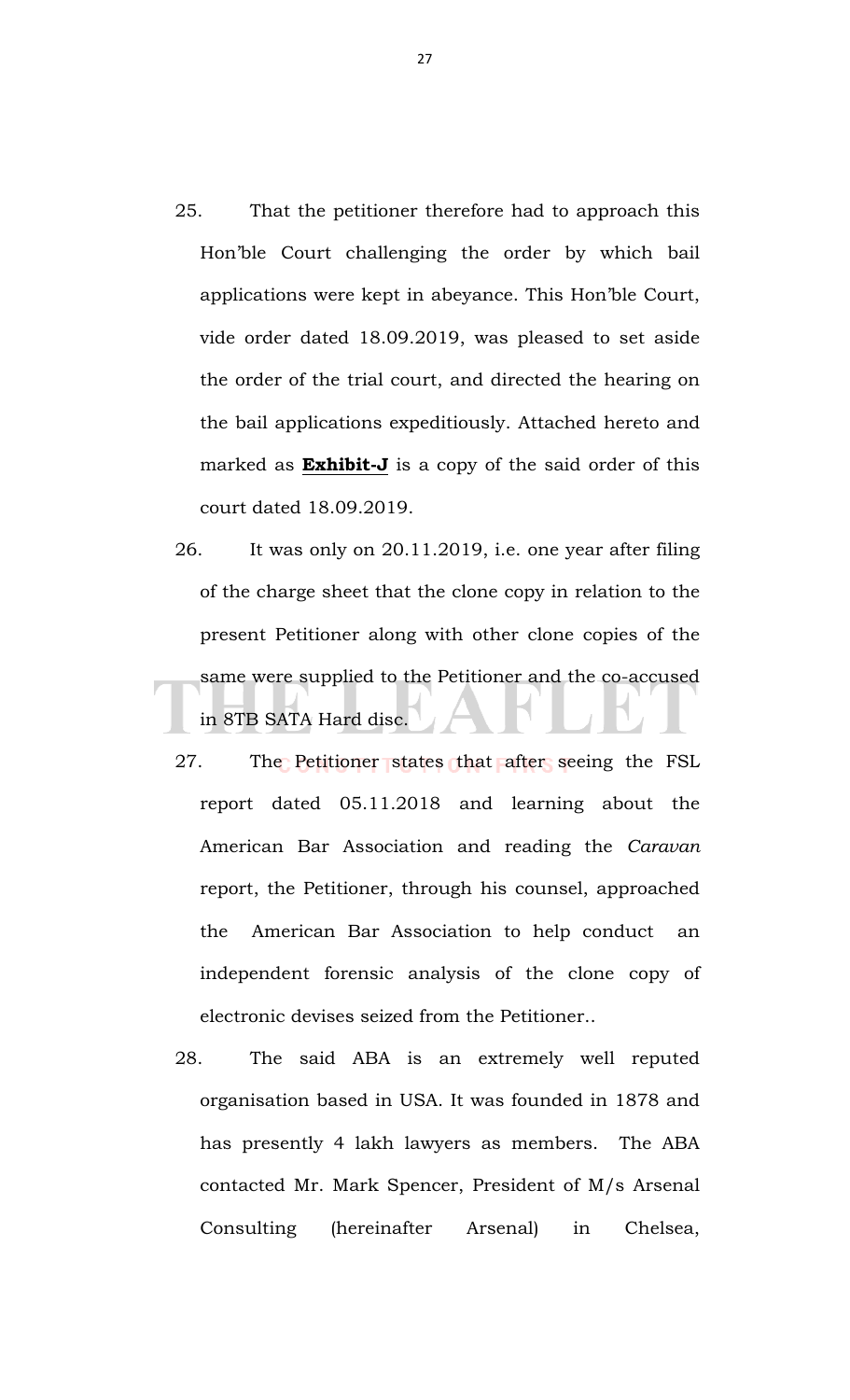- 25. That the petitioner therefore had to approach this Hon'ble Court challenging the order by which bail applications were kept in abeyance. This Hon'ble Court, vide order dated 18.09.2019, was pleased to set aside the order of the trial court, and directed the hearing on the bail applications expeditiously. Attached hereto and marked as **Exhibit-J** is a copy of the said order of this court dated 18.09.2019.
- 26. It was only on 20.11.2019, i.e. one year after filing of the charge sheet that the clone copy in relation to the present Petitioner along with other clone copies of the same were supplied to the Petitioner and the co-accused in 8TB SATA Hard disc.
- 27. The Petitioner states that after seeing the FSL report dated 05.11.2018 and learning about the American Bar Association and reading the *Caravan* report, the Petitioner, through his counsel, approached the American Bar Association to help conduct an independent forensic analysis of the clone copy of electronic devises seized from the Petitioner..
- 28. The said ABA is an extremely well reputed organisation based in USA. It was founded in 1878 and has presently 4 lakh lawyers as members. The ABA contacted Mr. Mark Spencer, President of M/s Arsenal Consulting (hereinafter Arsenal) in Chelsea,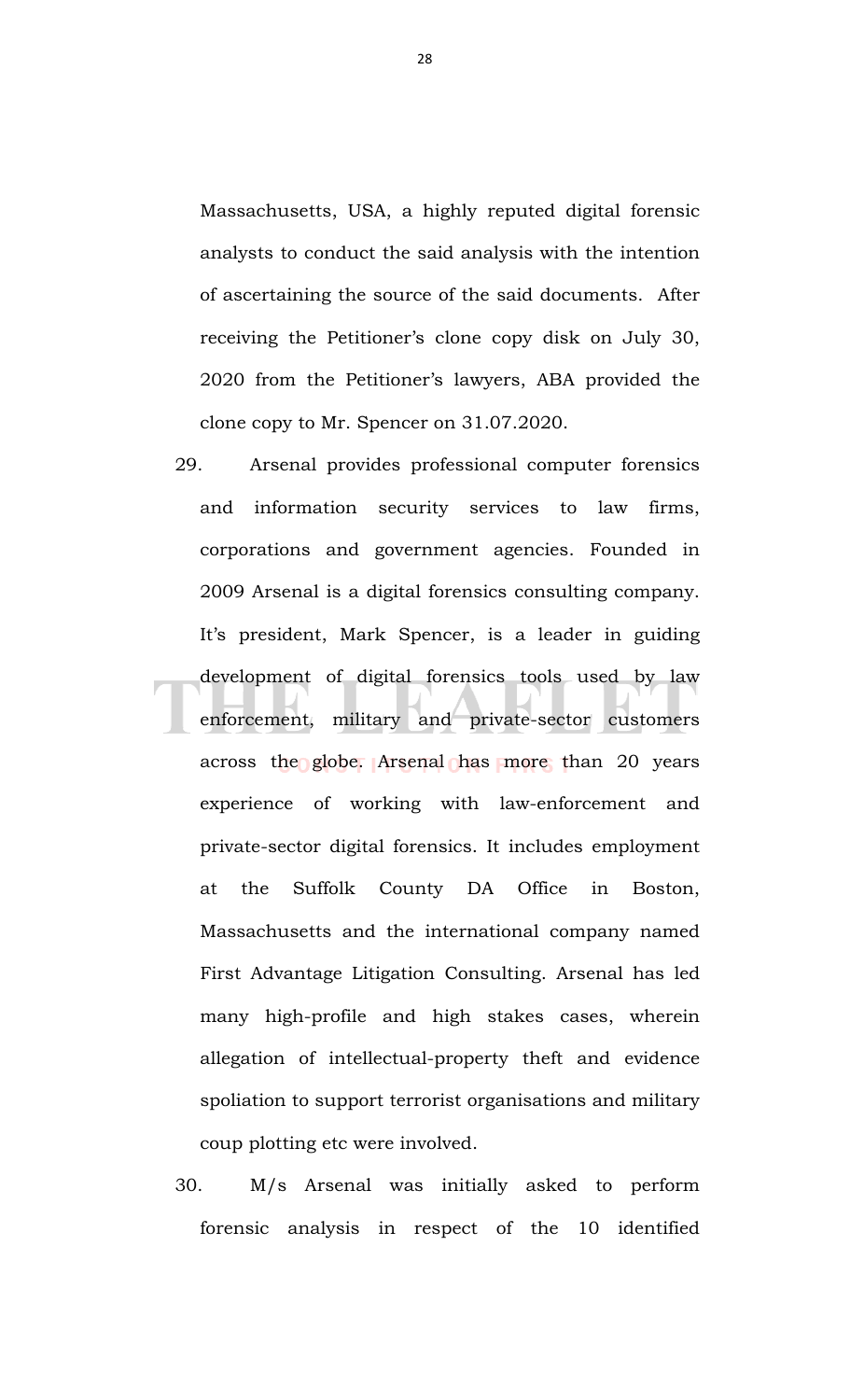Massachusetts, USA, a highly reputed digital forensic analysts to conduct the said analysis with the intention of ascertaining the source of the said documents. After receiving the Petitioner's clone copy disk on July 30, 2020 from the Petitioner's lawyers, ABA provided the clone copy to Mr. Spencer on 31.07.2020.

- 29. Arsenal provides professional computer forensics and information security services to law firms, corporations and government agencies. Founded in 2009 Arsenal is a digital forensics consulting company. It's president, Mark Spencer, is a leader in guiding development of digital forensics tools used by law enforcement, military and private-sector customers across the globe. Arsenal has more than 20 years experience of working with law-enforcement and private-sector digital forensics. It includes employment at the Suffolk County DA Office in Boston, Massachusetts and the international company named First Advantage Litigation Consulting. Arsenal has led many high-profile and high stakes cases, wherein allegation of intellectual-property theft and evidence spoliation to support terrorist organisations and military coup plotting etc were involved.
- 30. M/s Arsenal was initially asked to perform forensic analysis in respect of the 10 identified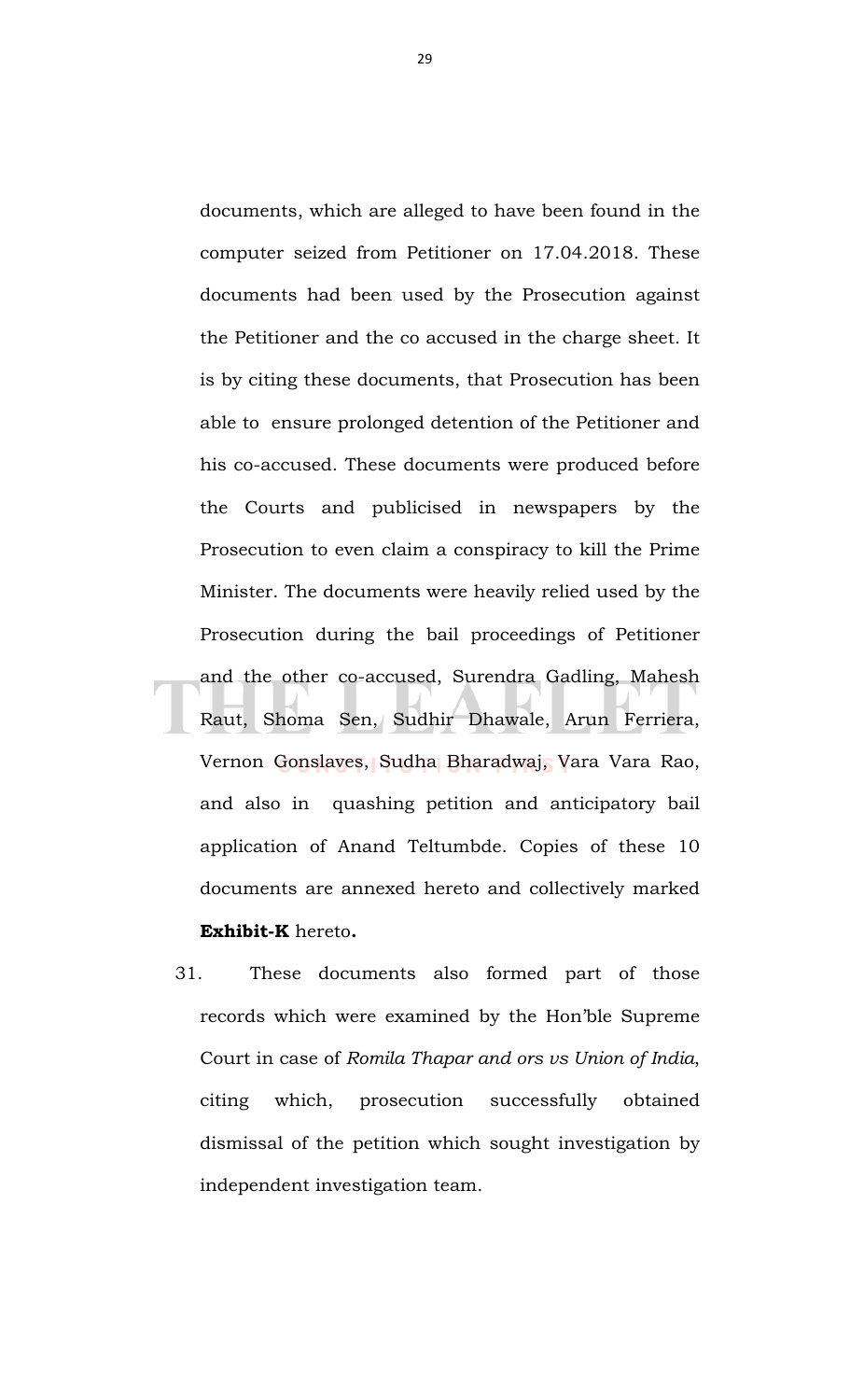documents, which are alleged to have been found in the computer seized from Petitioner on 17.04.2018. These documents had been used by the Prosecution against the Petitioner and the co accused in the charge sheet. It is by citing these documents, that Prosecution has been able to ensure prolonged detention of the Petitioner and his co-accused. These documents were produced before the Courts and publicised in newspapers by the Prosecution to even claim a conspiracy to kill the Prime Minister. The documents were heavily relied used by the Prosecution during the bail proceedings of Petitioner and the other co-accused, Surendra Gadling, Mahesh Raut, Shoma Sen, Sudhir Dhawale, Arun Ferriera, Vernon Gonslaves, Sudha Bharadwaj, Vara Vara Rao, and also in quashing petition and anticipatory bail application of Anand Teltumbde. Copies of these 10 documents are annexed hereto and collectively marked **Exhibit-K** hereto**.**

31. These documents also formed part of those records which were examined by the Hon'ble Supreme Court in case of *Romila Thapar and ors vs Union of India*, citing which, prosecution successfully obtained dismissal of the petition which sought investigation by independent investigation team.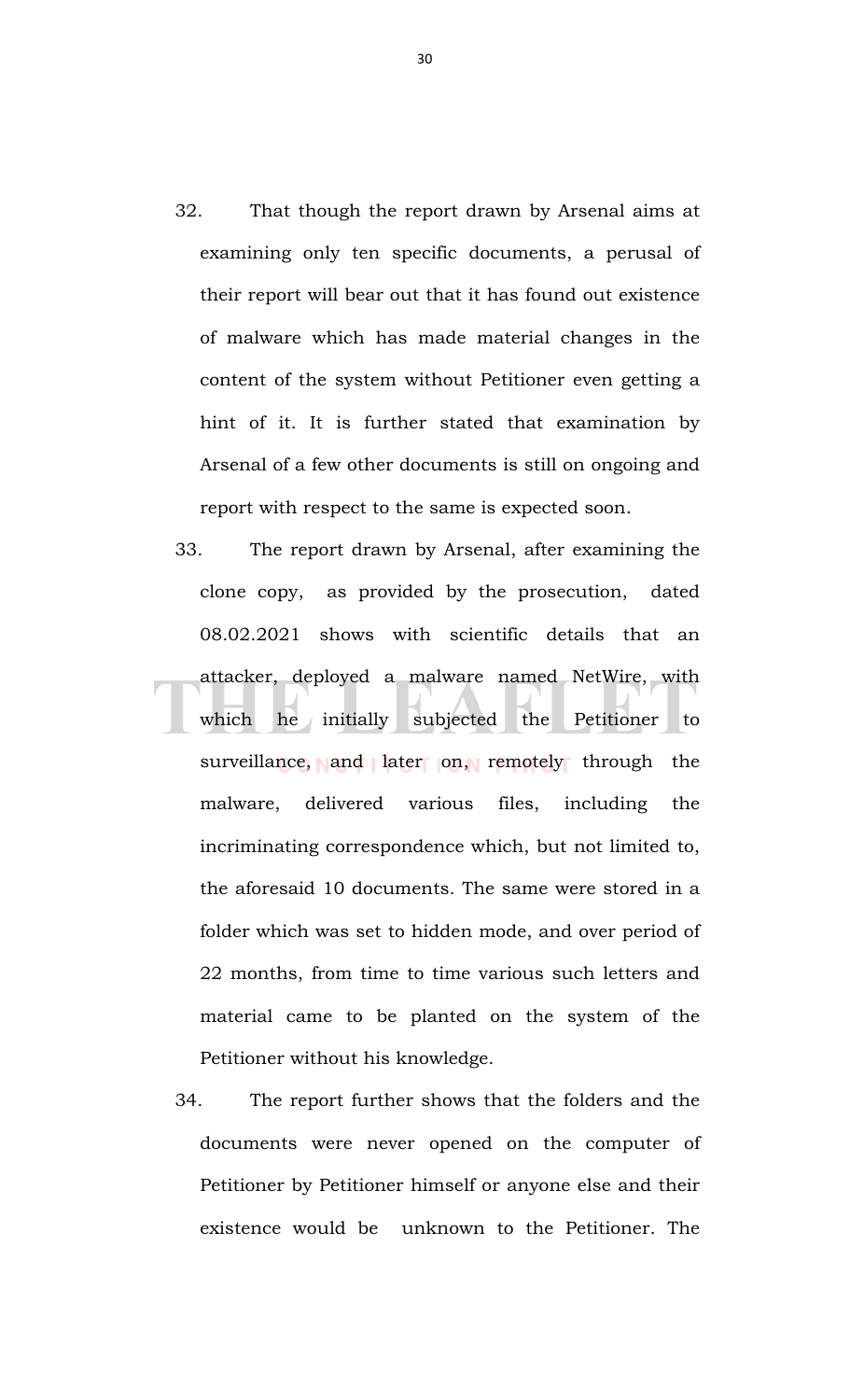- 32. That though the report drawn by Arsenal aims at examining only ten specific documents, a perusal of their report will bear out that it has found out existence of malware which has made material changes in the content of the system without Petitioner even getting a hint of it. It is further stated that examination by Arsenal of a few other documents is still on ongoing and report with respect to the same is expected soon.
- 33. The report drawn by Arsenal, after examining the clone copy, as provided by the prosecution, dated 08.02.2021 shows with scientific details that an attacker, deployed a malware named NetWire, with which he initially subjected the Petitioner to surveillance, and later on, remotely through the malware, delivered various files, including the incriminating correspondence which, but not limited to, the aforesaid 10 documents. The same were stored in a folder which was set to hidden mode, and over period of 22 months, from time to time various such letters and material came to be planted on the system of the Petitioner without his knowledge.
- 34. The report further shows that the folders and the documents were never opened on the computer of Petitioner by Petitioner himself or anyone else and their existence would be unknown to the Petitioner. The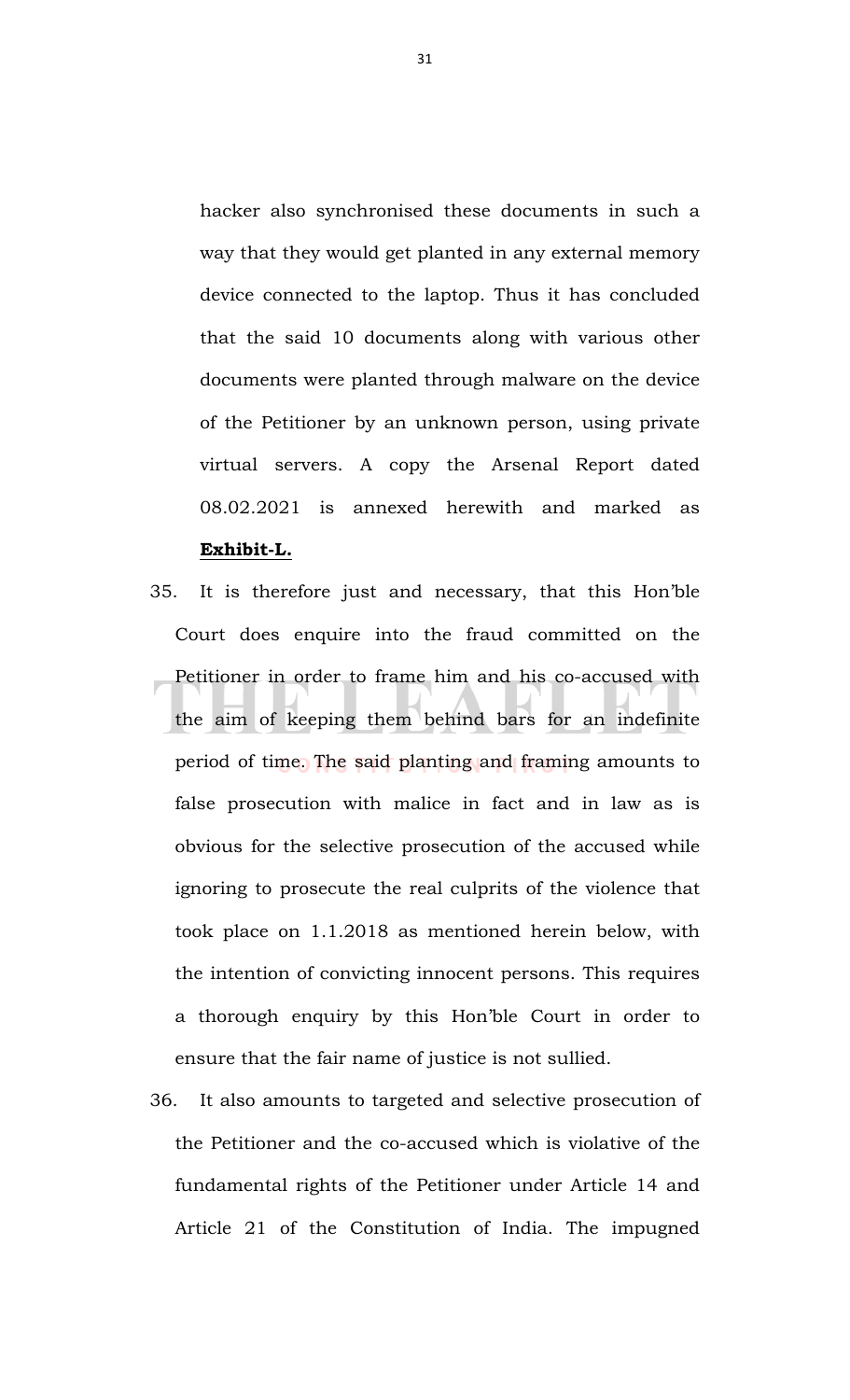hacker also synchronised these documents in such a way that they would get planted in any external memory device connected to the laptop. Thus it has concluded that the said 10 documents along with various other documents were planted through malware on the device of the Petitioner by an unknown person, using private virtual servers. A copy the Arsenal Report dated 08.02.2021 is annexed herewith and marked as **Exhibit-L.**

- 35. It is therefore just and necessary, that this Hon'ble Court does enquire into the fraud committed on the Petitioner in order to frame him and his co-accused with the aim of keeping them behind bars for an indefinite period of time. The said planting and framing amounts to false prosecution with malice in fact and in law as is obvious for the selective prosecution of the accused while ignoring to prosecute the real culprits of the violence that took place on 1.1.2018 as mentioned herein below, with the intention of convicting innocent persons. This requires a thorough enquiry by this Hon'ble Court in order to ensure that the fair name of justice is not sullied.
- 36. It also amounts to targeted and selective prosecution of the Petitioner and the co-accused which is violative of the fundamental rights of the Petitioner under Article 14 and Article 21 of the Constitution of India. The impugned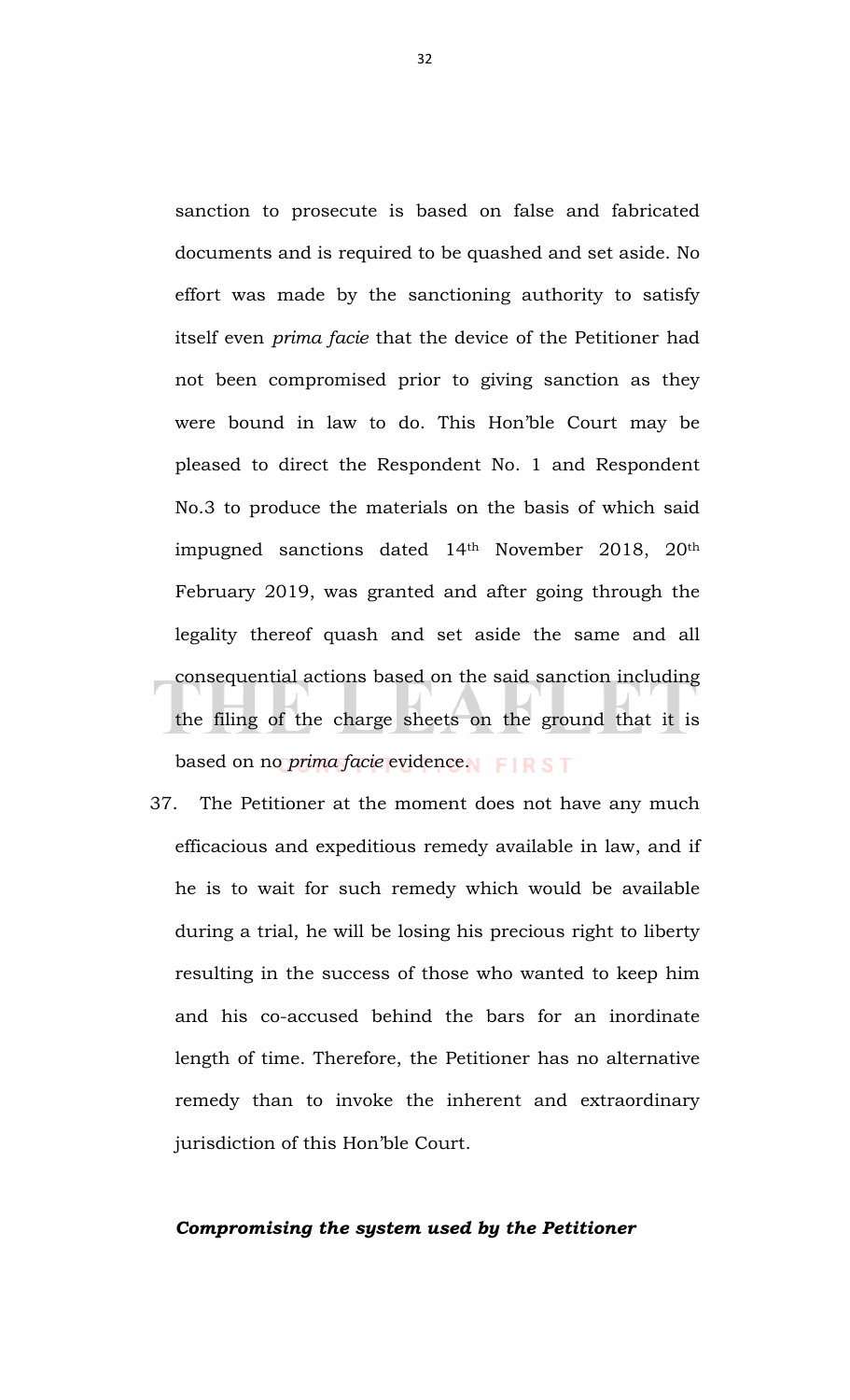sanction to prosecute is based on false and fabricated documents and is required to be quashed and set aside. No effort was made by the sanctioning authority to satisfy itself even *prima facie* that the device of the Petitioner had not been compromised prior to giving sanction as they were bound in law to do. This Hon'ble Court may be pleased to direct the Respondent No. 1 and Respondent No.3 to produce the materials on the basis of which said impugned sanctions dated 14th November 2018, 20th February 2019, was granted and after going through the legality thereof quash and set aside the same and all consequential actions based on the said sanction including the filing of the charge sheets on the ground that it is based on no *prima facie* evidence. FIRST

37. The Petitioner at the moment does not have any much efficacious and expeditious remedy available in law, and if he is to wait for such remedy which would be available during a trial, he will be losing his precious right to liberty resulting in the success of those who wanted to keep him and his co-accused behind the bars for an inordinate length of time. Therefore, the Petitioner has no alternative remedy than to invoke the inherent and extraordinary jurisdiction of this Hon'ble Court.

## *Compromising the system used by the Petitioner*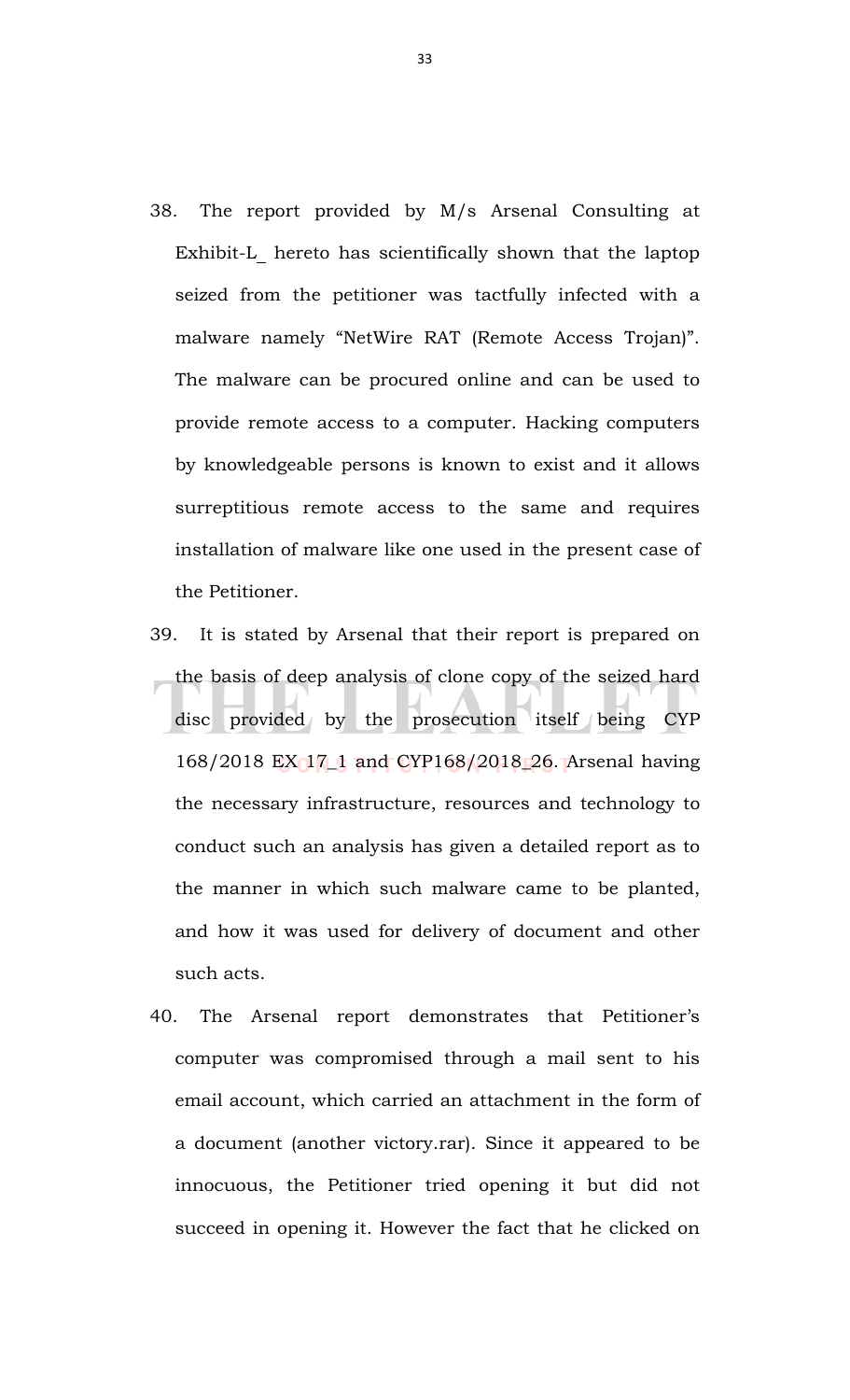- 38. The report provided by M/s Arsenal Consulting at Exhibit-L hereto has scientifically shown that the laptop seized from the petitioner was tactfully infected with a malware namely "NetWire RAT (Remote Access Trojan)". The malware can be procured online and can be used to provide remote access to a computer. Hacking computers by knowledgeable persons is known to exist and it allows surreptitious remote access to the same and requires installation of malware like one used in the present case of the Petitioner.
- 39. It is stated by Arsenal that their report is prepared on the basis of deep analysis of clone copy of the seized hard disc provided by the prosecution itself being CYP 168/2018 EX 17\_1 and CYP168/2018\_26. Arsenal having the necessary infrastructure, resources and technology to conduct such an analysis has given a detailed report as to the manner in which such malware came to be planted, and how it was used for delivery of document and other such acts.
- 40. The Arsenal report demonstrates that Petitioner's computer was compromised through a mail sent to his email account, which carried an attachment in the form of a document (another victory.rar). Since it appeared to be innocuous, the Petitioner tried opening it but did not succeed in opening it. However the fact that he clicked on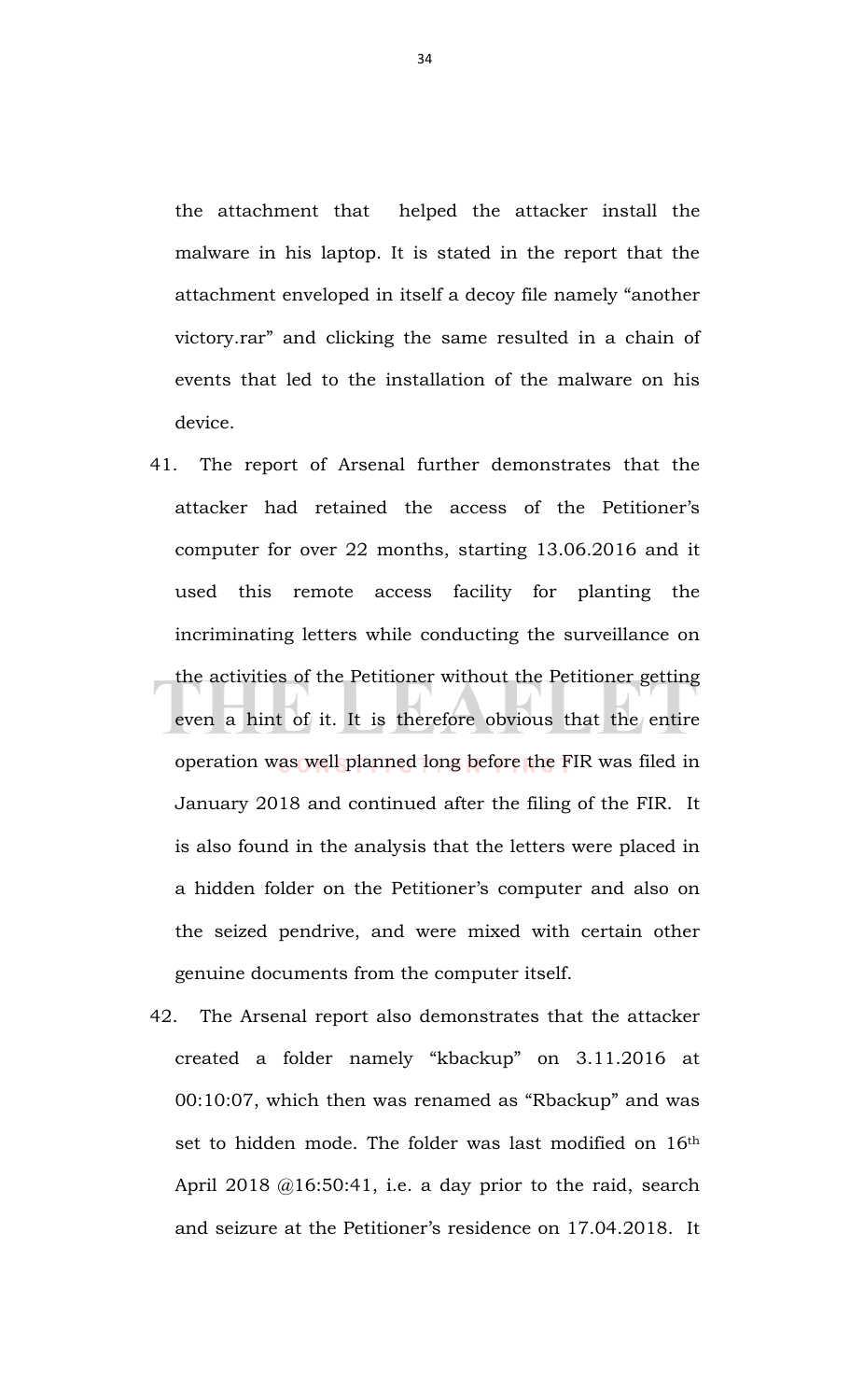the attachment that helped the attacker install the malware in his laptop. It is stated in the report that the attachment enveloped in itself a decoy file namely "another victory.rar" and clicking the same resulted in a chain of events that led to the installation of the malware on his device.

- 41. The report of Arsenal further demonstrates that the attacker had retained the access of the Petitioner's computer for over 22 months, starting 13.06.2016 and it used this remote access facility for planting the incriminating letters while conducting the surveillance on the activities of the Petitioner without the Petitioner getting even a hint of it. It is therefore obvious that the entire operation was well planned long before the FIR was filed in January 2018 and continued after the filing of the FIR. It is also found in the analysis that the letters were placed in a hidden folder on the Petitioner's computer and also on the seized pendrive, and were mixed with certain other genuine documents from the computer itself.
- 42. The Arsenal report also demonstrates that the attacker created a folder namely "kbackup" on 3.11.2016 at 00:10:07, which then was renamed as "Rbackup" and was set to hidden mode. The folder was last modified on 16<sup>th</sup> April 2018 @16:50:41, i.e. a day prior to the raid, search and seizure at the Petitioner's residence on 17.04.2018. It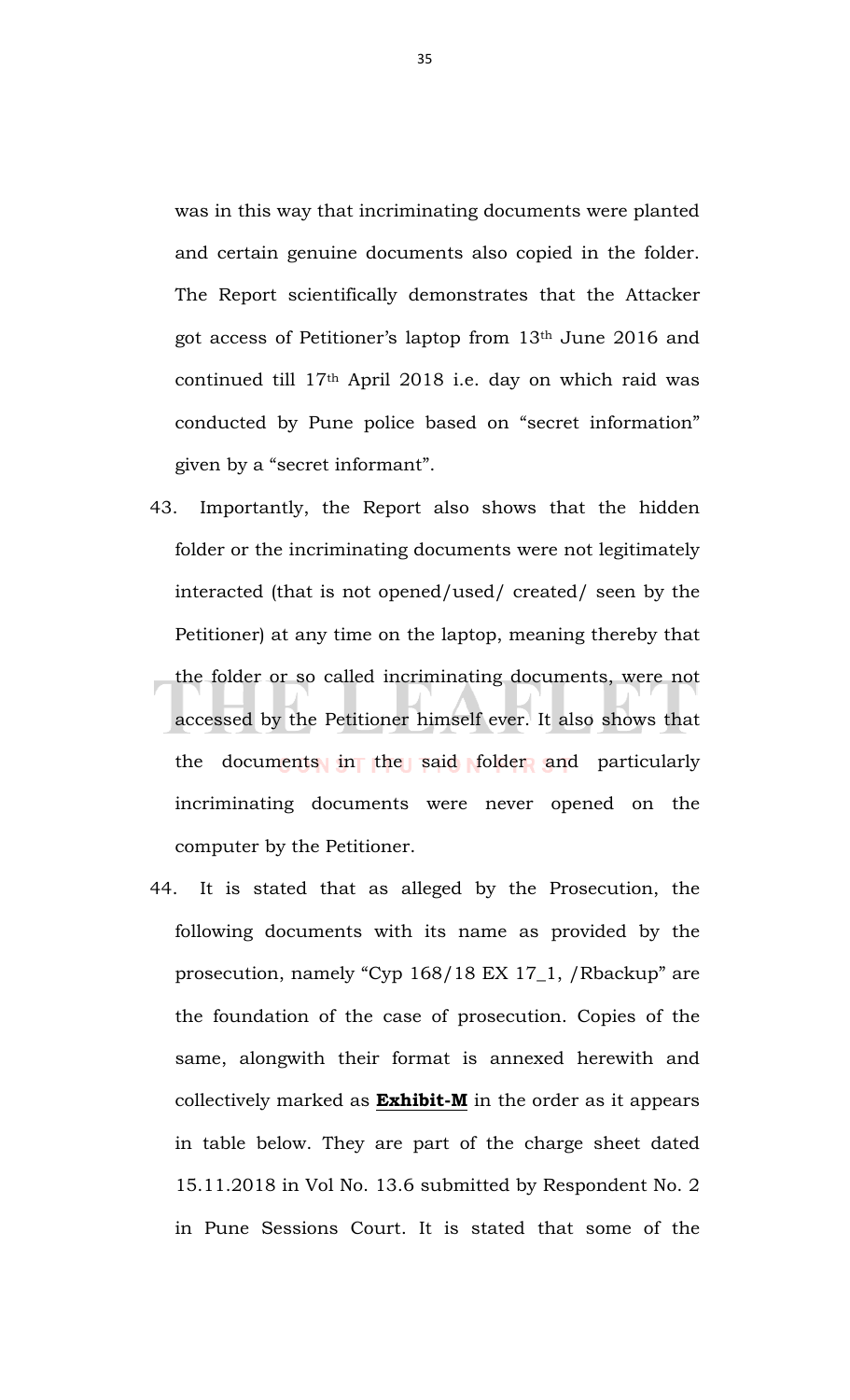was in this way that incriminating documents were planted and certain genuine documents also copied in the folder. The Report scientifically demonstrates that the Attacker got access of Petitioner's laptop from 13th June 2016 and continued till 17th April 2018 i.e. day on which raid was conducted by Pune police based on "secret information" given by a "secret informant".

- 43. Importantly, the Report also shows that the hidden folder or the incriminating documents were not legitimately interacted (that is not opened/used/ created/ seen by the Petitioner) at any time on the laptop, meaning thereby that the folder or so called incriminating documents, were not accessed by the Petitioner himself ever. It also shows that the documents in the said folder and particularly incriminating documents were never opened on the computer by the Petitioner.
- 44. It is stated that as alleged by the Prosecution, the following documents with its name as provided by the prosecution, namely "Cyp 168/18 EX 17\_1, /Rbackup" are the foundation of the case of prosecution. Copies of the same, alongwith their format is annexed herewith and collectively marked as **Exhibit-M** in the order as it appears in table below. They are part of the charge sheet dated 15.11.2018 in Vol No. 13.6 submitted by Respondent No. 2 in Pune Sessions Court. It is stated that some of the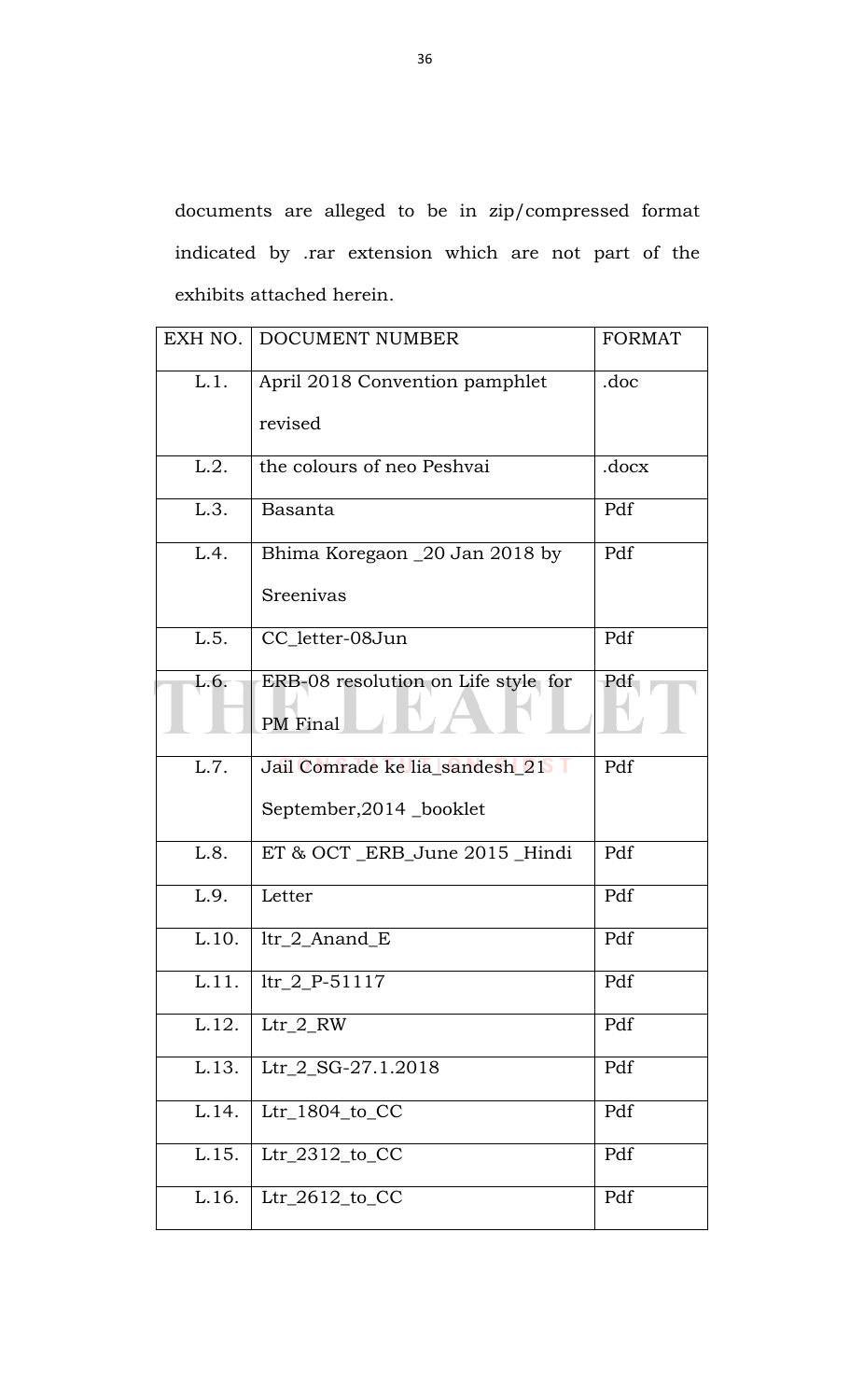documents are alleged to be in zip/compressed format indicated by .rar extension which are not part of the exhibits attached herein.

| EXH NO. | DOCUMENT NUMBER                                 | <b>FORMAT</b> |
|---------|-------------------------------------------------|---------------|
| L.1.    | April 2018 Convention pamphlet                  | .doc          |
|         | revised                                         |               |
| L.2.    | the colours of neo Peshvai                      | .docx         |
| L.3.    | Basanta                                         | Pdf           |
| L.4.    | Bhima Koregaon _20 Jan 2018 by                  | Pdf           |
|         | Sreenivas                                       |               |
| L.5.    | CC_letter-08Jun                                 | Pdf           |
| L.6.    | ERB-08 resolution on Life style for<br>PM Final | Pdf           |
| L.7.    | Jail Comrade ke lia_sandesh_21                  | Pdf           |
|         | September, 2014 _booklet                        |               |
| L.8.    | ET & OCT_ERB_June 2015 _Hindi                   | Pdf           |
| L.9.    | Letter                                          | Pdf           |
| L.10.   | $ltr_2_A$ Anand $_E$                            | Pdf           |
| L.11.   | $1tr_2 P-51117$                                 | Pdf           |
| L.12.   | $Ltr_2 RW$                                      | Pdf           |
| L.13.   | Ltr_2_SG-27.1.2018                              | Pdf           |
| L.14.   | Ltr_1804_to_CC                                  | Pdf           |
| L.15.   | $Ltr_2312_to_C$                                 | Pdf           |
| L.16.   | $Ltr_2612_to_C$                                 | Pdf           |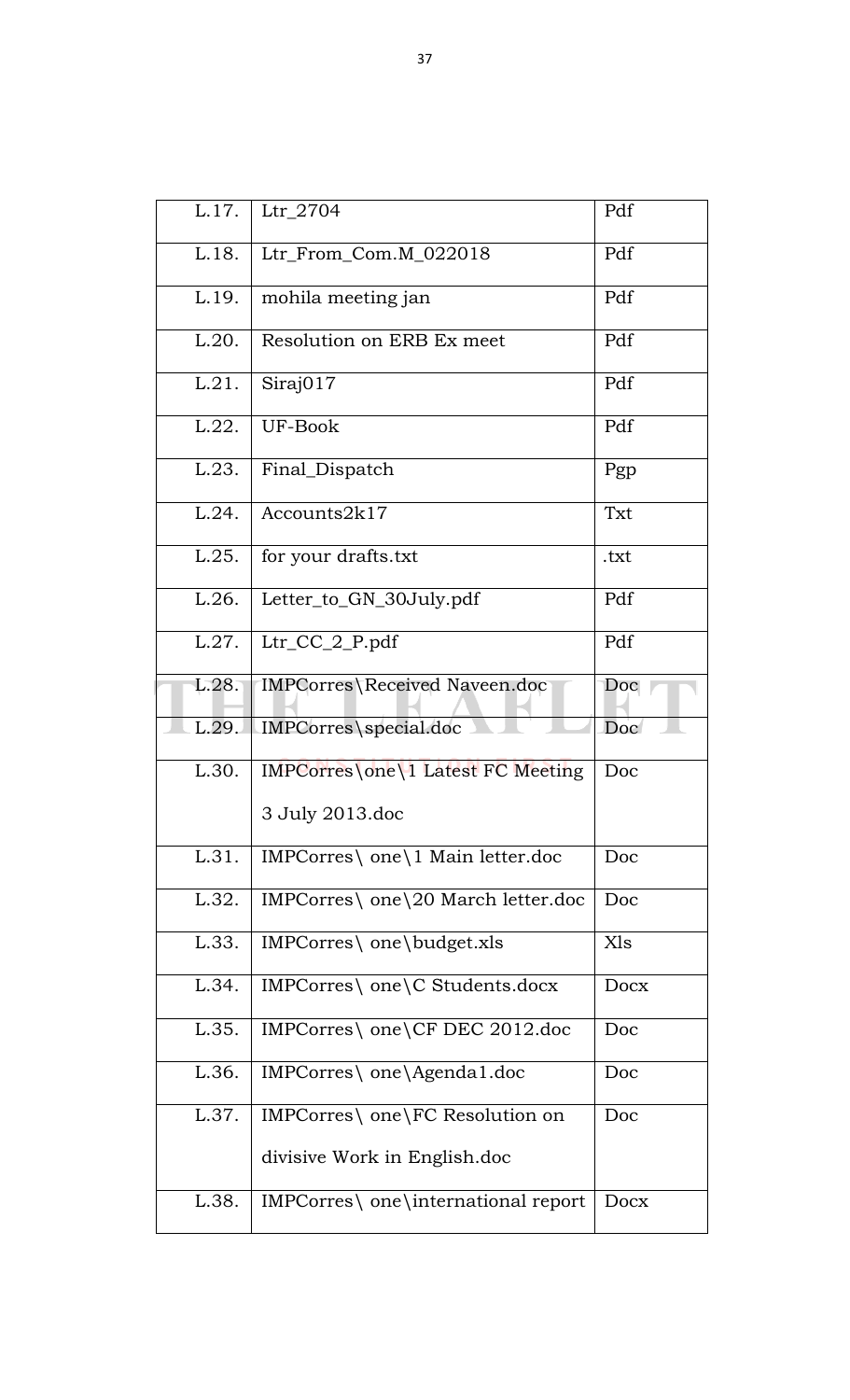| Ltr_2704                               | Pdf  |
|----------------------------------------|------|
| Ltr_From_Com.M_022018                  | Pdf  |
| mohila meeting jan                     | Pdf  |
| Resolution on ERB Ex meet              | Pdf  |
| Siraj017                               | Pdf  |
| UF-Book                                | Pdf  |
| Final_Dispatch                         | Pgp  |
| Accounts2k17                           | Txt  |
| for your drafts.txt                    | .txt |
| Letter_to_GN_30July.pdf                | Pdf  |
| Ltr_CC_2_P.pdf                         | Pdf  |
| IMPCorres\Received Naveen.doc          | Doc  |
| IMPCorres\special.doc                  | Doc  |
| IMPCorres\one\1 Latest FC Meeting      | Doc  |
| 3 July 2013.doc                        |      |
| IMPCorres\ one\1 Main letter.doc       | Doc  |
| $IMPCorres \ one \20 March letter.doc$ | Doc  |
| IMPCorres\ one\budget.xls              | Xls  |
| IMPCorres\ one\C Students.docx         | Docx |
| IMPCorres\ one\CF DEC 2012.doc         | Doc  |
| IMPCorres\ one\Agenda1.doc             | Doc  |
| IMPCorres\ one\FC Resolution on        | Doc  |
| divisive Work in English.doc           |      |
| IMPCorres\ one\international report    | Docx |
|                                        |      |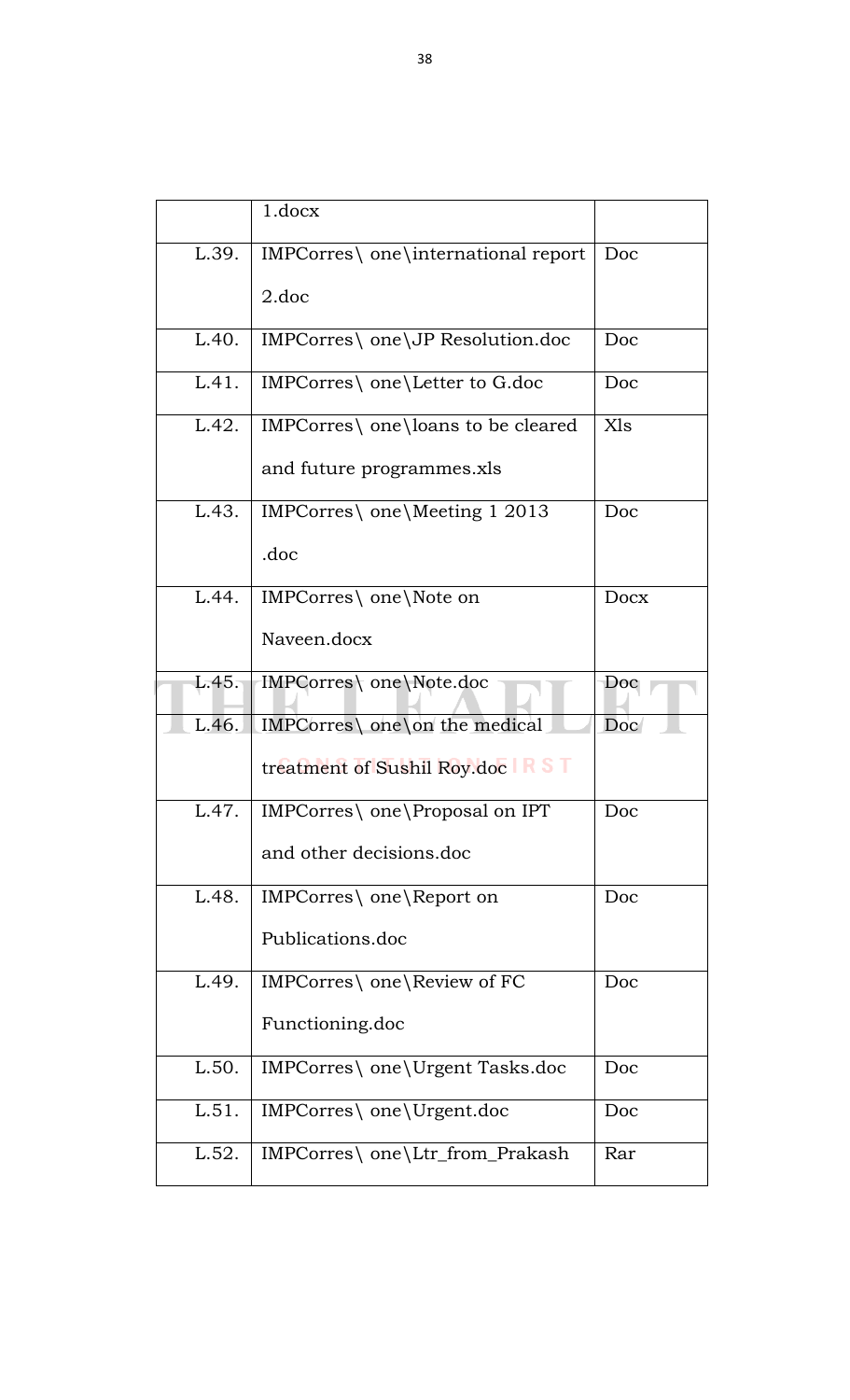|       | 1.docx                              |      |
|-------|-------------------------------------|------|
| L.39. | IMPCorres\ one\international report | Doc  |
|       | 2.doc                               |      |
| L.40. | IMPCorres\ one\JP Resolution.doc    | Doc  |
| L.41. | IMPCorres\ one\Letter to G.doc      | Doc  |
| L.42. | IMPCorres\ one\loans to be cleared  | Xls  |
|       | and future programmes.xls           |      |
| L.43. | IMPCorres\ one\Meeting 1 2013       | Doc  |
|       | .doc                                |      |
| L.44. | IMPCorres\ one\Note on              | Docx |
|       | Naveen.docx                         |      |
| L.45. | IMPCorres\ one\Note.doc             | Doc  |
| L.46. | IMPCorres\ one\on the medical       | Doc  |
|       | treatment of Sushil Roy.doc RST     |      |
| L.47. | IMPCorres\ one\Proposal on IPT      | Doc  |
|       | and other decisions.doc             |      |
| L.48. | IMPCorres\ one\Report on            | Doc  |
|       | Publications.doc                    |      |
| L.49. | IMPCorres\ one\Review of FC         | Doc  |
|       | Functioning.doc                     |      |
| L.50. | IMPCorres\ one\Urgent Tasks.doc     | Doc  |
| L.51. | IMPCorres\ one\Urgent.doc           | Doc  |
| L.52. | IMPCorres\ one\Ltr_from_Prakash     | Rar  |
|       |                                     |      |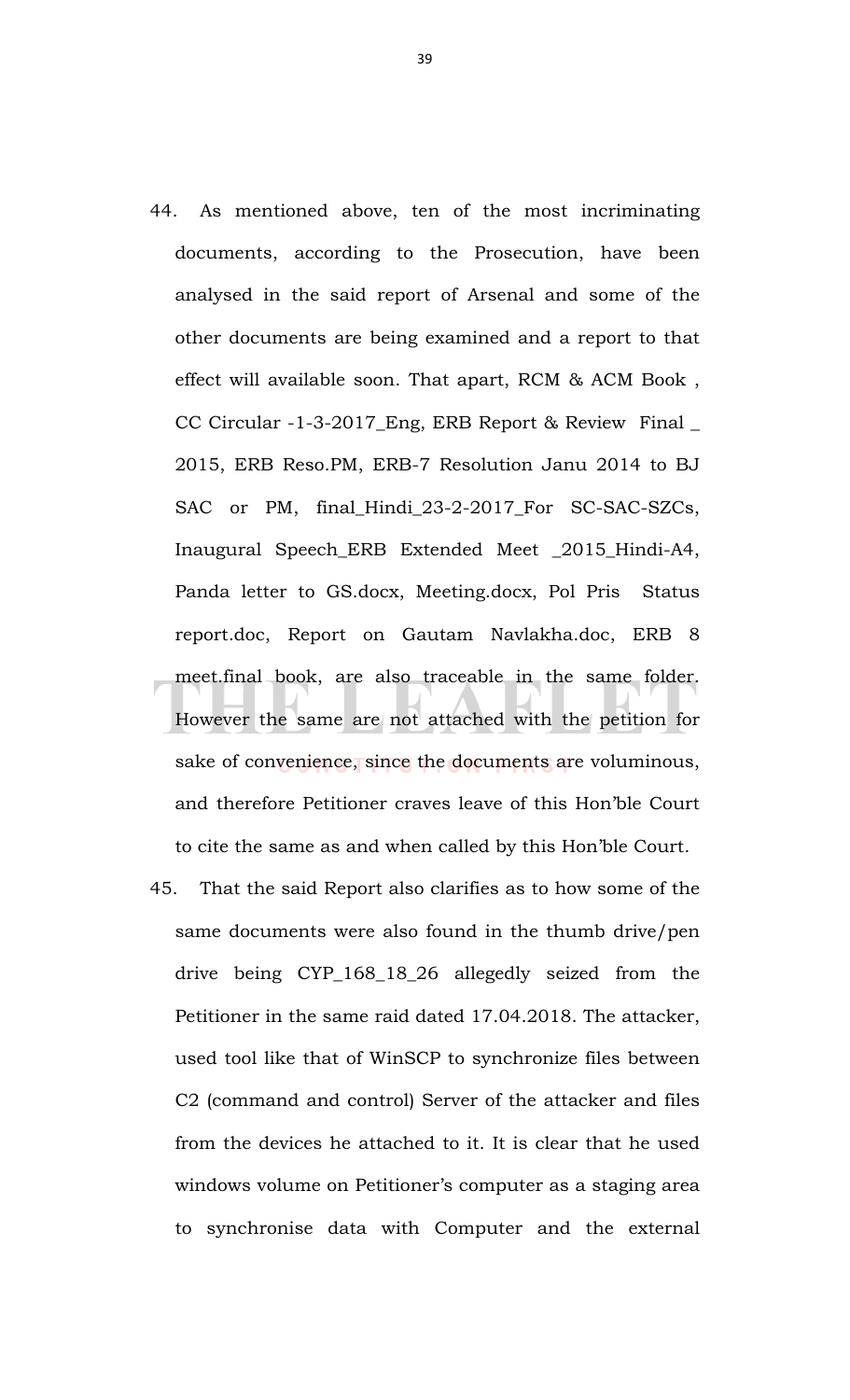- 44. As mentioned above, ten of the most incriminating documents, according to the Prosecution, have been analysed in the said report of Arsenal and some of the other documents are being examined and a report to that effect will available soon. That apart, RCM & ACM Book , CC Circular -1-3-2017\_Eng, ERB Report & Review Final \_ 2015, ERB Reso.PM, ERB-7 Resolution Janu 2014 to BJ SAC or PM, final\_Hindi\_23-2-2017\_For SC-SAC-SZCs, Inaugural Speech\_ERB Extended Meet \_2015\_Hindi-A4, Panda letter to GS.docx, Meeting.docx, Pol Pris Status report.doc, Report on Gautam Navlakha.doc, ERB 8 meet.final book, are also traceable in the same folder. However the same are not attached with the petition for sake of convenience, since the documents are voluminous, and therefore Petitioner craves leave of this Hon'ble Court to cite the same as and when called by this Hon'ble Court.
- 45. That the said Report also clarifies as to how some of the same documents were also found in the thumb drive/pen drive being CYP\_168\_18\_26 allegedly seized from the Petitioner in the same raid dated 17.04.2018. The attacker, used tool like that of WinSCP to synchronize files between C2 (command and control) Server of the attacker and files from the devices he attached to it. It is clear that he used windows volume on Petitioner's computer as a staging area to synchronise data with Computer and the external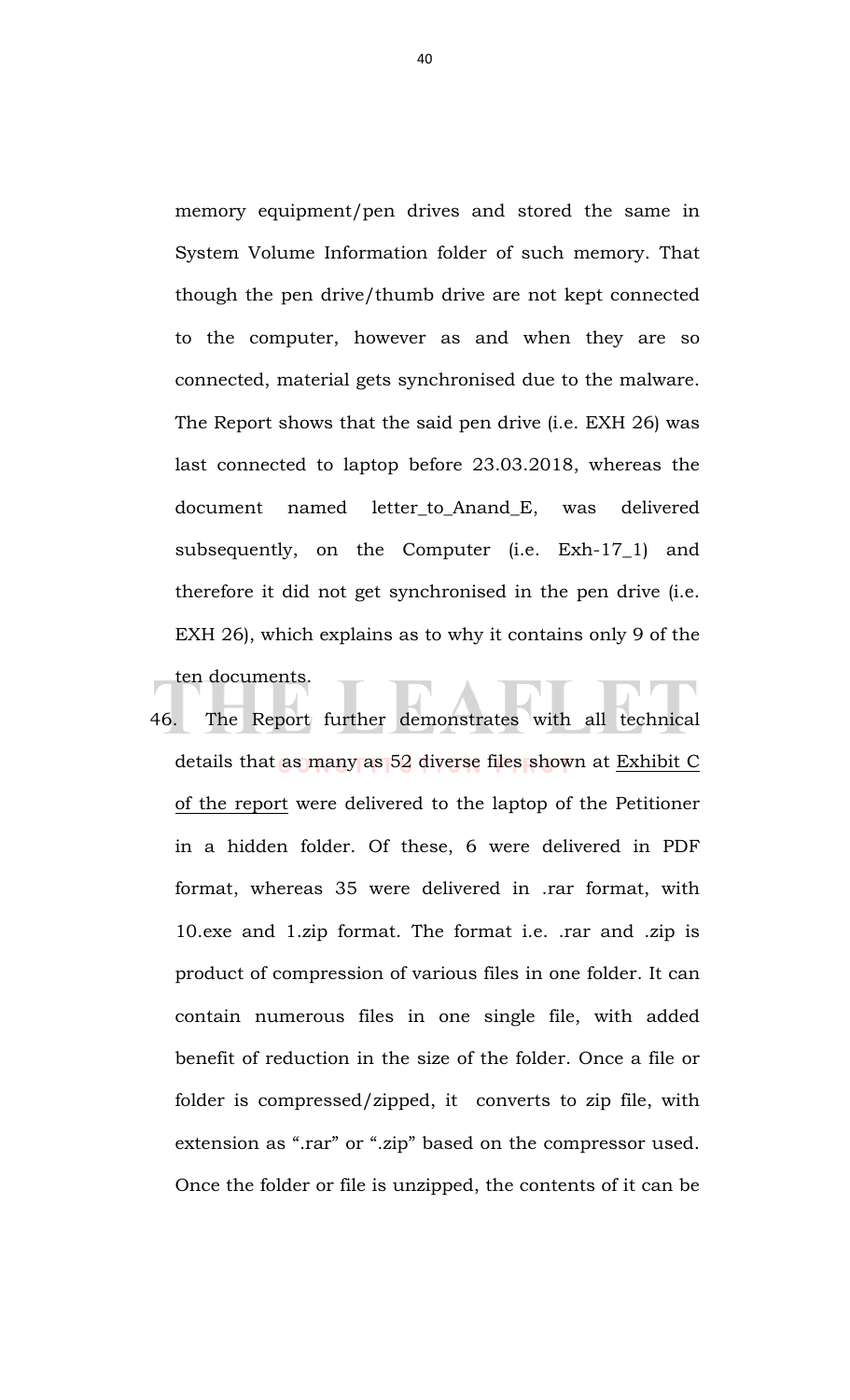memory equipment/pen drives and stored the same in System Volume Information folder of such memory. That though the pen drive/thumb drive are not kept connected to the computer, however as and when they are so connected, material gets synchronised due to the malware. The Report shows that the said pen drive (i.e. EXH 26) was last connected to laptop before 23.03.2018, whereas the document named letter\_to\_Anand\_E, was delivered subsequently, on the Computer (i.e. Exh-17\_1) and therefore it did not get synchronised in the pen drive (i.e. EXH 26), which explains as to why it contains only 9 of the ten documents.

46. The Report further demonstrates with all technical details that as many as 52 diverse files shown at Exhibit C of the report were delivered to the laptop of the Petitioner in a hidden folder. Of these, 6 were delivered in PDF format, whereas 35 were delivered in .rar format, with 10.exe and 1.zip format. The format i.e. .rar and .zip is product of compression of various files in one folder. It can contain numerous files in one single file, with added benefit of reduction in the size of the folder. Once a file or folder is compressed/zipped, it converts to zip file, with extension as ".rar" or ".zip" based on the compressor used. Once the folder or file is unzipped, the contents of it can be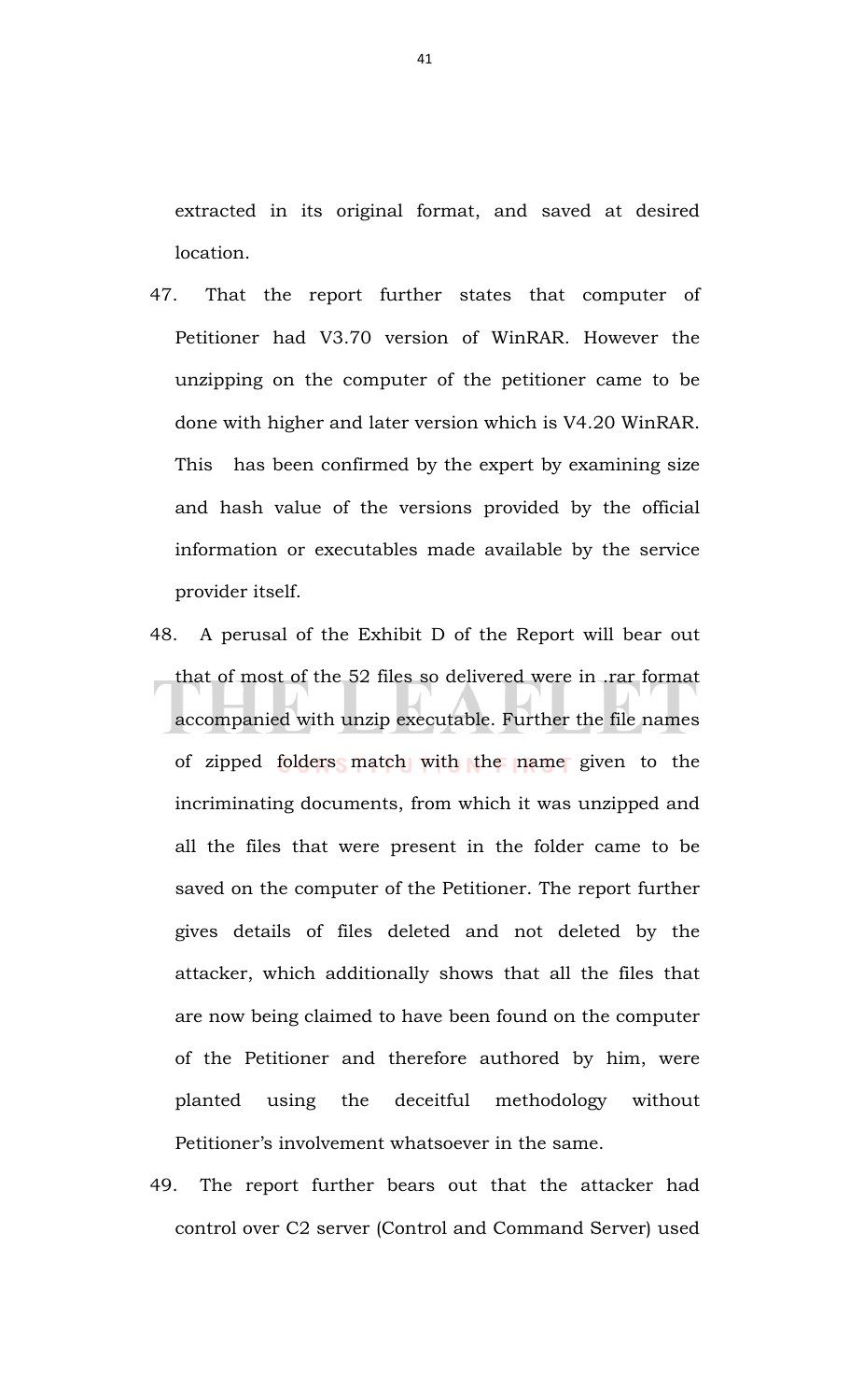extracted in its original format, and saved at desired location.

- 47. That the report further states that computer of Petitioner had V3.70 version of WinRAR. However the unzipping on the computer of the petitioner came to be done with higher and later version which is V4.20 WinRAR. This has been confirmed by the expert by examining size and hash value of the versions provided by the official information or executables made available by the service provider itself.
- 48. A perusal of the Exhibit D of the Report will bear out that of most of the 52 files so delivered were in .rar format accompanied with unzip executable. Further the file names of zipped folders match with the name given to the incriminating documents, from which it was unzipped and all the files that were present in the folder came to be saved on the computer of the Petitioner. The report further gives details of files deleted and not deleted by the attacker, which additionally shows that all the files that are now being claimed to have been found on the computer of the Petitioner and therefore authored by him, were planted using the deceitful methodology without Petitioner's involvement whatsoever in the same.
- 49. The report further bears out that the attacker had control over C2 server (Control and Command Server) used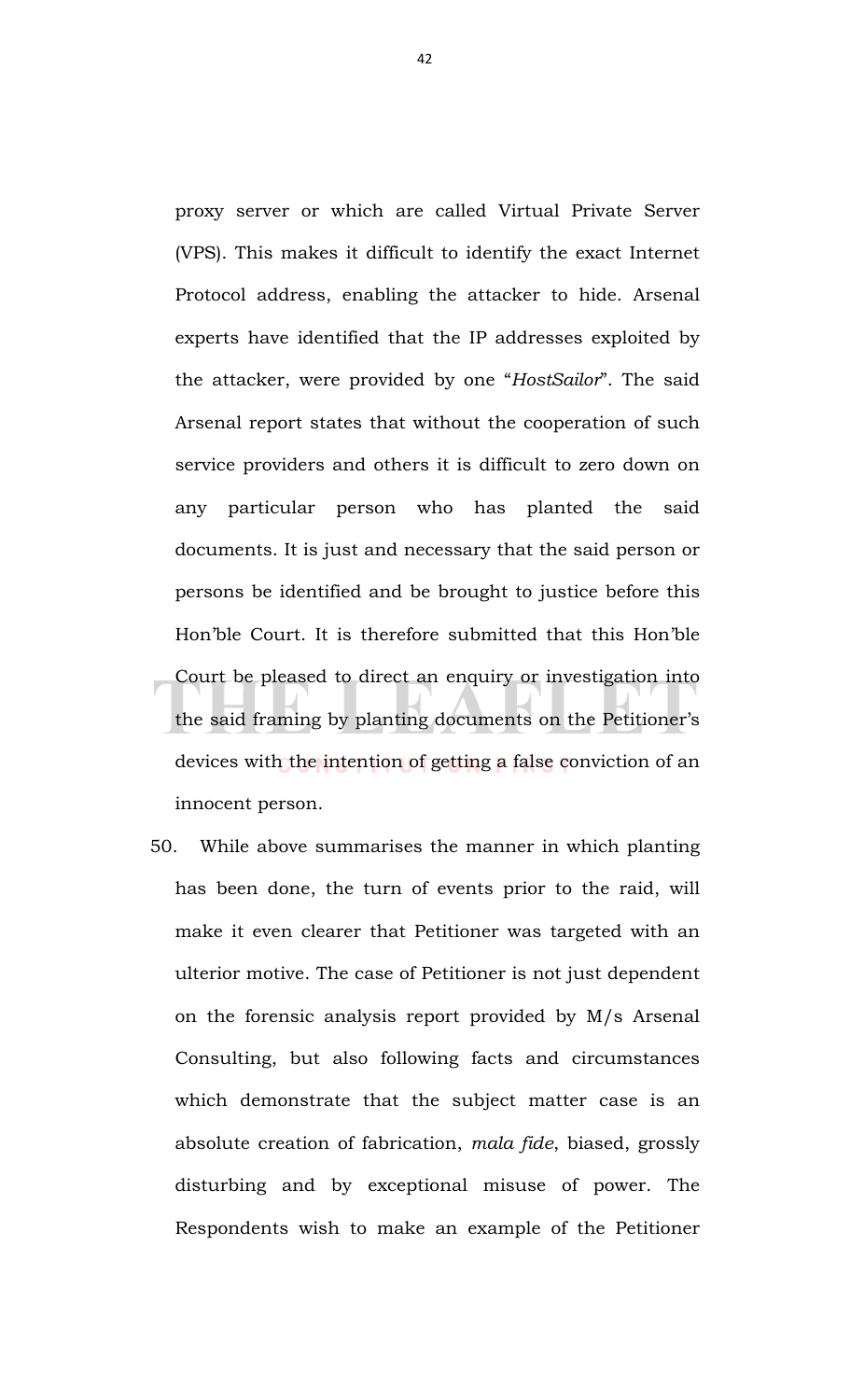proxy server or which are called Virtual Private Server (VPS). This makes it difficult to identify the exact Internet Protocol address, enabling the attacker to hide. Arsenal experts have identified that the IP addresses exploited by the attacker, were provided by one "*HostSailor*". The said Arsenal report states that without the cooperation of such service providers and others it is difficult to zero down on any particular person who has planted the said documents. It is just and necessary that the said person or persons be identified and be brought to justice before this Hon'ble Court. It is therefore submitted that this Hon'ble Court be pleased to direct an enquiry or investigation into the said framing by planting documents on the Petitioner's devices with the intention of getting a false conviction of an innocent person.

50. While above summarises the manner in which planting has been done, the turn of events prior to the raid, will make it even clearer that Petitioner was targeted with an ulterior motive. The case of Petitioner is not just dependent on the forensic analysis report provided by M/s Arsenal Consulting, but also following facts and circumstances which demonstrate that the subject matter case is an absolute creation of fabrication, *mala fide*, biased, grossly disturbing and by exceptional misuse of power. The Respondents wish to make an example of the Petitioner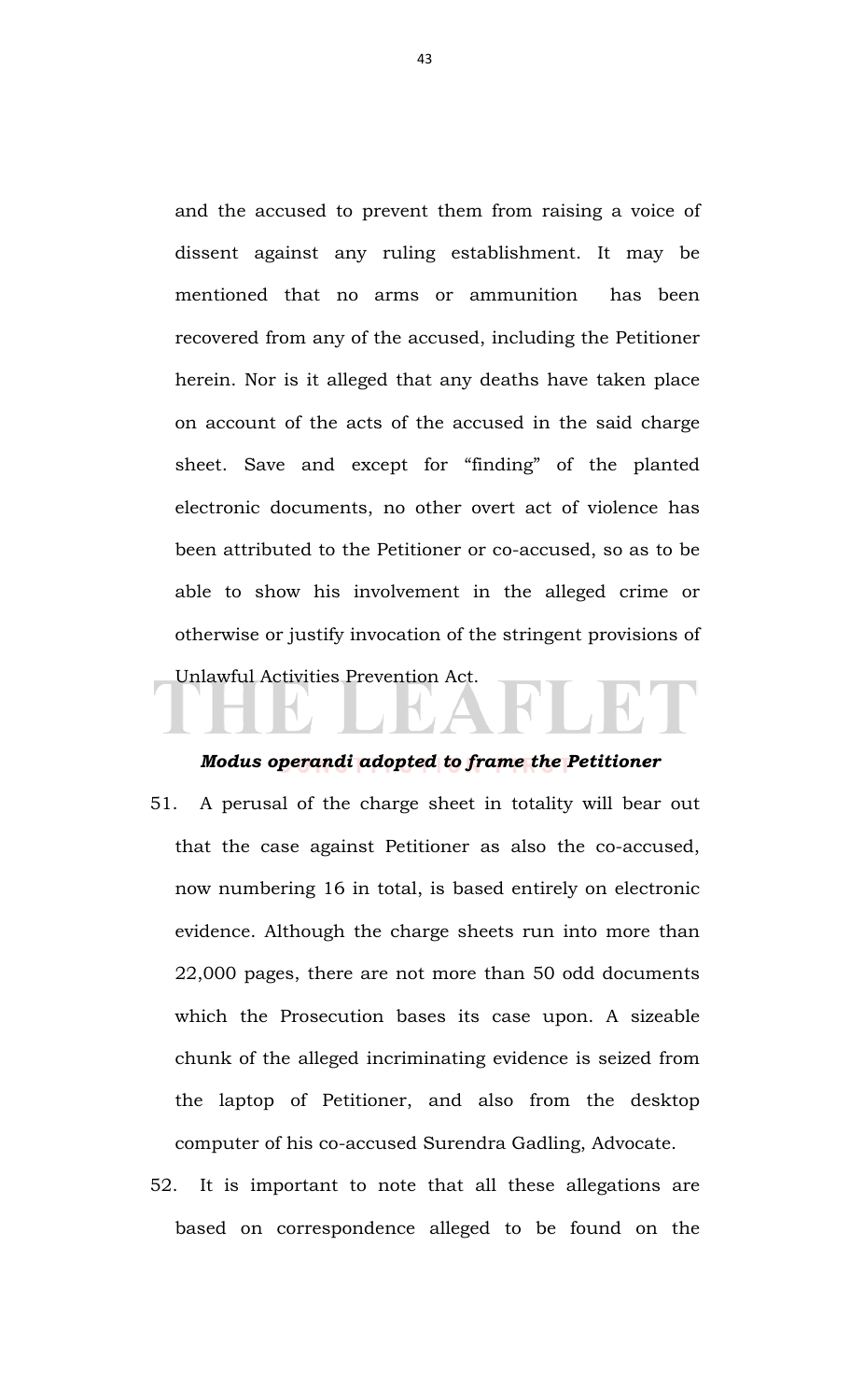and the accused to prevent them from raising a voice of dissent against any ruling establishment. It may be mentioned that no arms or ammunition has been recovered from any of the accused, including the Petitioner herein. Nor is it alleged that any deaths have taken place on account of the acts of the accused in the said charge sheet. Save and except for "finding" of the planted electronic documents, no other overt act of violence has been attributed to the Petitioner or co-accused, so as to be able to show his involvement in the alleged crime or otherwise or justify invocation of the stringent provisions of Unlawful Activities Prevention Act.

#### *Modus operandi adopted to frame the Petitioner*

- 51. A perusal of the charge sheet in totality will bear out that the case against Petitioner as also the co-accused, now numbering 16 in total, is based entirely on electronic evidence. Although the charge sheets run into more than 22,000 pages, there are not more than 50 odd documents which the Prosecution bases its case upon. A sizeable chunk of the alleged incriminating evidence is seized from the laptop of Petitioner, and also from the desktop computer of his co-accused Surendra Gadling, Advocate.
- 52. It is important to note that all these allegations are based on correspondence alleged to be found on the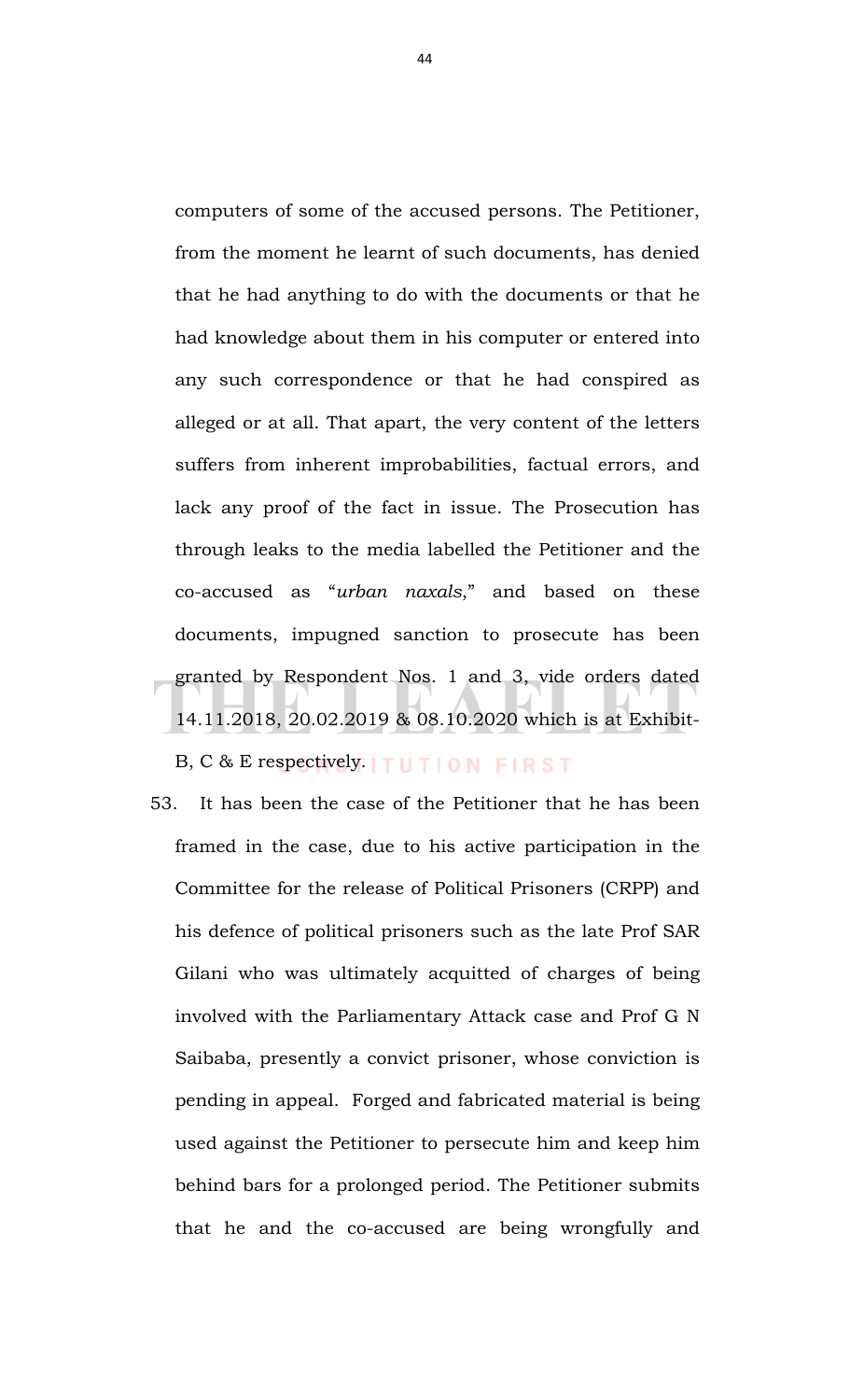computers of some of the accused persons. The Petitioner, from the moment he learnt of such documents, has denied that he had anything to do with the documents or that he had knowledge about them in his computer or entered into any such correspondence or that he had conspired as alleged or at all. That apart, the very content of the letters suffers from inherent improbabilities, factual errors, and lack any proof of the fact in issue. The Prosecution has through leaks to the media labelled the Petitioner and the co-accused as "*urban naxals*," and based on these documents, impugned sanction to prosecute has been granted by Respondent Nos. 1 and 3, vide orders dated 14.11.2018, 20.02.2019 & 08.10.2020 which is at Exhibit-

B, C & E respectively.  $TUTION$  FIRST

53. It has been the case of the Petitioner that he has been framed in the case, due to his active participation in the Committee for the release of Political Prisoners (CRPP) and his defence of political prisoners such as the late Prof SAR Gilani who was ultimately acquitted of charges of being involved with the Parliamentary Attack case and Prof G N Saibaba, presently a convict prisoner, whose conviction is pending in appeal. Forged and fabricated material is being used against the Petitioner to persecute him and keep him behind bars for a prolonged period. The Petitioner submits that he and the co-accused are being wrongfully and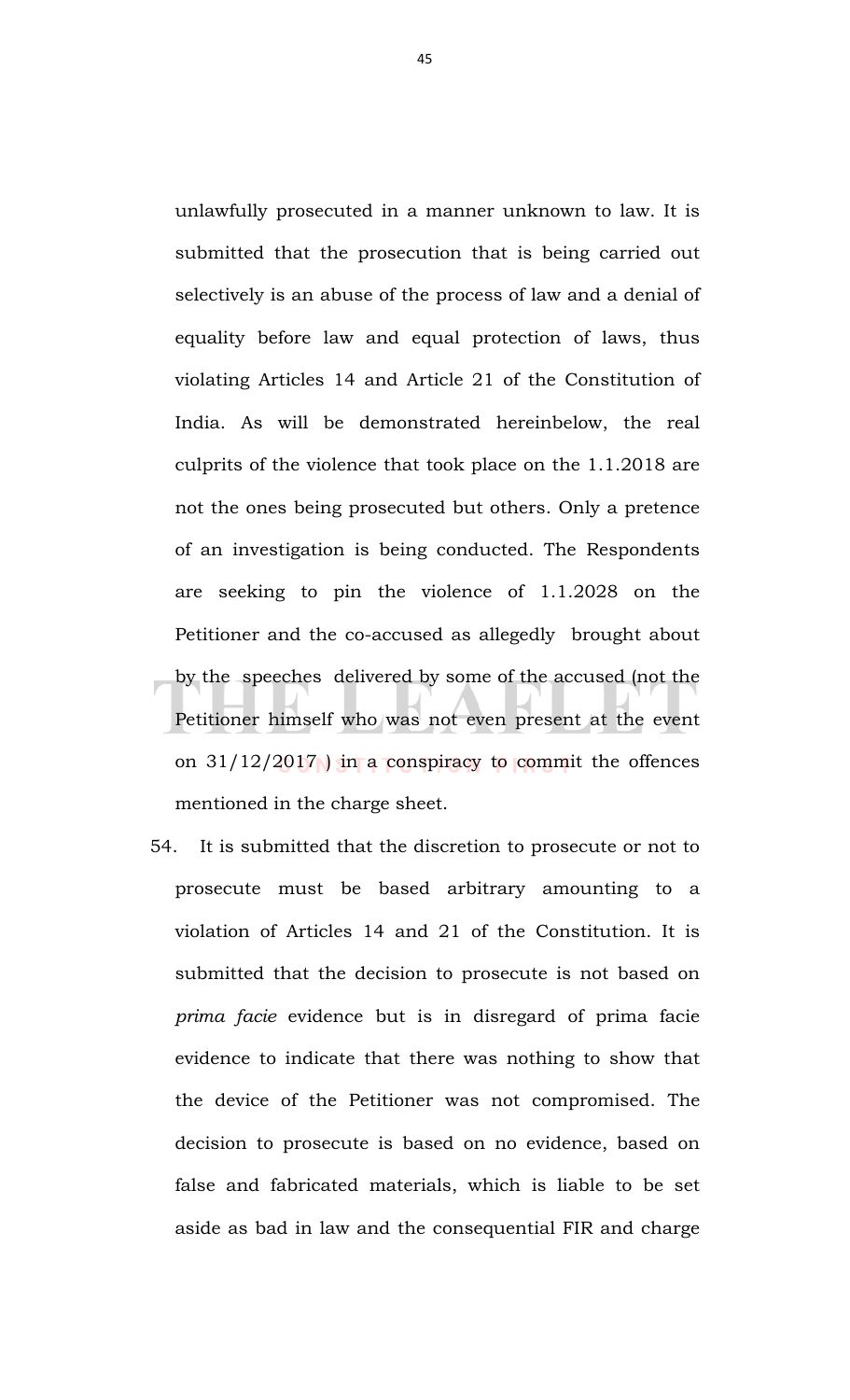unlawfully prosecuted in a manner unknown to law. It is submitted that the prosecution that is being carried out selectively is an abuse of the process of law and a denial of equality before law and equal protection of laws, thus violating Articles 14 and Article 21 of the Constitution of India. As will be demonstrated hereinbelow, the real culprits of the violence that took place on the 1.1.2018 are not the ones being prosecuted but others. Only a pretence of an investigation is being conducted. The Respondents are seeking to pin the violence of 1.1.2028 on the Petitioner and the co-accused as allegedly brought about by the speeches delivered by some of the accused (not the Petitioner himself who was not even present at the event on  $31/12/2017$  ) in a conspiracy to commit the offences mentioned in the charge sheet.

54. It is submitted that the discretion to prosecute or not to prosecute must be based arbitrary amounting to a violation of Articles 14 and 21 of the Constitution. It is submitted that the decision to prosecute is not based on *prima facie* evidence but is in disregard of prima facie evidence to indicate that there was nothing to show that the device of the Petitioner was not compromised. The decision to prosecute is based on no evidence, based on false and fabricated materials, which is liable to be set aside as bad in law and the consequential FIR and charge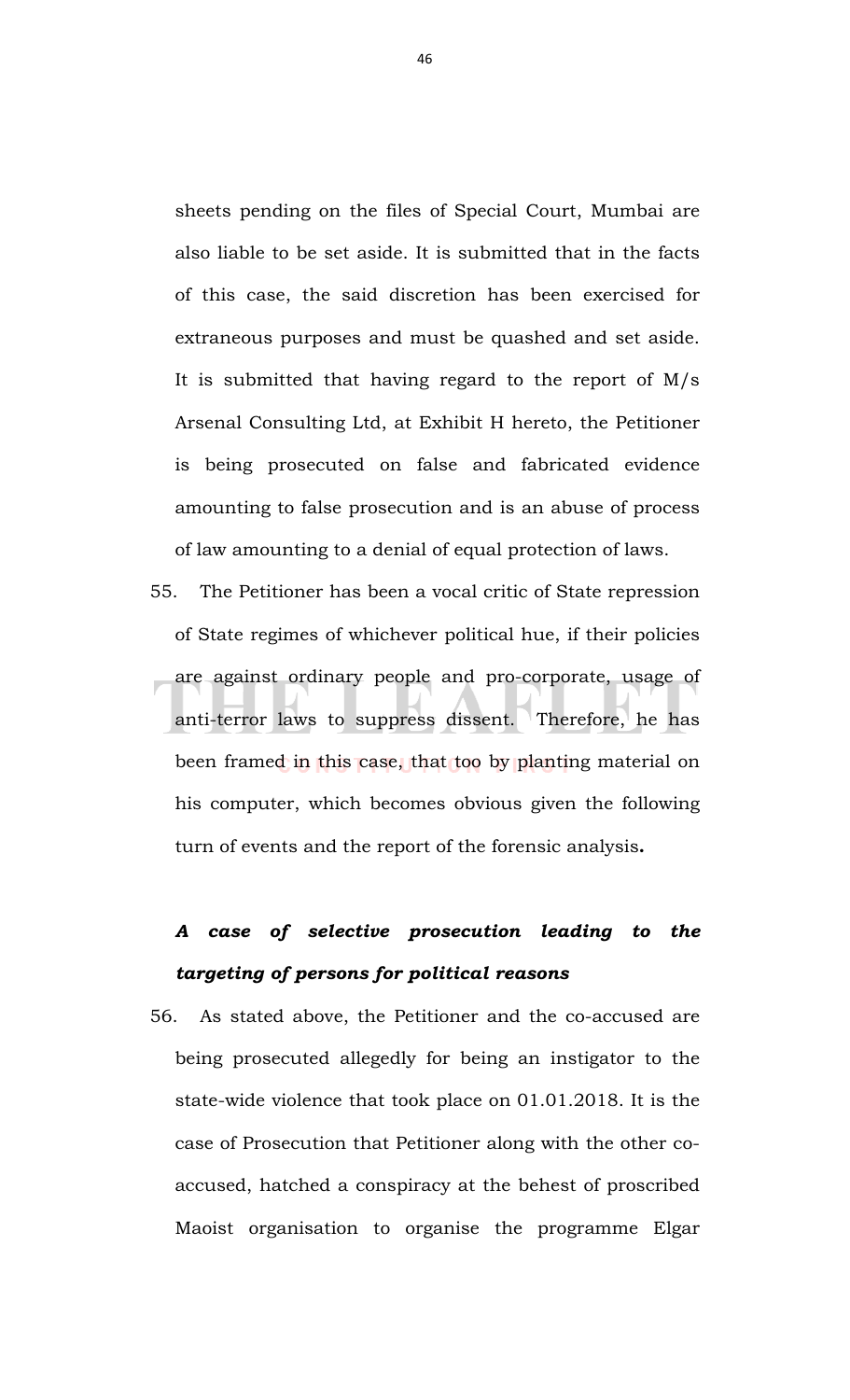sheets pending on the files of Special Court, Mumbai are also liable to be set aside. It is submitted that in the facts of this case, the said discretion has been exercised for extraneous purposes and must be quashed and set aside. It is submitted that having regard to the report of  $M/s$ Arsenal Consulting Ltd, at Exhibit H hereto, the Petitioner is being prosecuted on false and fabricated evidence amounting to false prosecution and is an abuse of process of law amounting to a denial of equal protection of laws.

55. The Petitioner has been a vocal critic of State repression of State regimes of whichever political hue, if their policies are against ordinary people and pro-corporate, usage of anti-terror laws to suppress dissent. Therefore, he has been framed in this case, that too by planting material on his computer, which becomes obvious given the following turn of events and the report of the forensic analysis**.**

# *A case of selective prosecution leading to the targeting of persons for political reasons*

56. As stated above, the Petitioner and the co-accused are being prosecuted allegedly for being an instigator to the state-wide violence that took place on 01.01.2018. It is the case of Prosecution that Petitioner along with the other coaccused, hatched a conspiracy at the behest of proscribed Maoist organisation to organise the programme Elgar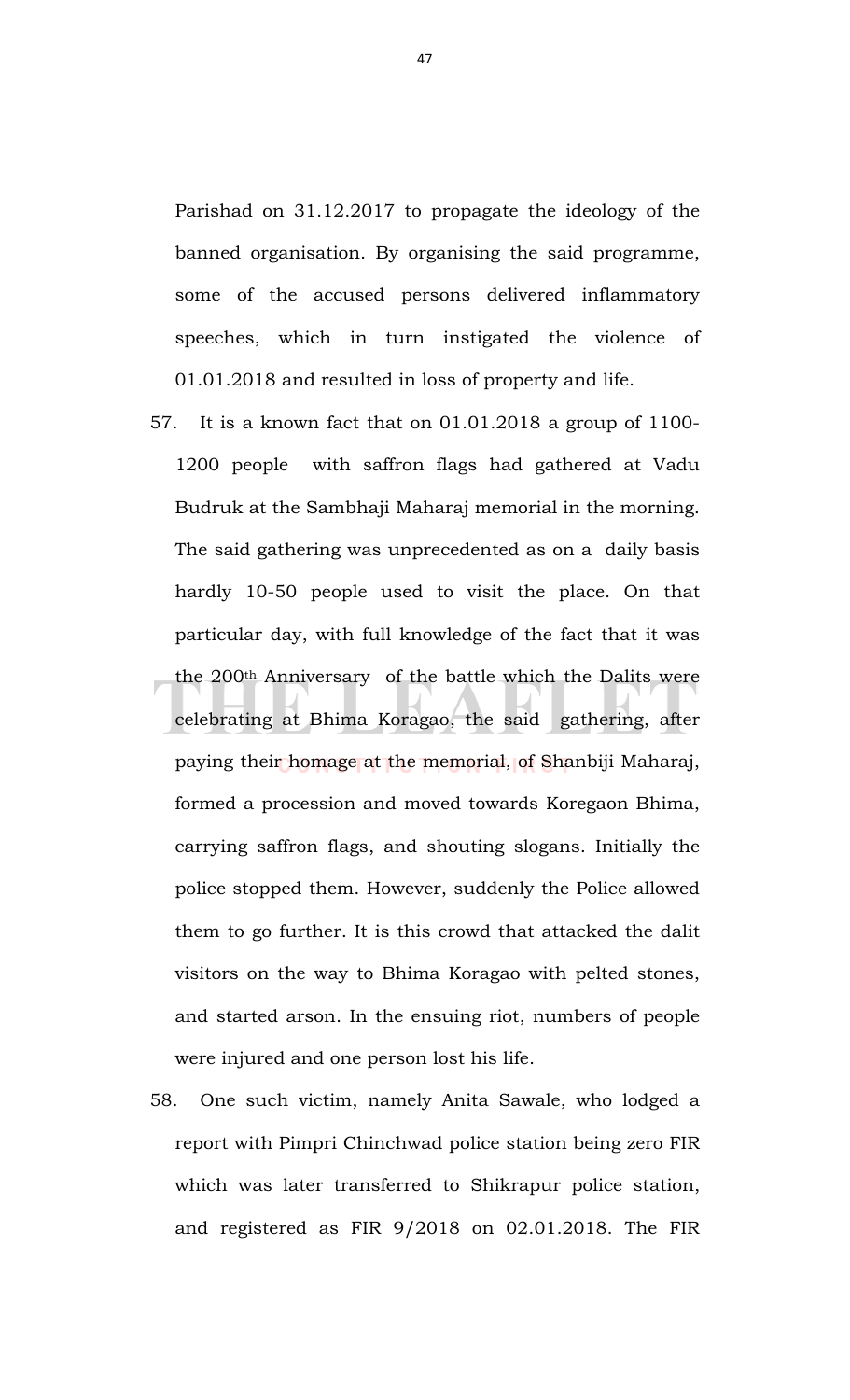Parishad on 31.12.2017 to propagate the ideology of the banned organisation. By organising the said programme, some of the accused persons delivered inflammatory speeches, which in turn instigated the violence of 01.01.2018 and resulted in loss of property and life.

- 57. It is a known fact that on 01.01.2018 a group of 1100- 1200 people with saffron flags had gathered at Vadu Budruk at the Sambhaji Maharaj memorial in the morning. The said gathering was unprecedented as on a daily basis hardly 10-50 people used to visit the place. On that particular day, with full knowledge of the fact that it was the 200th Anniversary of the battle which the Dalits were celebrating at Bhima Koragao, the said gathering, after paying their homage at the memorial, of Shanbiji Maharaj, formed a procession and moved towards Koregaon Bhima, carrying saffron flags, and shouting slogans. Initially the police stopped them. However, suddenly the Police allowed them to go further. It is this crowd that attacked the dalit visitors on the way to Bhima Koragao with pelted stones, and started arson. In the ensuing riot, numbers of people were injured and one person lost his life.
- 58. One such victim, namely Anita Sawale, who lodged a report with Pimpri Chinchwad police station being zero FIR which was later transferred to Shikrapur police station, and registered as FIR 9/2018 on 02.01.2018. The FIR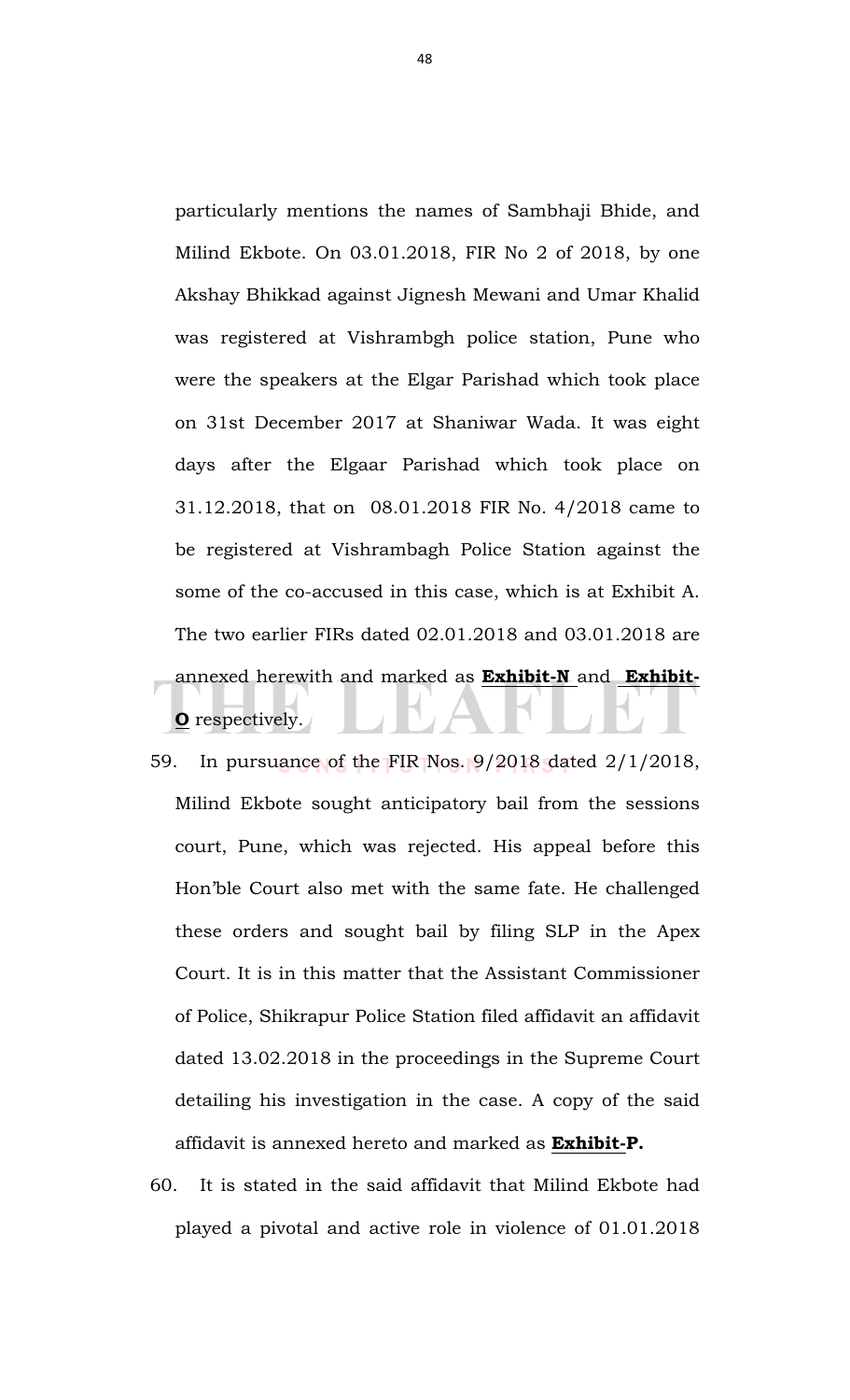particularly mentions the names of Sambhaji Bhide, and Milind Ekbote. On 03.01.2018, FIR No 2 of 2018, by one Akshay Bhikkad against Jignesh Mewani and Umar Khalid was registered at Vishrambgh police station, Pune who were the speakers at the Elgar Parishad which took place on 31st December 2017 at Shaniwar Wada. It was eight days after the Elgaar Parishad which took place on 31.12.2018, that on 08.01.2018 FIR No. 4/2018 came to be registered at Vishrambagh Police Station against the some of the co-accused in this case, which is at Exhibit A. The two earlier FIRs dated 02.01.2018 and 03.01.2018 are annexed herewith and marked as **Exhibit-N** and **Exhibit-O** respectively.

- 59. In pursuance of the FIR Nos. 9/2018 dated 2/1/2018, Milind Ekbote sought anticipatory bail from the sessions court, Pune, which was rejected. His appeal before this Hon'ble Court also met with the same fate. He challenged these orders and sought bail by filing SLP in the Apex Court. It is in this matter that the Assistant Commissioner of Police, Shikrapur Police Station filed affidavit an affidavit dated 13.02.2018 in the proceedings in the Supreme Court detailing his investigation in the case. A copy of the said affidavit is annexed hereto and marked as **Exhibit-P.**
- 60. It is stated in the said affidavit that Milind Ekbote had played a pivotal and active role in violence of 01.01.2018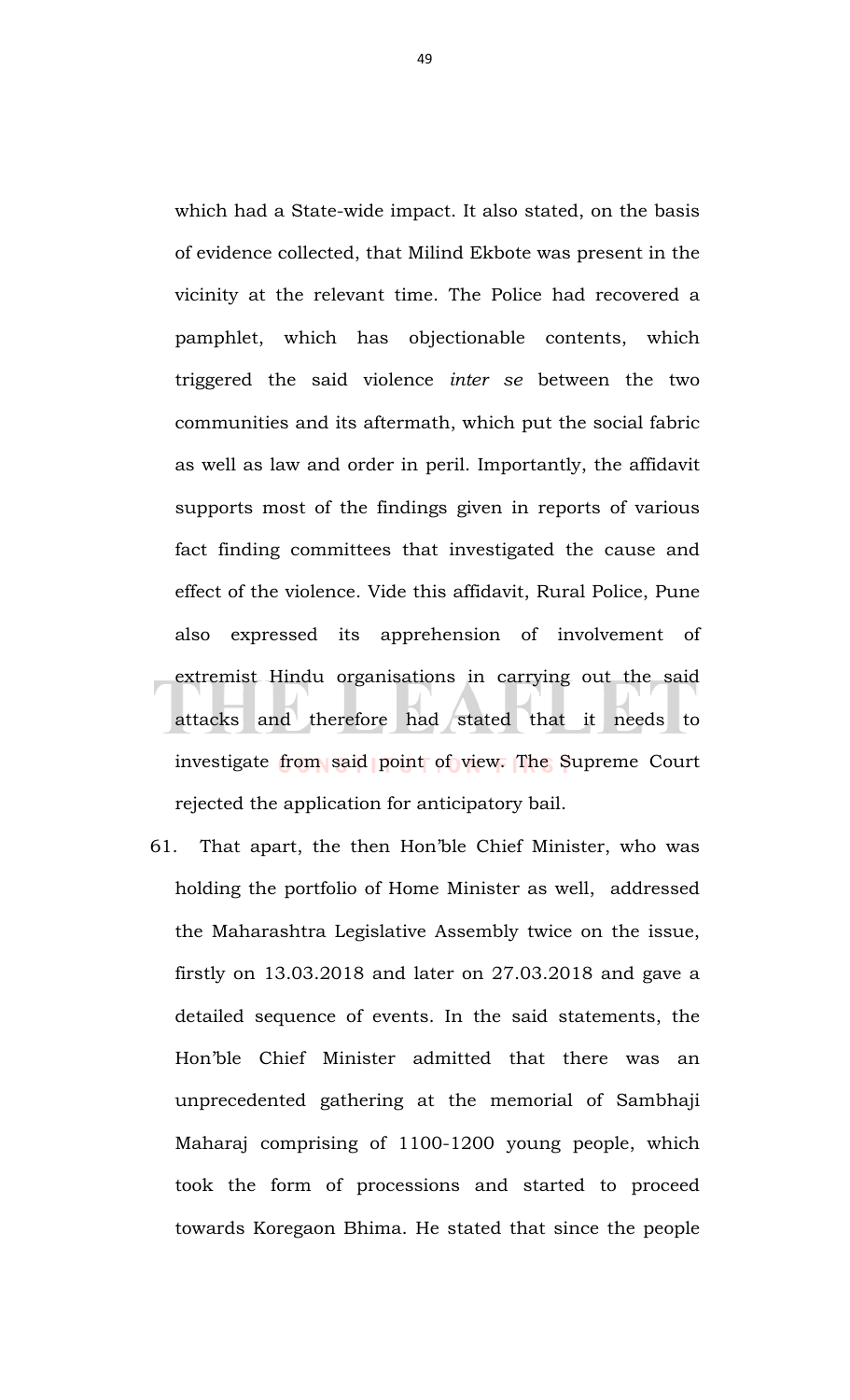which had a State-wide impact. It also stated, on the basis of evidence collected, that Milind Ekbote was present in the vicinity at the relevant time. The Police had recovered a pamphlet, which has objectionable contents, which triggered the said violence *inter se* between the two communities and its aftermath, which put the social fabric as well as law and order in peril. Importantly, the affidavit supports most of the findings given in reports of various fact finding committees that investigated the cause and effect of the violence. Vide this affidavit, Rural Police, Pune also expressed its apprehension of involvement of extremist Hindu organisations in carrying out the said attacks and therefore had stated that it needs to investigate from said point of view. The Supreme Court rejected the application for anticipatory bail.

61. That apart, the then Hon'ble Chief Minister, who was holding the portfolio of Home Minister as well, addressed the Maharashtra Legislative Assembly twice on the issue, firstly on 13.03.2018 and later on 27.03.2018 and gave a detailed sequence of events. In the said statements, the Hon'ble Chief Minister admitted that there was an unprecedented gathering at the memorial of Sambhaji Maharaj comprising of 1100-1200 young people, which took the form of processions and started to proceed towards Koregaon Bhima. He stated that since the people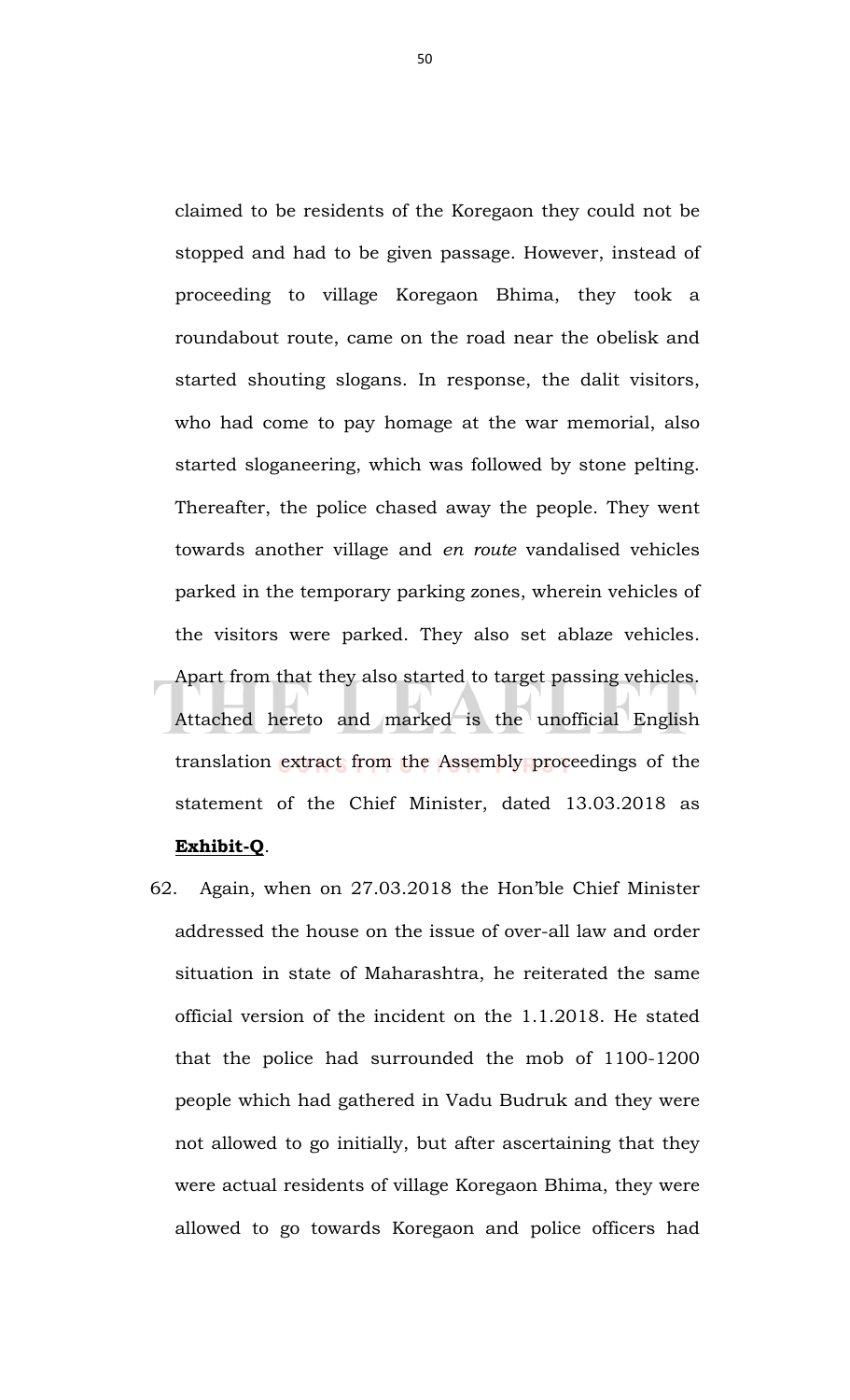claimed to be residents of the Koregaon they could not be stopped and had to be given passage. However, instead of proceeding to village Koregaon Bhima, they took a roundabout route, came on the road near the obelisk and started shouting slogans. In response, the dalit visitors, who had come to pay homage at the war memorial, also started sloganeering, which was followed by stone pelting. Thereafter, the police chased away the people. They went towards another village and *en route* vandalised vehicles parked in the temporary parking zones, wherein vehicles of the visitors were parked. They also set ablaze vehicles. Apart from that they also started to target passing vehicles. Attached hereto and marked is the unofficial English translation extract from the Assembly proceedings of the statement of the Chief Minister, dated 13.03.2018 as **Exhibit-Q**.

62. Again, when on 27.03.2018 the Hon'ble Chief Minister addressed the house on the issue of over-all law and order situation in state of Maharashtra, he reiterated the same official version of the incident on the 1.1.2018. He stated that the police had surrounded the mob of 1100-1200 people which had gathered in Vadu Budruk and they were not allowed to go initially, but after ascertaining that they were actual residents of village Koregaon Bhima, they were allowed to go towards Koregaon and police officers had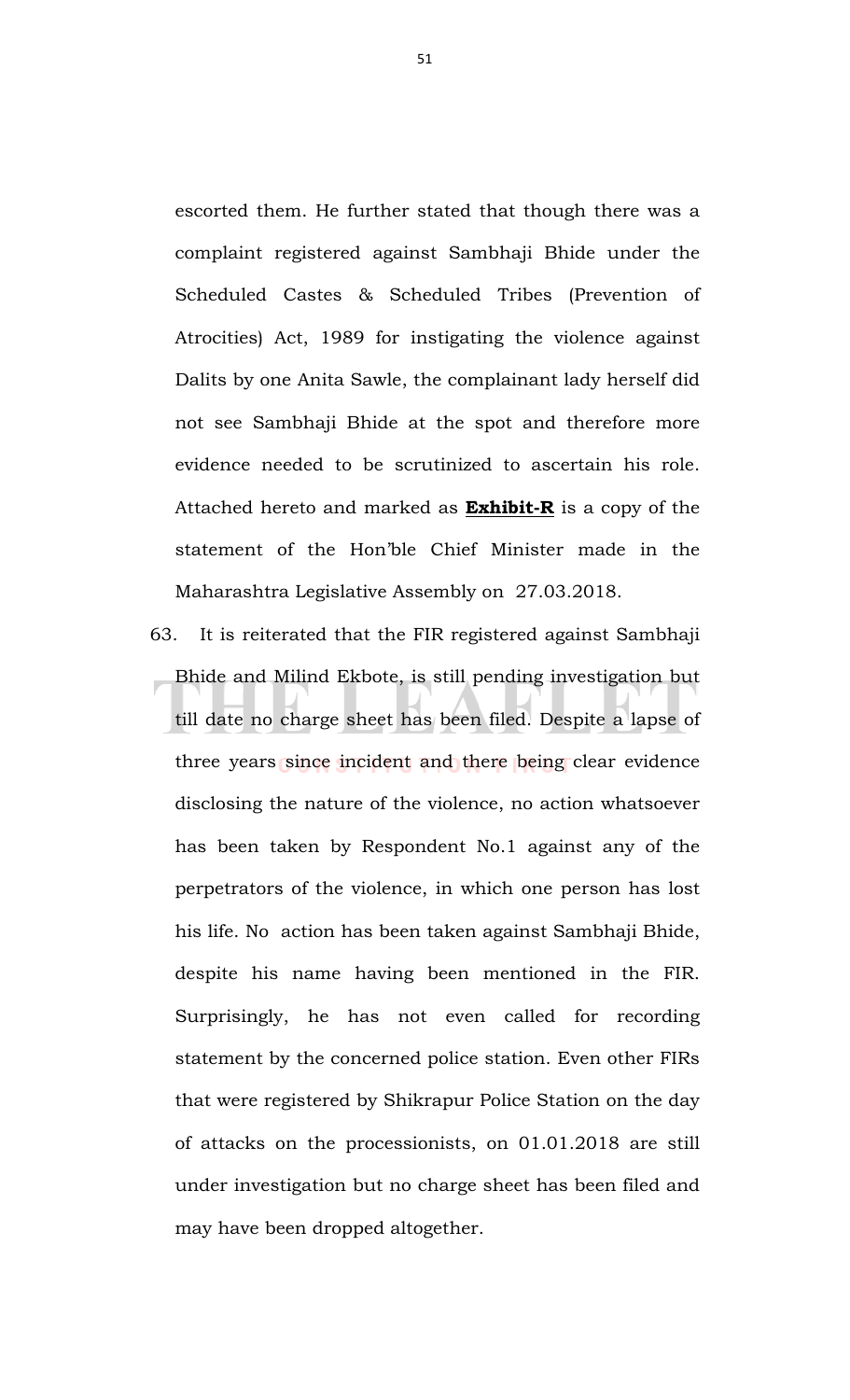escorted them. He further stated that though there was a complaint registered against Sambhaji Bhide under the Scheduled Castes & Scheduled Tribes (Prevention of Atrocities) Act, 1989 for instigating the violence against Dalits by one Anita Sawle, the complainant lady herself did not see Sambhaji Bhide at the spot and therefore more evidence needed to be scrutinized to ascertain his role. Attached hereto and marked as **Exhibit-R** is a copy of the statement of the Hon'ble Chief Minister made in the Maharashtra Legislative Assembly on 27.03.2018.

63. It is reiterated that the FIR registered against Sambhaji Bhide and Milind Ekbote, is still pending investigation but till date no charge sheet has been filed. Despite a lapse of three years since incident and there being clear evidence disclosing the nature of the violence, no action whatsoever has been taken by Respondent No.1 against any of the perpetrators of the violence, in which one person has lost his life. No action has been taken against Sambhaji Bhide, despite his name having been mentioned in the FIR. Surprisingly, he has not even called for recording statement by the concerned police station. Even other FIRs that were registered by Shikrapur Police Station on the day of attacks on the processionists, on 01.01.2018 are still under investigation but no charge sheet has been filed and may have been dropped altogether.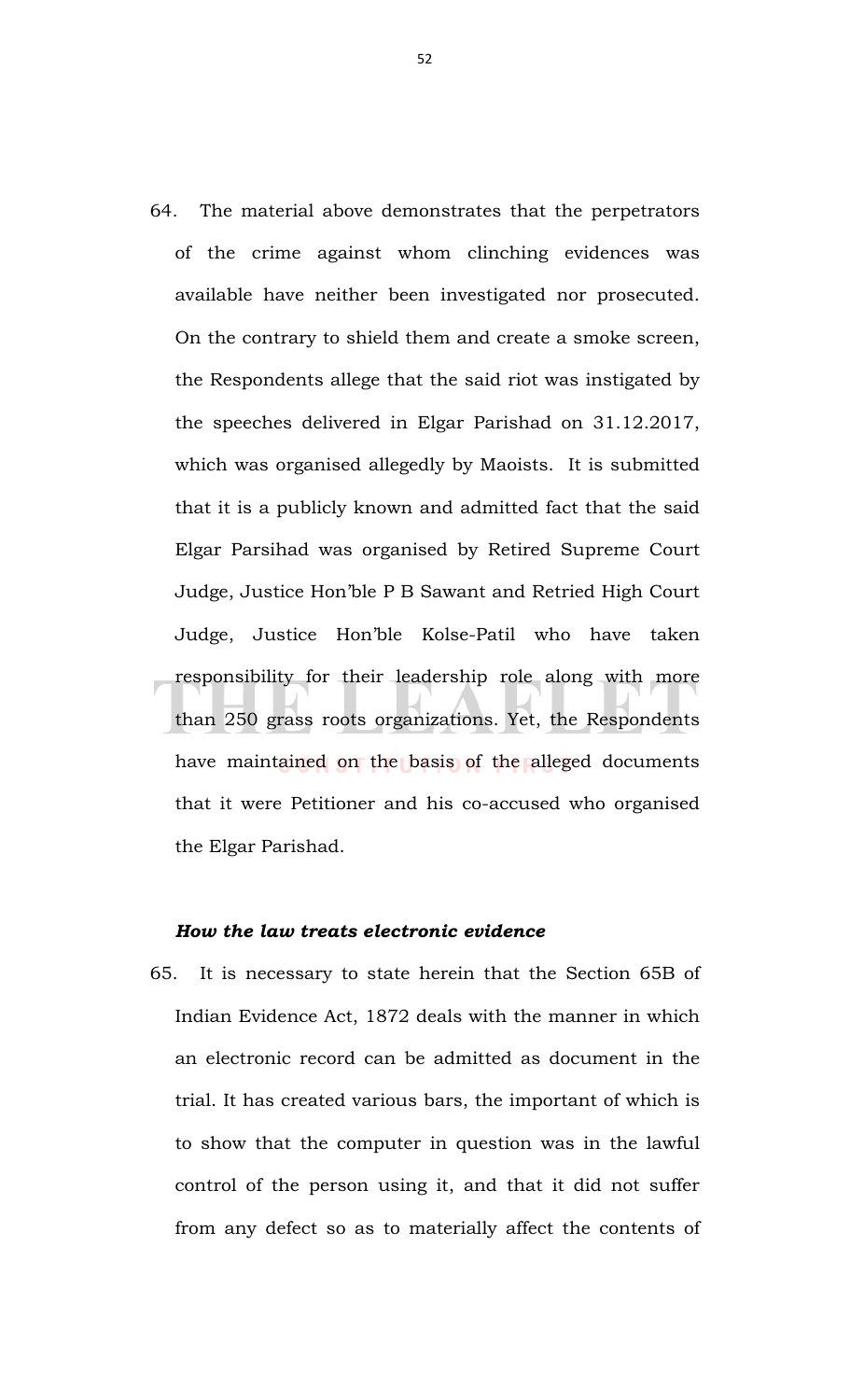64. The material above demonstrates that the perpetrators of the crime against whom clinching evidences was available have neither been investigated nor prosecuted. On the contrary to shield them and create a smoke screen, the Respondents allege that the said riot was instigated by the speeches delivered in Elgar Parishad on 31.12.2017, which was organised allegedly by Maoists. It is submitted that it is a publicly known and admitted fact that the said Elgar Parsihad was organised by Retired Supreme Court Judge, Justice Hon'ble P B Sawant and Retried High Court Judge, Justice Hon'ble Kolse-Patil who have taken responsibility for their leadership role along with more than 250 grass roots organizations. Yet, the Respondents have maintained on the basis of the alleged documents that it were Petitioner and his co-accused who organised the Elgar Parishad.

# *How the law treats electronic evidence*

65. It is necessary to state herein that the Section 65B of Indian Evidence Act, 1872 deals with the manner in which an electronic record can be admitted as document in the trial. It has created various bars, the important of which is to show that the computer in question was in the lawful control of the person using it, and that it did not suffer from any defect so as to materially affect the contents of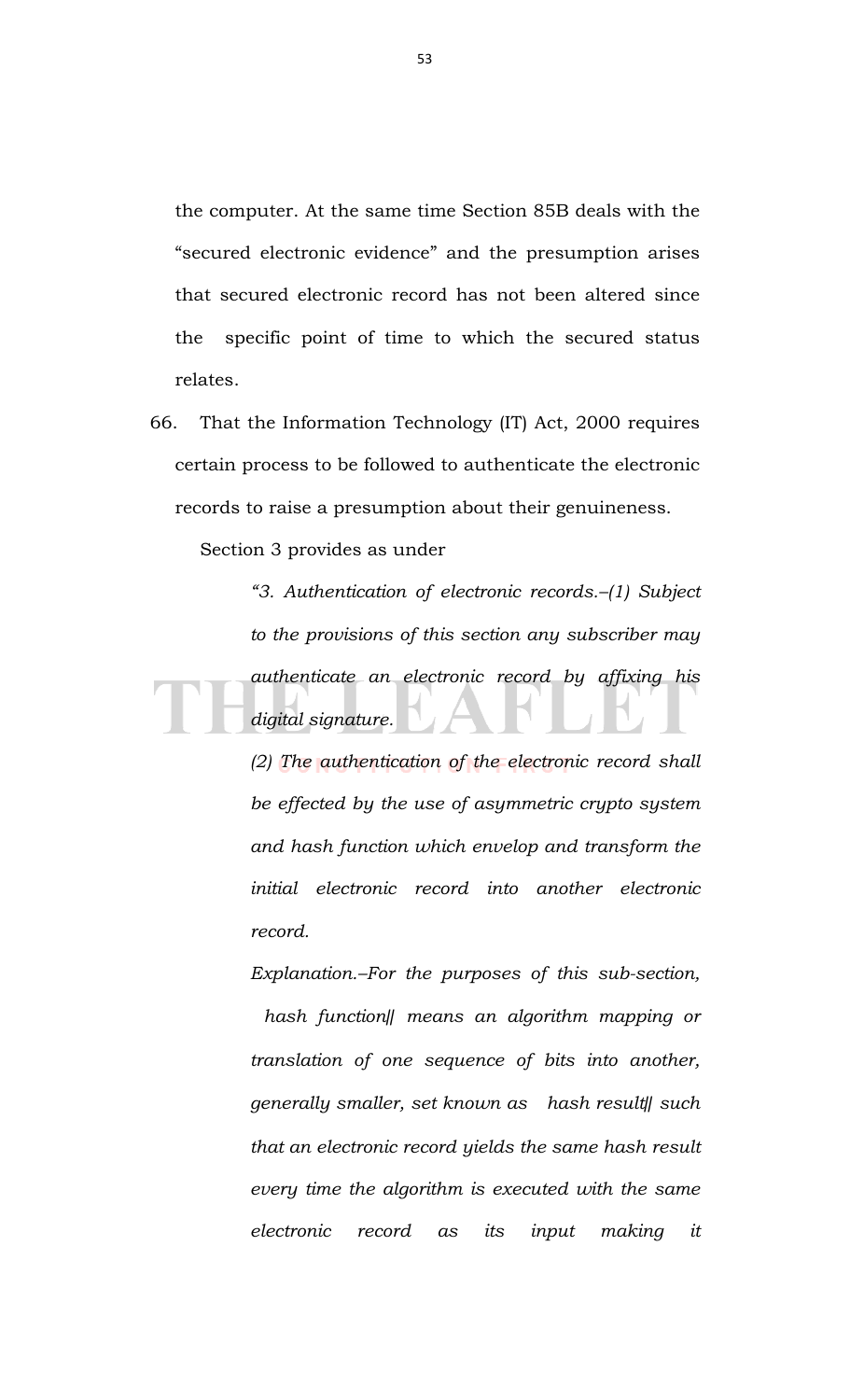the computer. At the same time Section 85B deals with the "secured electronic evidence" and the presumption arises that secured electronic record has not been altered since the specific point of time to which the secured status relates.

66. That the Information Technology (IT) Act, 2000 requires certain process to be followed to authenticate the electronic records to raise a presumption about their genuineness.

Section 3 provides as under

*"3. Authentication of electronic records.–(1) Subject to the provisions of this section any subscriber may authenticate an electronic record by affixing his digital signature.* 

> *(2) The authentication of the electronic record shall be effected by the use of asymmetric crypto system and hash function which envelop and transform the initial electronic record into another electronic record.*

> *Explanation.–For the purposes of this sub-section, hash function‖ means an algorithm mapping or translation of one sequence of bits into another, generally smaller, set known as hash result‖ such that an electronic record yields the same hash result every time the algorithm is executed with the same electronic record as its input making it*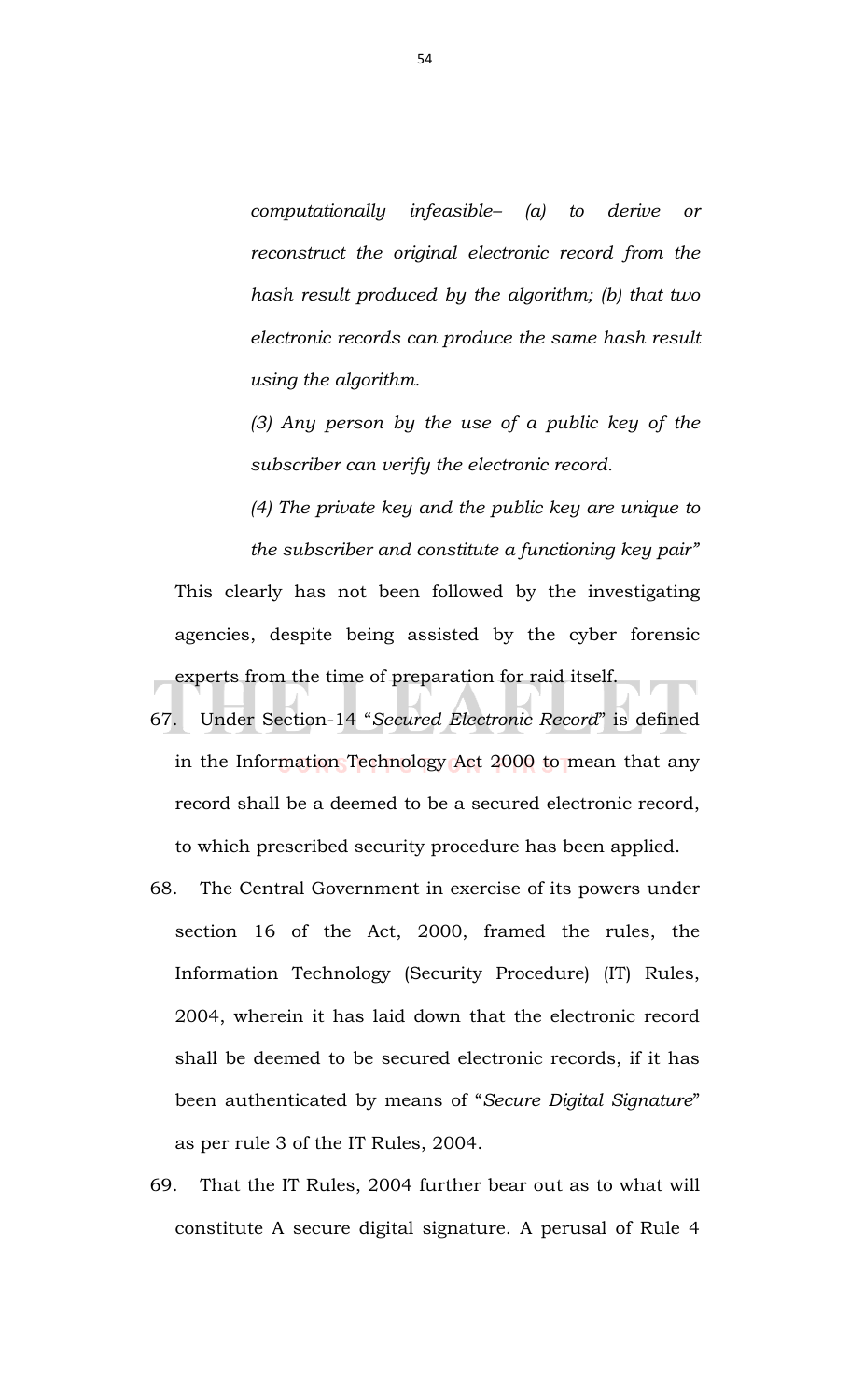*computationally infeasible– (a) to derive or reconstruct the original electronic record from the hash result produced by the algorithm; (b) that two electronic records can produce the same hash result using the algorithm.* 

*(3) Any person by the use of a public key of the subscriber can verify the electronic record.* 

*(4) The private key and the public key are unique to the subscriber and constitute a functioning key pair"*

This clearly has not been followed by the investigating agencies, despite being assisted by the cyber forensic experts from the time of preparation for raid itself.

- 67. Under Section-14 "*Secured Electronic Record*" is defined in the Information Technology Act 2000 to mean that any record shall be a deemed to be a secured electronic record, to which prescribed security procedure has been applied.
- 68. The Central Government in exercise of its powers under section 16 of the Act, 2000, framed the rules, the Information Technology (Security Procedure) (IT) Rules, 2004, wherein it has laid down that the electronic record shall be deemed to be secured electronic records, if it has been authenticated by means of "*Secure Digital Signature*" as per rule 3 of the IT Rules, 2004.
- 69. That the IT Rules, 2004 further bear out as to what will constitute A secure digital signature. A perusal of Rule 4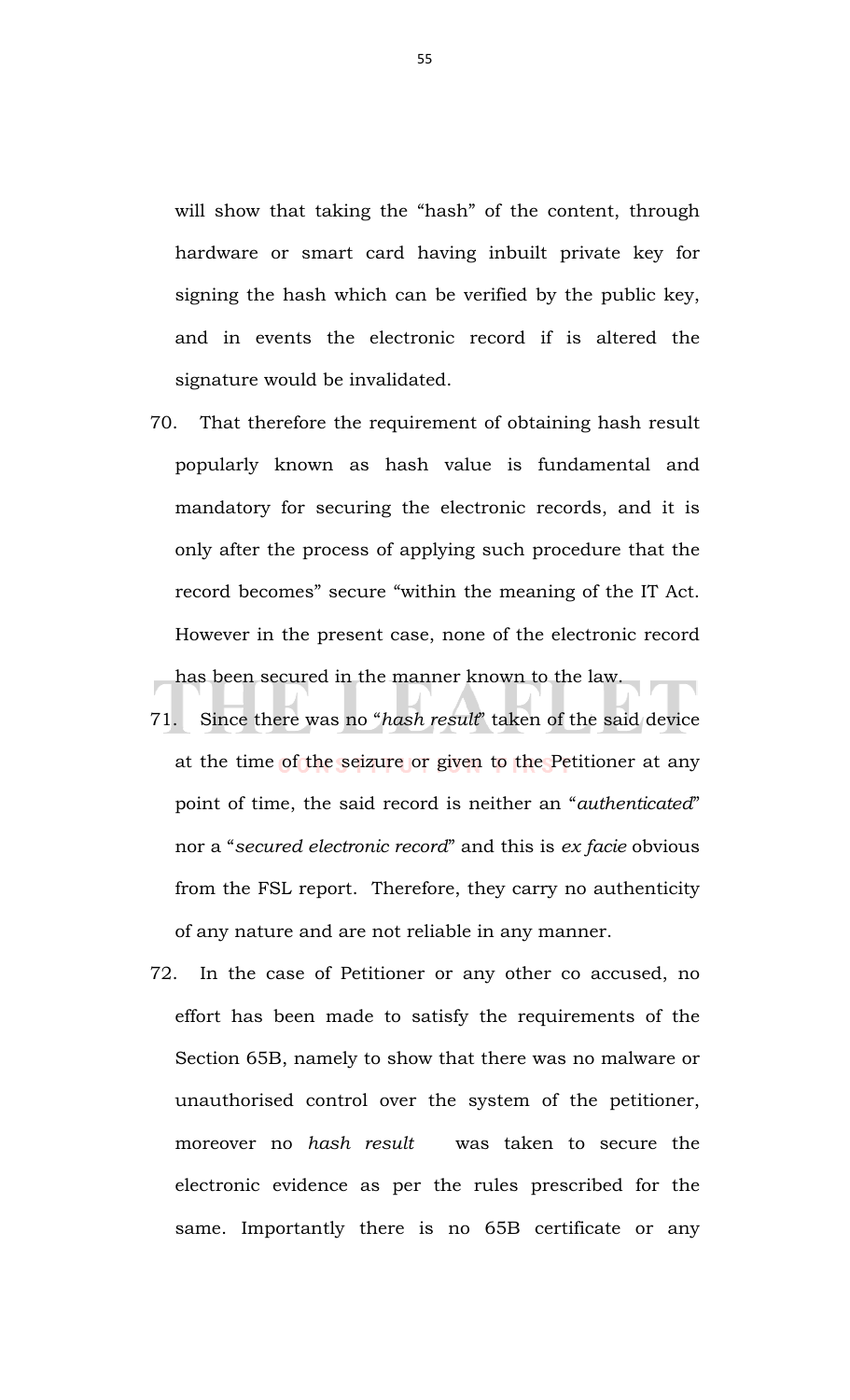will show that taking the "hash" of the content, through hardware or smart card having inbuilt private key for signing the hash which can be verified by the public key, and in events the electronic record if is altered the signature would be invalidated.

- 70. That therefore the requirement of obtaining hash result popularly known as hash value is fundamental and mandatory for securing the electronic records, and it is only after the process of applying such procedure that the record becomes" secure "within the meaning of the IT Act. However in the present case, none of the electronic record has been secured in the manner known to the law.
- 71. Since there was no "*hash result*" taken of the said device at the time of the seizure or given to the Petitioner at any point of time, the said record is neither an "*authenticated*" nor a "*secured electronic record*" and this is *ex facie* obvious from the FSL report. Therefore, they carry no authenticity of any nature and are not reliable in any manner.
- 72. In the case of Petitioner or any other co accused, no effort has been made to satisfy the requirements of the Section 65B, namely to show that there was no malware or unauthorised control over the system of the petitioner, moreover no *hash result* was taken to secure the electronic evidence as per the rules prescribed for the same. Importantly there is no 65B certificate or any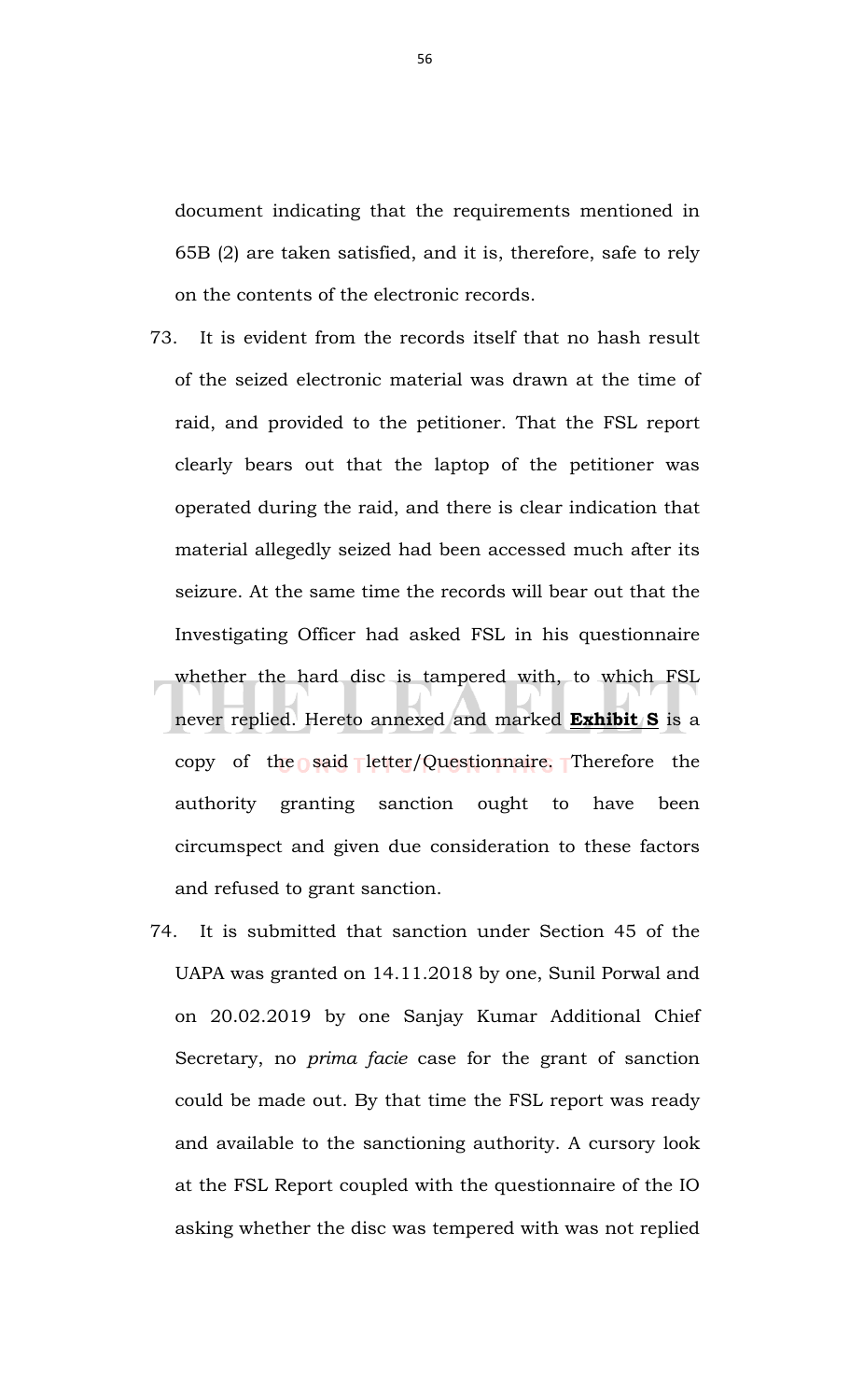document indicating that the requirements mentioned in 65B (2) are taken satisfied, and it is, therefore, safe to rely on the contents of the electronic records.

- 73. It is evident from the records itself that no hash result of the seized electronic material was drawn at the time of raid, and provided to the petitioner. That the FSL report clearly bears out that the laptop of the petitioner was operated during the raid, and there is clear indication that material allegedly seized had been accessed much after its seizure. At the same time the records will bear out that the Investigating Officer had asked FSL in his questionnaire whether the hard disc is tampered with, to which FSL never replied. Hereto annexed and marked **Exhibit S** is a copy of the said letter/Questionnaire. Therefore the authority granting sanction ought to have been circumspect and given due consideration to these factors and refused to grant sanction.
- 74. It is submitted that sanction under Section 45 of the UAPA was granted on 14.11.2018 by one, Sunil Porwal and on 20.02.2019 by one Sanjay Kumar Additional Chief Secretary, no *prima facie* case for the grant of sanction could be made out. By that time the FSL report was ready and available to the sanctioning authority. A cursory look at the FSL Report coupled with the questionnaire of the IO asking whether the disc was tempered with was not replied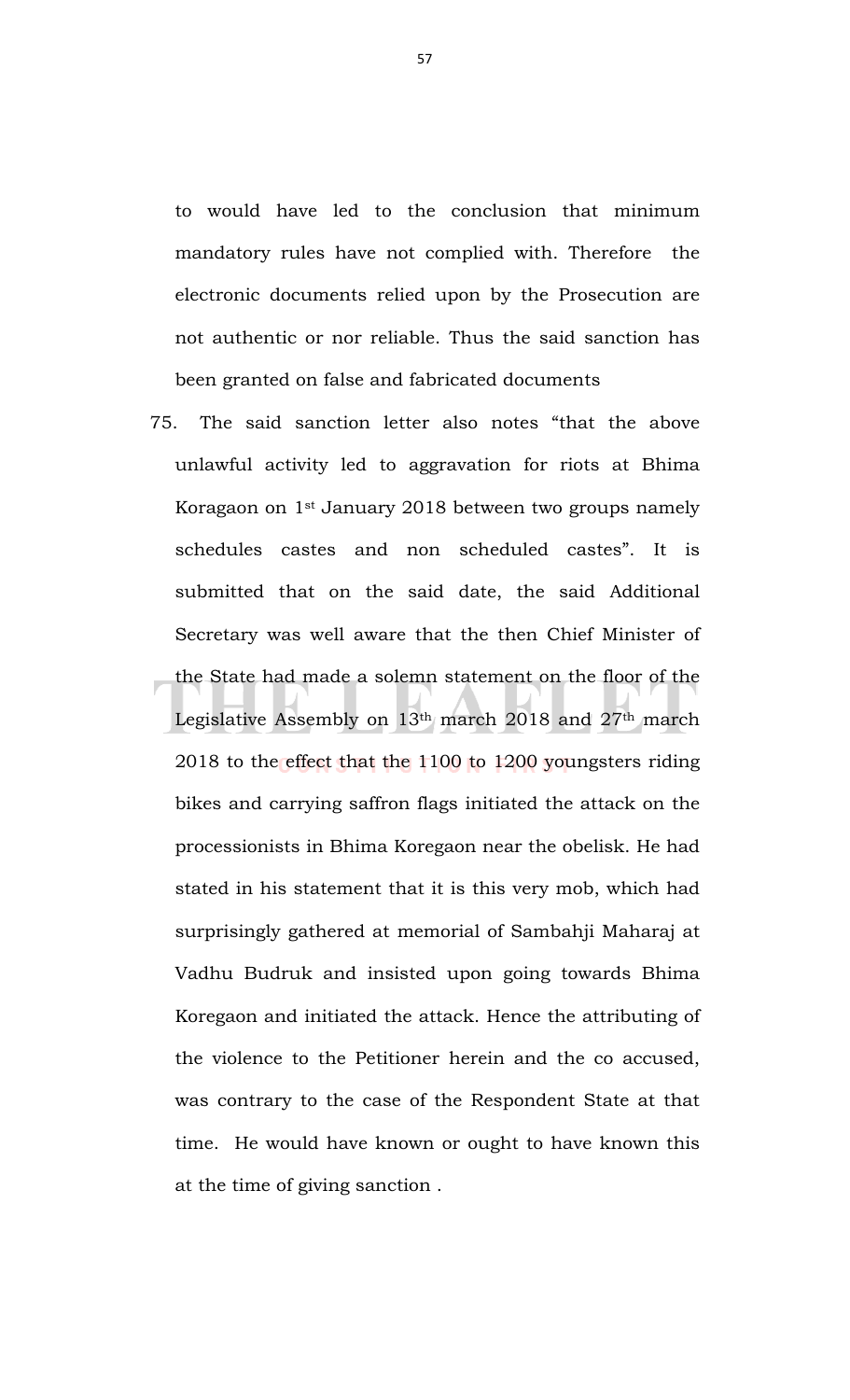to would have led to the conclusion that minimum mandatory rules have not complied with. Therefore the electronic documents relied upon by the Prosecution are not authentic or nor reliable. Thus the said sanction has been granted on false and fabricated documents

75. The said sanction letter also notes "that the above unlawful activity led to aggravation for riots at Bhima Koragaon on 1st January 2018 between two groups namely schedules castes and non scheduled castes". It is submitted that on the said date, the said Additional Secretary was well aware that the then Chief Minister of the State had made a solemn statement on the floor of the Legislative Assembly on 13th march 2018 and 27th march 2018 to the effect that the 1100 to 1200 youngsters riding bikes and carrying saffron flags initiated the attack on the processionists in Bhima Koregaon near the obelisk. He had stated in his statement that it is this very mob, which had surprisingly gathered at memorial of Sambahji Maharaj at Vadhu Budruk and insisted upon going towards Bhima Koregaon and initiated the attack. Hence the attributing of the violence to the Petitioner herein and the co accused, was contrary to the case of the Respondent State at that time. He would have known or ought to have known this at the time of giving sanction .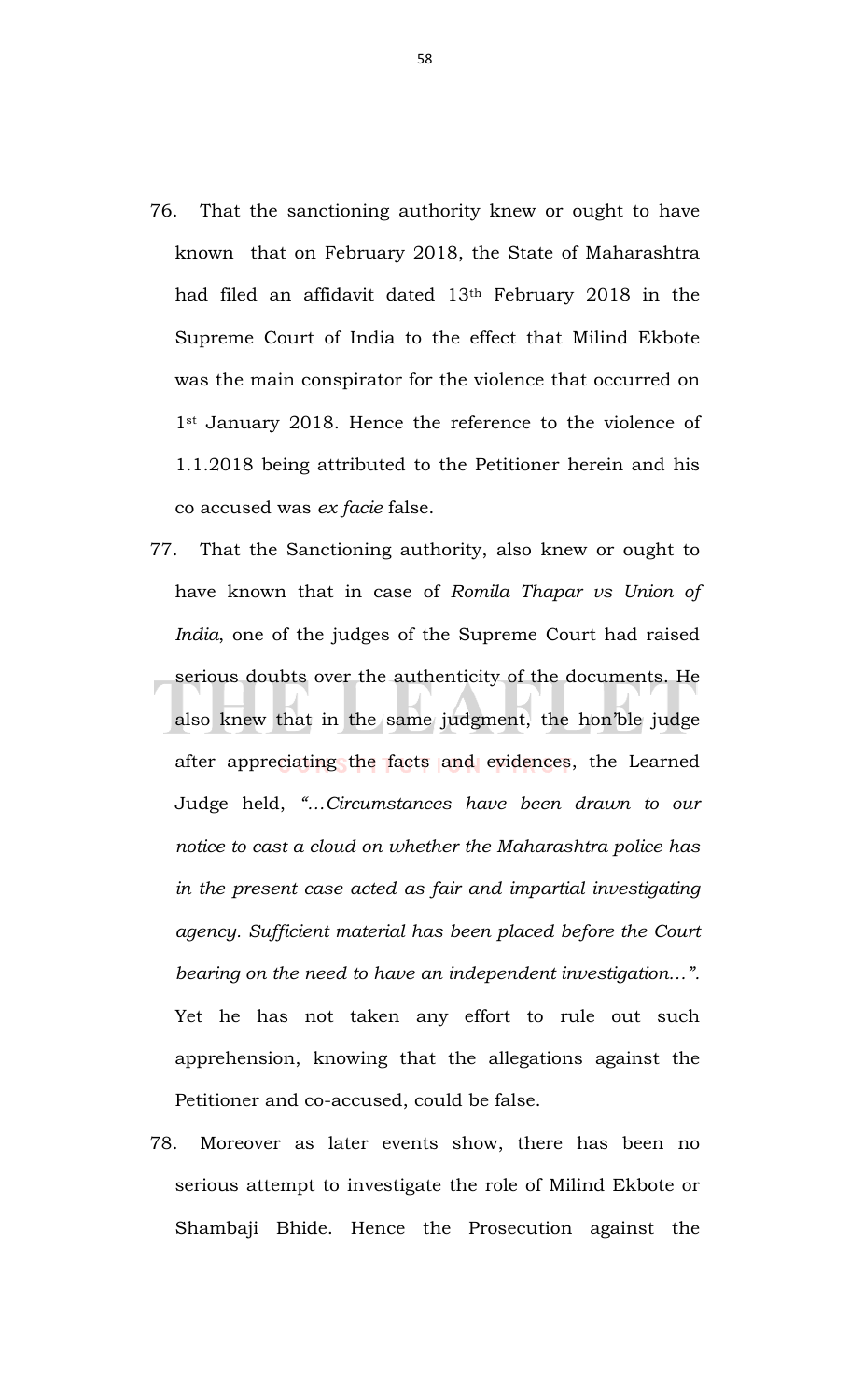- 76. That the sanctioning authority knew or ought to have known that on February 2018, the State of Maharashtra had filed an affidavit dated 13th February 2018 in the Supreme Court of India to the effect that Milind Ekbote was the main conspirator for the violence that occurred on 1<sup>st</sup> January 2018. Hence the reference to the violence of 1.1.2018 being attributed to the Petitioner herein and his co accused was *ex facie* false.
- 77. That the Sanctioning authority, also knew or ought to have known that in case of *Romila Thapar vs Union of India*, one of the judges of the Supreme Court had raised serious doubts over the authenticity of the documents. He also knew that in the same judgment, the hon'ble judge after appreciating the facts and evidences, the Learned Judge held, *"…Circumstances have been drawn to our notice to cast a cloud on whether the Maharashtra police has in the present case acted as fair and impartial investigating agency. Sufficient material has been placed before the Court bearing on the need to have an independent investigation…".* Yet he has not taken any effort to rule out such apprehension, knowing that the allegations against the Petitioner and co-accused, could be false.
- 78. Moreover as later events show, there has been no serious attempt to investigate the role of Milind Ekbote or Shambaji Bhide. Hence the Prosecution against the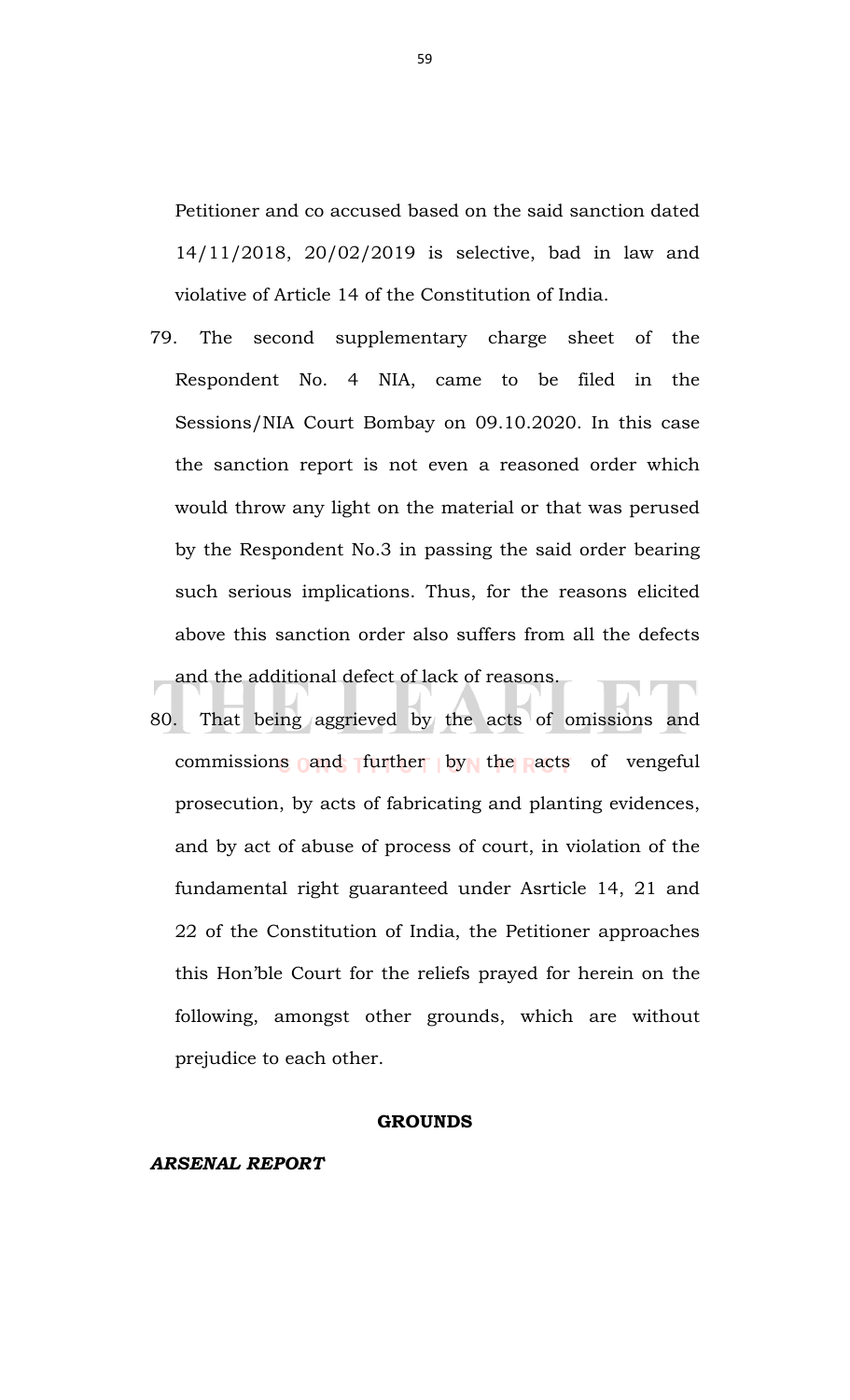Petitioner and co accused based on the said sanction dated 14/11/2018, 20/02/2019 is selective, bad in law and violative of Article 14 of the Constitution of India.

- 79. The second supplementary charge sheet of the Respondent No. 4 NIA, came to be filed in the Sessions/NIA Court Bombay on 09.10.2020. In this case the sanction report is not even a reasoned order which would throw any light on the material or that was perused by the Respondent No.3 in passing the said order bearing such serious implications. Thus, for the reasons elicited above this sanction order also suffers from all the defects and the additional defect of lack of reasons.
- 80. That being aggrieved by the acts of omissions and commissions and further by the acts of vengeful prosecution, by acts of fabricating and planting evidences, and by act of abuse of process of court, in violation of the fundamental right guaranteed under Asrticle 14, 21 and 22 of the Constitution of India, the Petitioner approaches this Hon'ble Court for the reliefs prayed for herein on the following, amongst other grounds, which are without prejudice to each other.

#### **GROUNDS**

## *ARSENAL REPORT*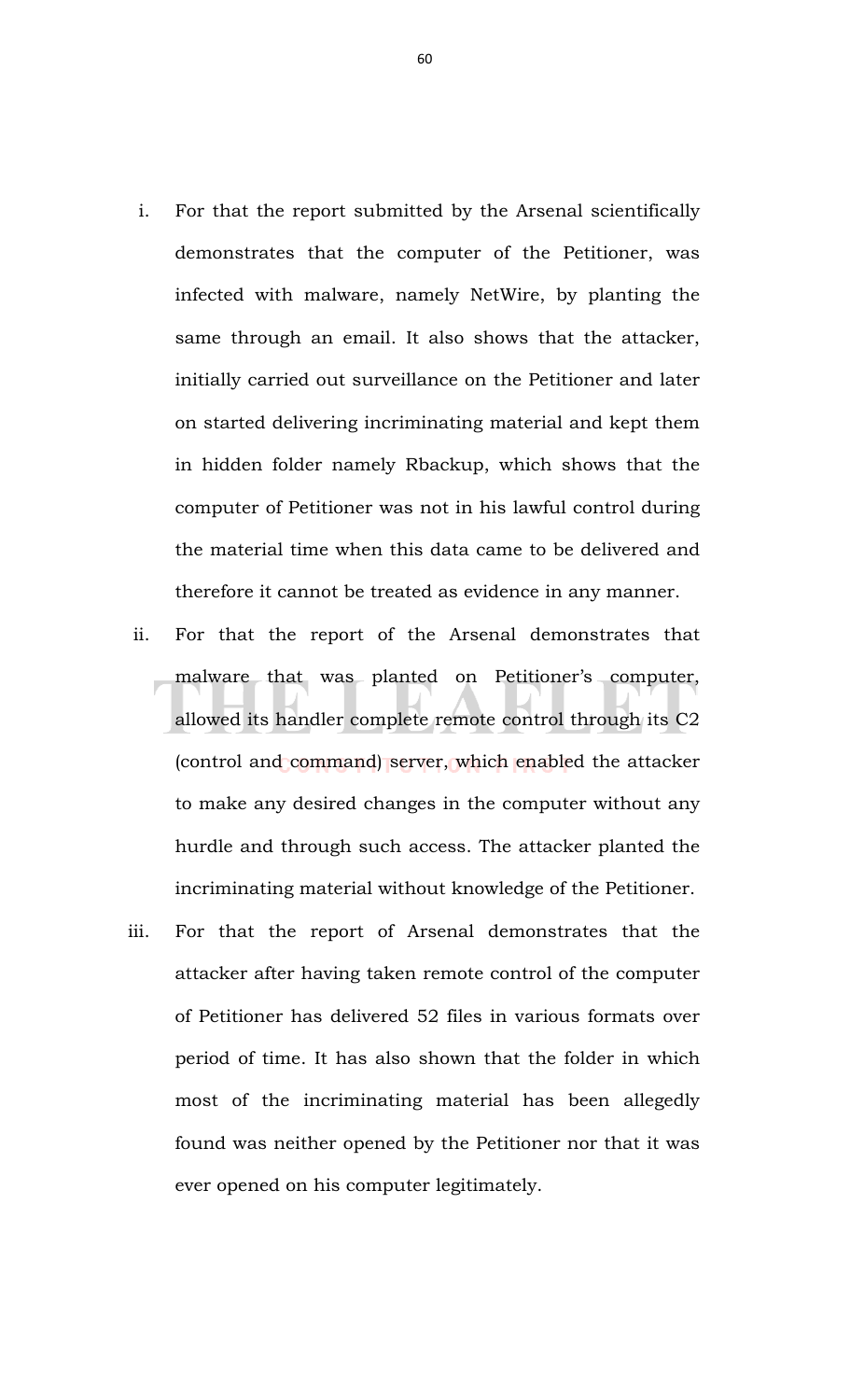- i. For that the report submitted by the Arsenal scientifically demonstrates that the computer of the Petitioner, was infected with malware, namely NetWire, by planting the same through an email. It also shows that the attacker, initially carried out surveillance on the Petitioner and later on started delivering incriminating material and kept them in hidden folder namely Rbackup, which shows that the computer of Petitioner was not in his lawful control during the material time when this data came to be delivered and therefore it cannot be treated as evidence in any manner.
- ii. For that the report of the Arsenal demonstrates that malware that was planted on Petitioner's computer, allowed its handler complete remote control through its C2 (control and command) server, which enabled the attacker to make any desired changes in the computer without any hurdle and through such access. The attacker planted the incriminating material without knowledge of the Petitioner.
- iii. For that the report of Arsenal demonstrates that the attacker after having taken remote control of the computer of Petitioner has delivered 52 files in various formats over period of time. It has also shown that the folder in which most of the incriminating material has been allegedly found was neither opened by the Petitioner nor that it was ever opened on his computer legitimately.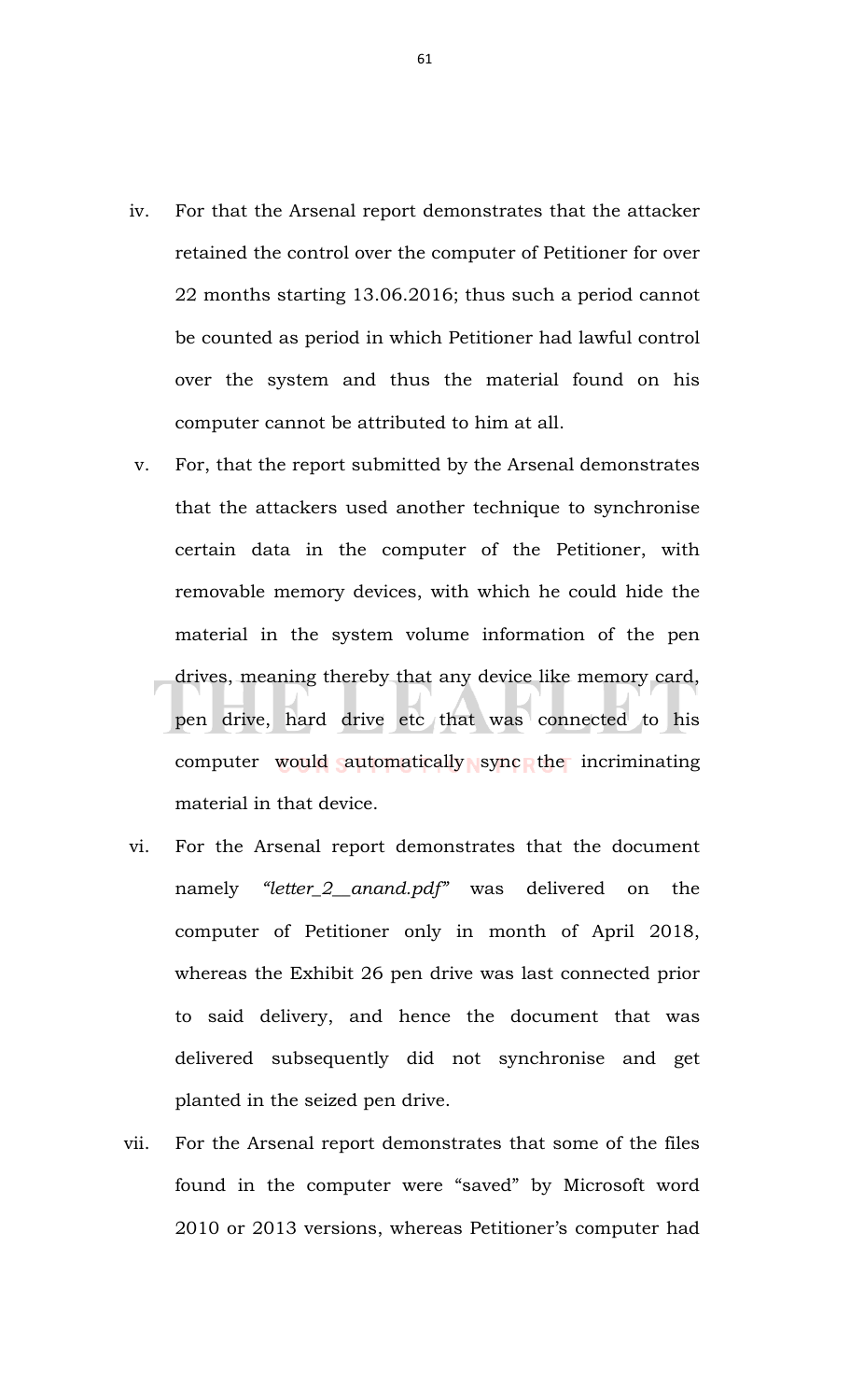- iv. For that the Arsenal report demonstrates that the attacker retained the control over the computer of Petitioner for over 22 months starting 13.06.2016; thus such a period cannot be counted as period in which Petitioner had lawful control over the system and thus the material found on his computer cannot be attributed to him at all.
- v. For, that the report submitted by the Arsenal demonstrates that the attackers used another technique to synchronise certain data in the computer of the Petitioner, with removable memory devices, with which he could hide the material in the system volume information of the pen drives, meaning thereby that any device like memory card, pen drive, hard drive etc that was connected to his computer would automatically sync the incriminating material in that device.
- vi. For the Arsenal report demonstrates that the document namely *"letter\_2\_\_anand.pdf"* was delivered on the computer of Petitioner only in month of April 2018, whereas the Exhibit 26 pen drive was last connected prior to said delivery, and hence the document that was delivered subsequently did not synchronise and get planted in the seized pen drive.
- vii. For the Arsenal report demonstrates that some of the files found in the computer were "saved" by Microsoft word 2010 or 2013 versions, whereas Petitioner's computer had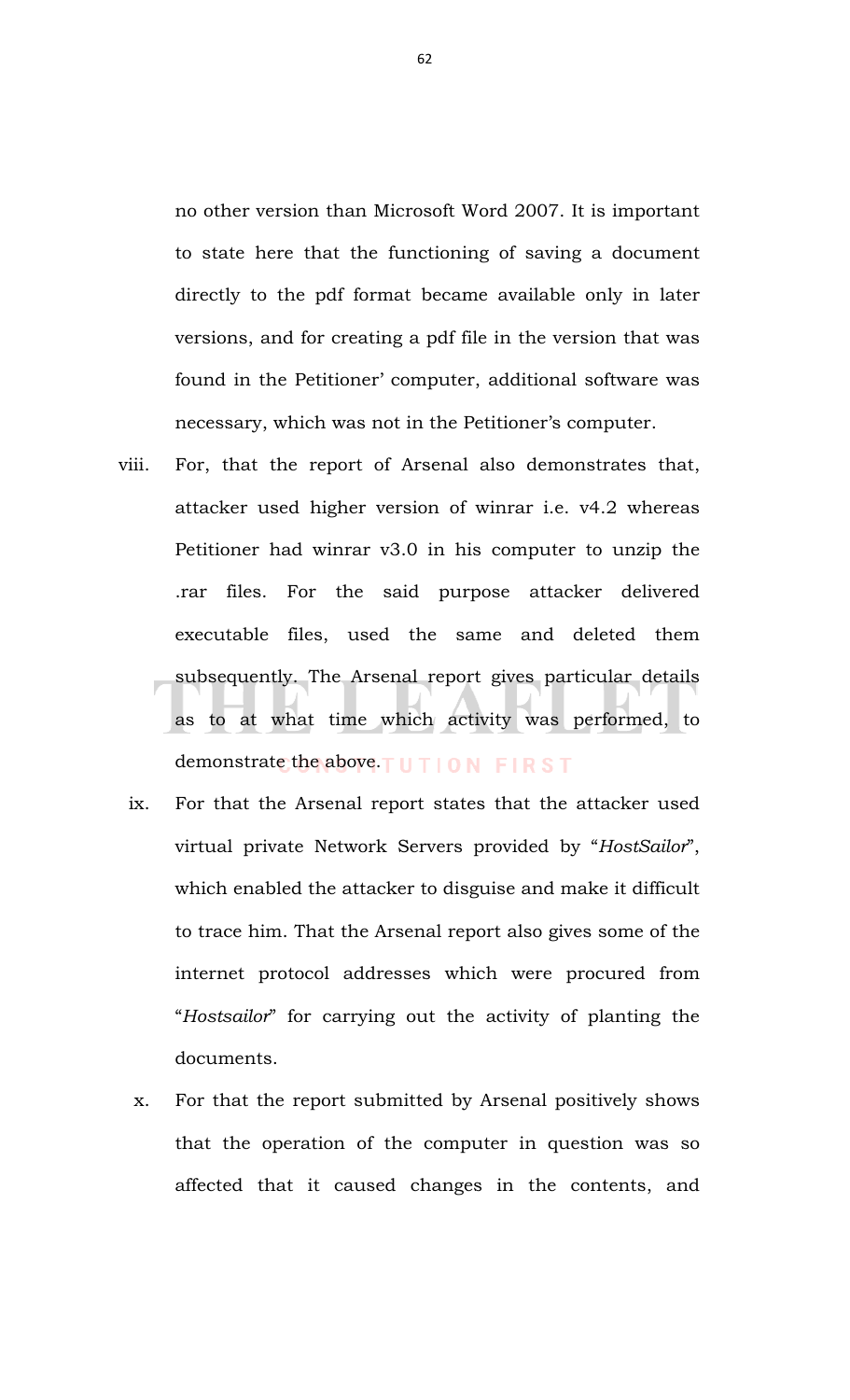no other version than Microsoft Word 2007. It is important to state here that the functioning of saving a document directly to the pdf format became available only in later versions, and for creating a pdf file in the version that was found in the Petitioner' computer, additional software was necessary, which was not in the Petitioner's computer.

- viii. For, that the report of Arsenal also demonstrates that, attacker used higher version of winrar i.e. v4.2 whereas Petitioner had winrar v3.0 in his computer to unzip the .rar files. For the said purpose attacker delivered executable files, used the same and deleted them subsequently. The Arsenal report gives particular details as to at what time which activity was performed, to demonstrate the above. TUTION FIRST
	- ix. For that the Arsenal report states that the attacker used virtual private Network Servers provided by "*HostSailor*", which enabled the attacker to disguise and make it difficult to trace him. That the Arsenal report also gives some of the internet protocol addresses which were procured from "*Hostsailor*" for carrying out the activity of planting the documents.
	- x. For that the report submitted by Arsenal positively shows that the operation of the computer in question was so affected that it caused changes in the contents, and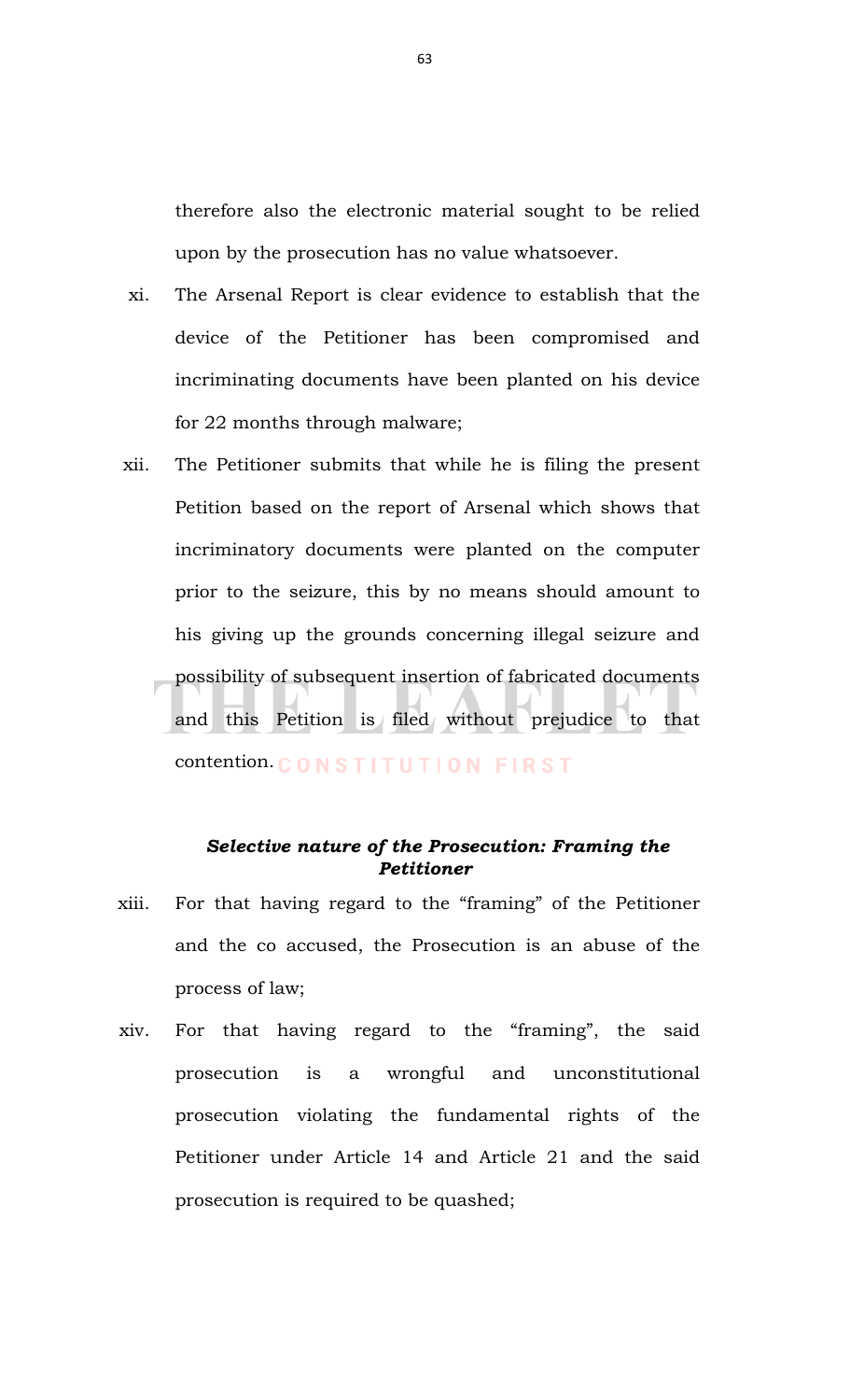therefore also the electronic material sought to be relied upon by the prosecution has no value whatsoever.

- xi. The Arsenal Report is clear evidence to establish that the device of the Petitioner has been compromised and incriminating documents have been planted on his device for 22 months through malware;
- xii. The Petitioner submits that while he is filing the present Petition based on the report of Arsenal which shows that incriminatory documents were planted on the computer prior to the seizure, this by no means should amount to his giving up the grounds concerning illegal seizure and possibility of subsequent insertion of fabricated documents and this Petition is filed without prejudice to that contention. CONSTITUTION FIRST

# *Selective nature of the Prosecution: Framing the Petitioner*

- xiii. For that having regard to the "framing" of the Petitioner and the co accused, the Prosecution is an abuse of the process of law;
- xiv. For that having regard to the "framing", the said prosecution is a wrongful and unconstitutional prosecution violating the fundamental rights of the Petitioner under Article 14 and Article 21 and the said prosecution is required to be quashed;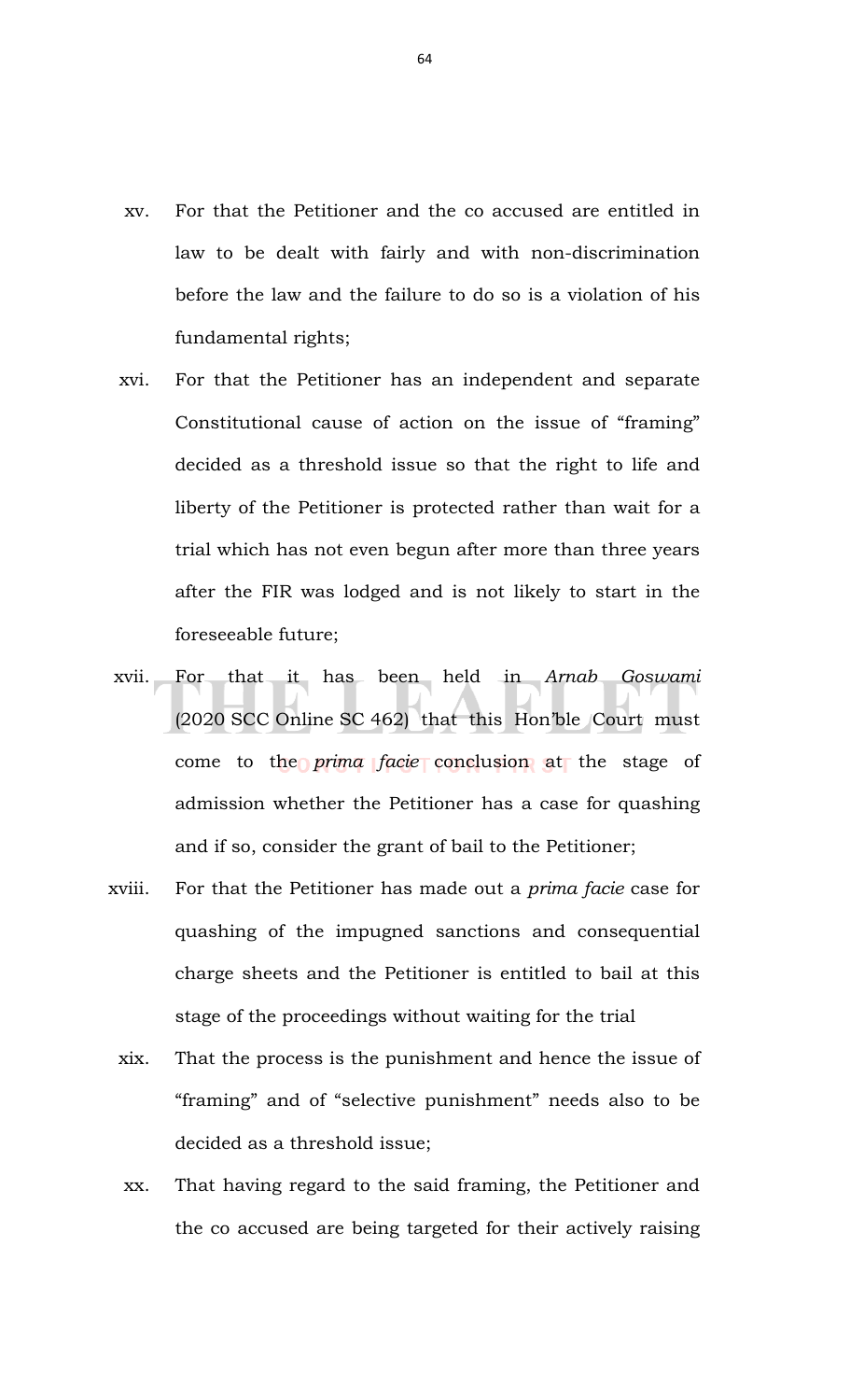- xv. For that the Petitioner and the co accused are entitled in law to be dealt with fairly and with non-discrimination before the law and the failure to do so is a violation of his fundamental rights;
- xvi. For that the Petitioner has an independent and separate Constitutional cause of action on the issue of "framing" decided as a threshold issue so that the right to life and liberty of the Petitioner is protected rather than wait for a trial which has not even begun after more than three years after the FIR was lodged and is not likely to start in the foreseeable future;
- xvii. For that it has been held in *Arnab Goswami* (2020 SCC Online SC 462) that this Hon'ble Court must come to the *prima facie* conclusion at the stage of admission whether the Petitioner has a case for quashing and if so, consider the grant of bail to the Petitioner;
- xviii. For that the Petitioner has made out a *prima facie* case for quashing of the impugned sanctions and consequential charge sheets and the Petitioner is entitled to bail at this stage of the proceedings without waiting for the trial
	- xix. That the process is the punishment and hence the issue of "framing" and of "selective punishment" needs also to be decided as a threshold issue;
	- xx. That having regard to the said framing, the Petitioner and the co accused are being targeted for their actively raising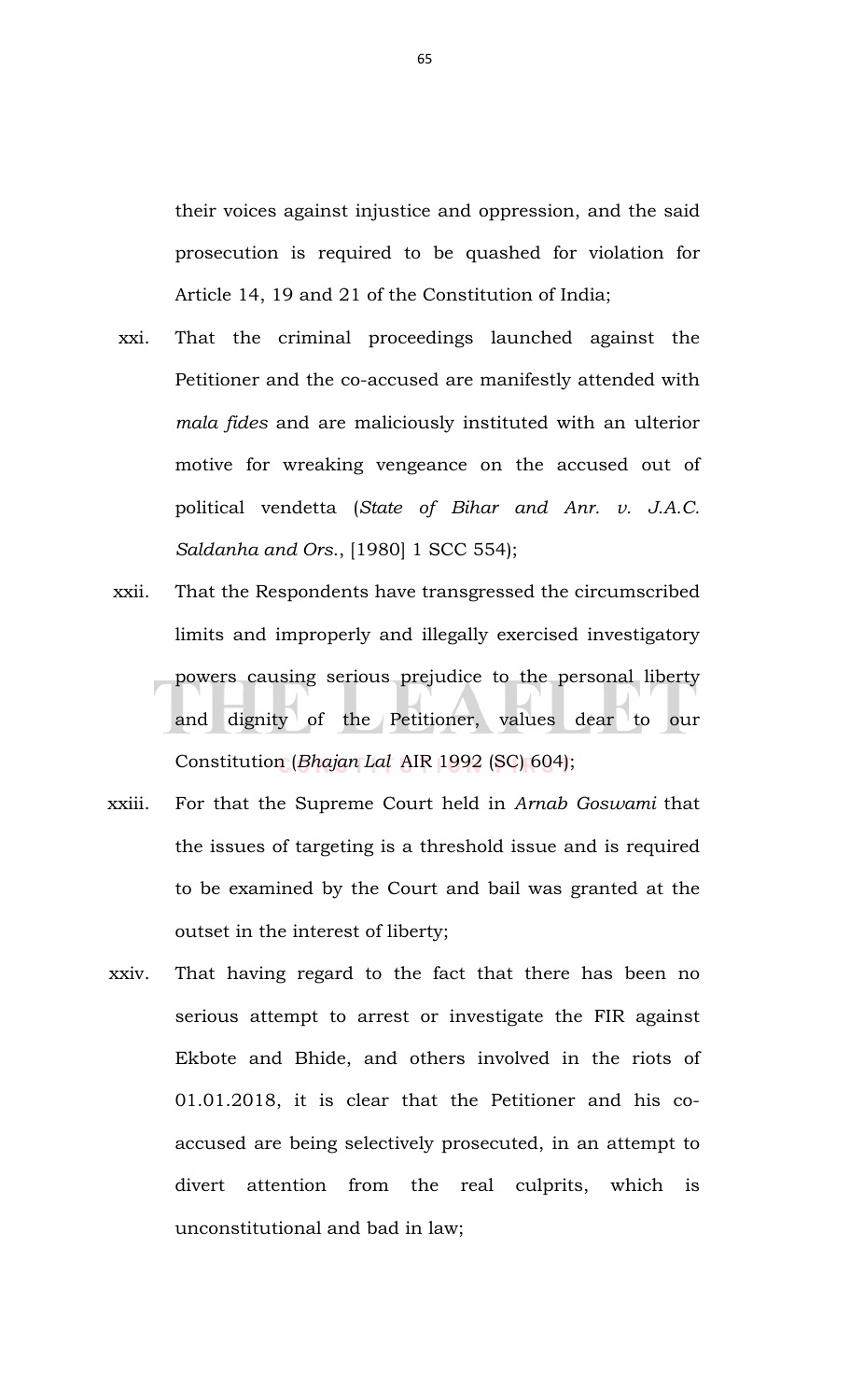their voices against injustice and oppression, and the said prosecution is required to be quashed for violation for Article 14, 19 and 21 of the Constitution of India;

- xxi. That the criminal proceedings launched against the Petitioner and the co-accused are manifestly attended with *mala fides* and are maliciously instituted with an ulterior motive for wreaking vengeance on the accused out of political vendetta (*State of Bihar and Anr. v. J.A.C. Saldanha and Ors*., [1980] 1 SCC 554);
- xxii. That the Respondents have transgressed the circumscribed limits and improperly and illegally exercised investigatory powers causing serious prejudice to the personal liberty and dignity of the Petitioner, values dear to our Constitution (*Bhajan Lal* AIR 1992 (SC) 604);
- xxiii. For that the Supreme Court held in *Arnab Goswami* that the issues of targeting is a threshold issue and is required to be examined by the Court and bail was granted at the outset in the interest of liberty;
- xxiv. That having regard to the fact that there has been no serious attempt to arrest or investigate the FIR against Ekbote and Bhide, and others involved in the riots of 01.01.2018, it is clear that the Petitioner and his coaccused are being selectively prosecuted, in an attempt to divert attention from the real culprits, which is unconstitutional and bad in law;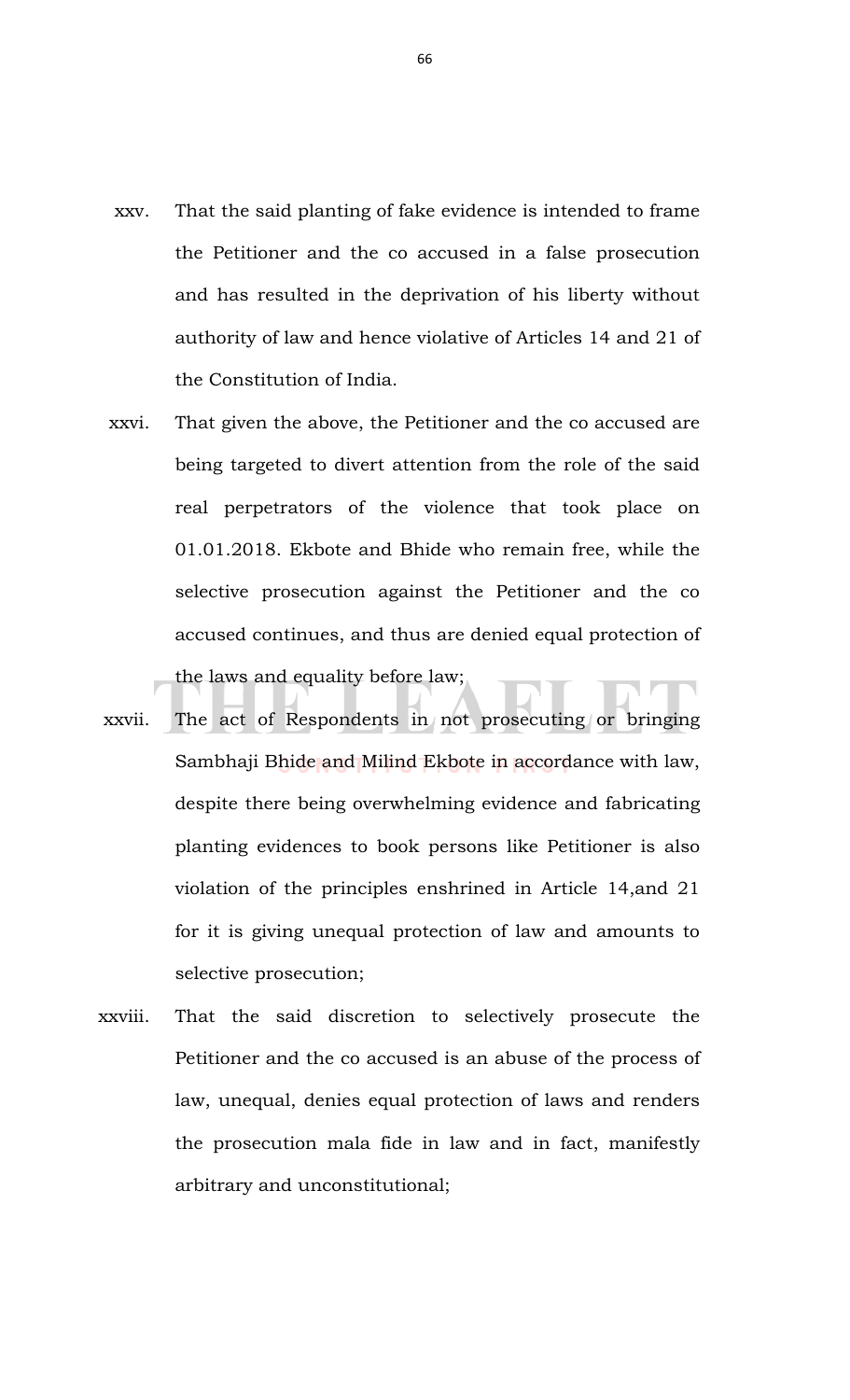- xxv. That the said planting of fake evidence is intended to frame the Petitioner and the co accused in a false prosecution and has resulted in the deprivation of his liberty without authority of law and hence violative of Articles 14 and 21 of the Constitution of India.
- xxvi. That given the above, the Petitioner and the co accused are being targeted to divert attention from the role of the said real perpetrators of the violence that took place on 01.01.2018. Ekbote and Bhide who remain free, while the selective prosecution against the Petitioner and the co accused continues, and thus are denied equal protection of the laws and equality before law;
- xxvii. The act of Respondents in not prosecuting or bringing Sambhaji Bhide and Milind Ekbote in accordance with law, despite there being overwhelming evidence and fabricating planting evidences to book persons like Petitioner is also violation of the principles enshrined in Article 14,and 21 for it is giving unequal protection of law and amounts to selective prosecution;
- xxviii. That the said discretion to selectively prosecute the Petitioner and the co accused is an abuse of the process of law, unequal, denies equal protection of laws and renders the prosecution mala fide in law and in fact, manifestly arbitrary and unconstitutional;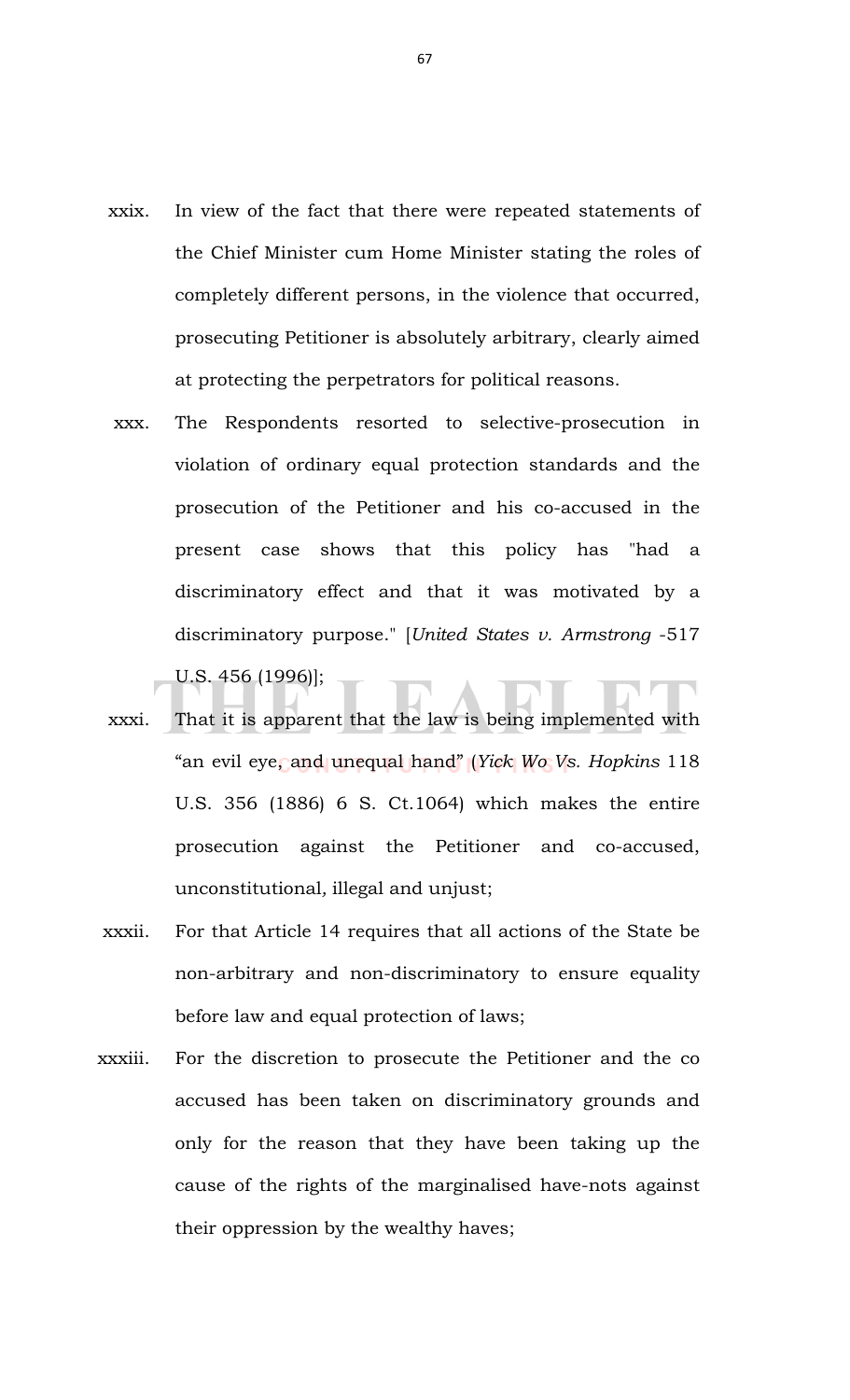- xxix. In view of the fact that there were repeated statements of the Chief Minister cum Home Minister stating the roles of completely different persons, in the violence that occurred, prosecuting Petitioner is absolutely arbitrary, clearly aimed at protecting the perpetrators for political reasons.
- xxx. The Respondents resorted to selective-prosecution in violation of ordinary equal protection standards and the prosecution of the Petitioner and his co-accused in the present case shows that this policy has "had a discriminatory effect and that it was motivated by a discriminatory purpose." [*United States v. Armstrong* -517 U.S. 456 (1996)];
- xxxi. That it is apparent that the law is being implemented with "an evil eye, and unequal hand" (*Yick Wo Vs. Hopkins* 118 U.S. 356 (1886) 6 S. Ct.1064) which makes the entire prosecution against the Petitioner and co-accused, unconstitutional*,* illegal and unjust;
- xxxii. For that Article 14 requires that all actions of the State be non-arbitrary and non-discriminatory to ensure equality before law and equal protection of laws;
- xxxiii. For the discretion to prosecute the Petitioner and the co accused has been taken on discriminatory grounds and only for the reason that they have been taking up the cause of the rights of the marginalised have-nots against their oppression by the wealthy haves;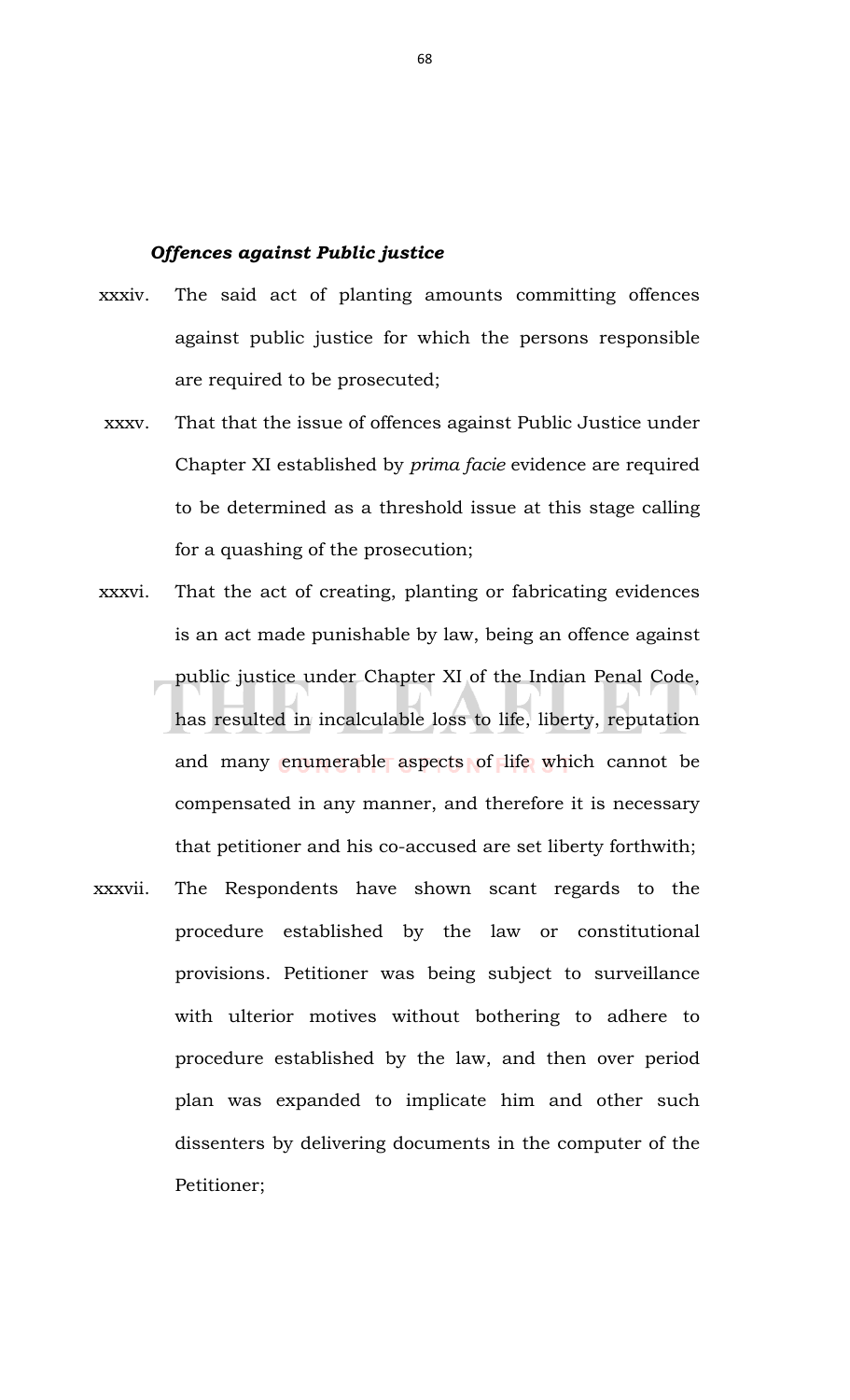## *Offences against Public justice*

- xxxiv. The said act of planting amounts committing offences against public justice for which the persons responsible are required to be prosecuted;
- xxxv. That that the issue of offences against Public Justice under Chapter XI established by *prima facie* evidence are required to be determined as a threshold issue at this stage calling for a quashing of the prosecution;
- xxxvi. That the act of creating, planting or fabricating evidences is an act made punishable by law, being an offence against public justice under Chapter XI of the Indian Penal Code, has resulted in incalculable loss to life, liberty, reputation and many enumerable aspects of life which cannot be compensated in any manner, and therefore it is necessary that petitioner and his co-accused are set liberty forthwith;
- xxxvii. The Respondents have shown scant regards to the procedure established by the law or constitutional provisions. Petitioner was being subject to surveillance with ulterior motives without bothering to adhere to procedure established by the law, and then over period plan was expanded to implicate him and other such dissenters by delivering documents in the computer of the Petitioner;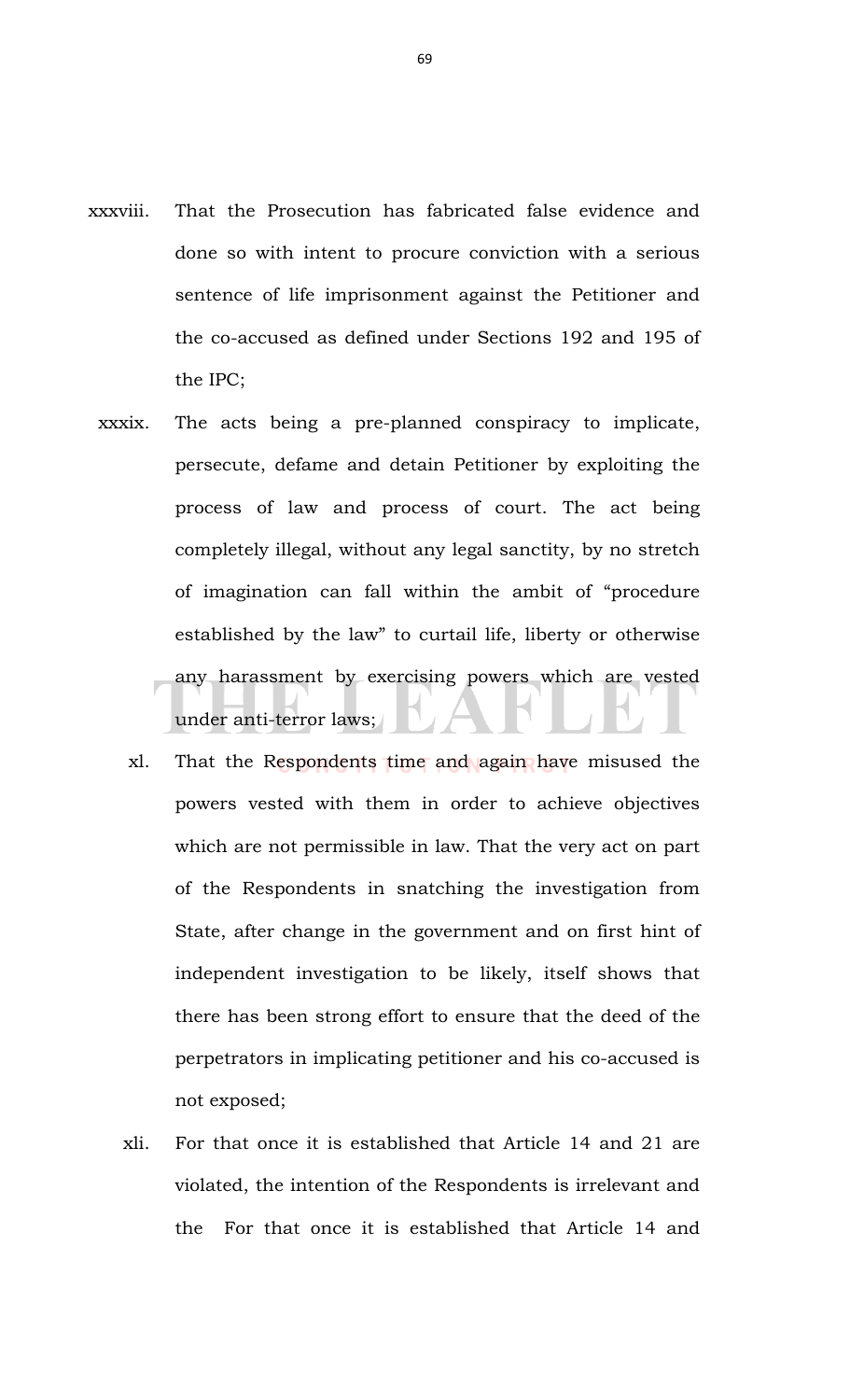- xxxviii. That the Prosecution has fabricated false evidence and done so with intent to procure conviction with a serious sentence of life imprisonment against the Petitioner and the co-accused as defined under Sections 192 and 195 of the IPC;
	- xxxix. The acts being a pre-planned conspiracy to implicate, persecute, defame and detain Petitioner by exploiting the process of law and process of court. The act being completely illegal, without any legal sanctity, by no stretch of imagination can fall within the ambit of "procedure established by the law" to curtail life, liberty or otherwise any harassment by exercising powers which are vested under anti-terror laws;
		- xl. That the Respondents time and again have misused the powers vested with them in order to achieve objectives which are not permissible in law. That the very act on part of the Respondents in snatching the investigation from State, after change in the government and on first hint of independent investigation to be likely, itself shows that there has been strong effort to ensure that the deed of the perpetrators in implicating petitioner and his co-accused is not exposed;
		- xli. For that once it is established that Article 14 and 21 are violated, the intention of the Respondents is irrelevant and the For that once it is established that Article 14 and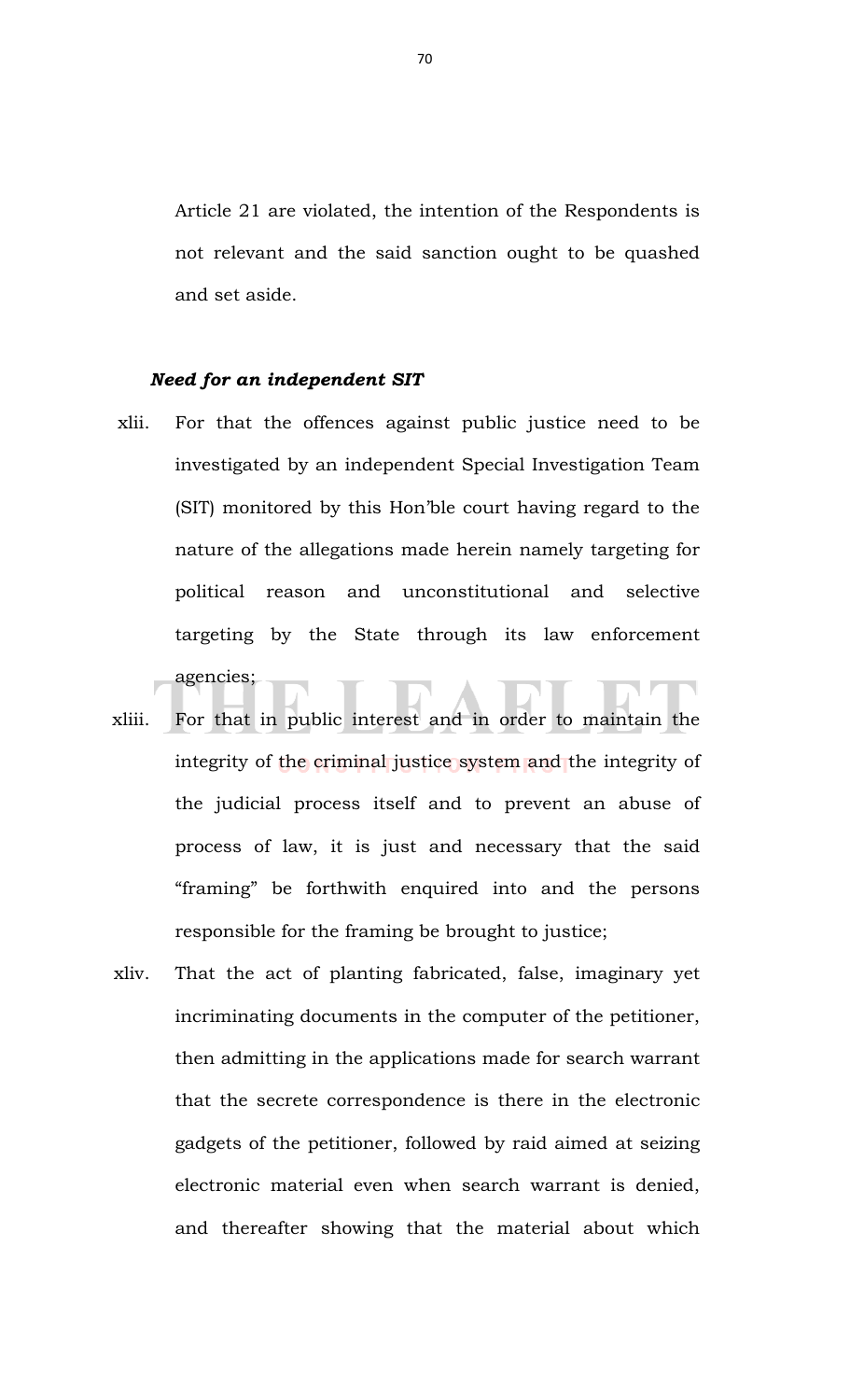Article 21 are violated, the intention of the Respondents is not relevant and the said sanction ought to be quashed and set aside.

## *Need for an independent SIT*

- xlii. For that the offences against public justice need to be investigated by an independent Special Investigation Team (SIT) monitored by this Hon'ble court having regard to the nature of the allegations made herein namely targeting for political reason and unconstitutional and selective targeting by the State through its law enforcement agencies;
- xliii. For that in public interest and in order to maintain the integrity of the criminal justice system and the integrity of the judicial process itself and to prevent an abuse of process of law, it is just and necessary that the said "framing" be forthwith enquired into and the persons responsible for the framing be brought to justice;
- xliv. That the act of planting fabricated, false, imaginary yet incriminating documents in the computer of the petitioner, then admitting in the applications made for search warrant that the secrete correspondence is there in the electronic gadgets of the petitioner, followed by raid aimed at seizing electronic material even when search warrant is denied, and thereafter showing that the material about which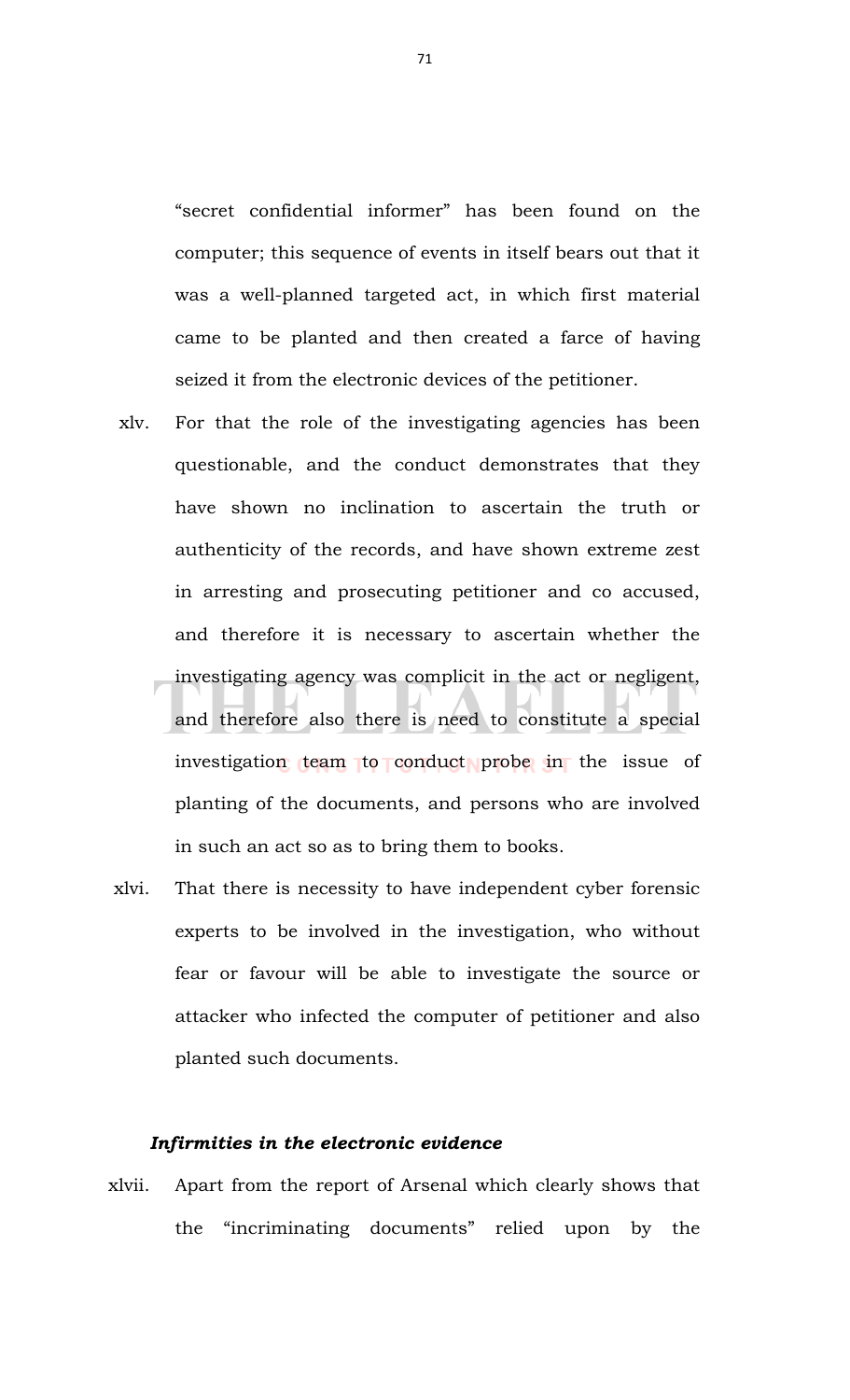"secret confidential informer" has been found on the computer; this sequence of events in itself bears out that it was a well-planned targeted act, in which first material came to be planted and then created a farce of having seized it from the electronic devices of the petitioner.

- xlv. For that the role of the investigating agencies has been questionable, and the conduct demonstrates that they have shown no inclination to ascertain the truth or authenticity of the records, and have shown extreme zest in arresting and prosecuting petitioner and co accused, and therefore it is necessary to ascertain whether the investigating agency was complicit in the act or negligent, and therefore also there is need to constitute a special investigation team to conduct probe in the issue of planting of the documents, and persons who are involved in such an act so as to bring them to books.
- xlvi. That there is necessity to have independent cyber forensic experts to be involved in the investigation, who without fear or favour will be able to investigate the source or attacker who infected the computer of petitioner and also planted such documents.

## *Infirmities in the electronic evidence*

xlvii. Apart from the report of Arsenal which clearly shows that the "incriminating documents" relied upon by the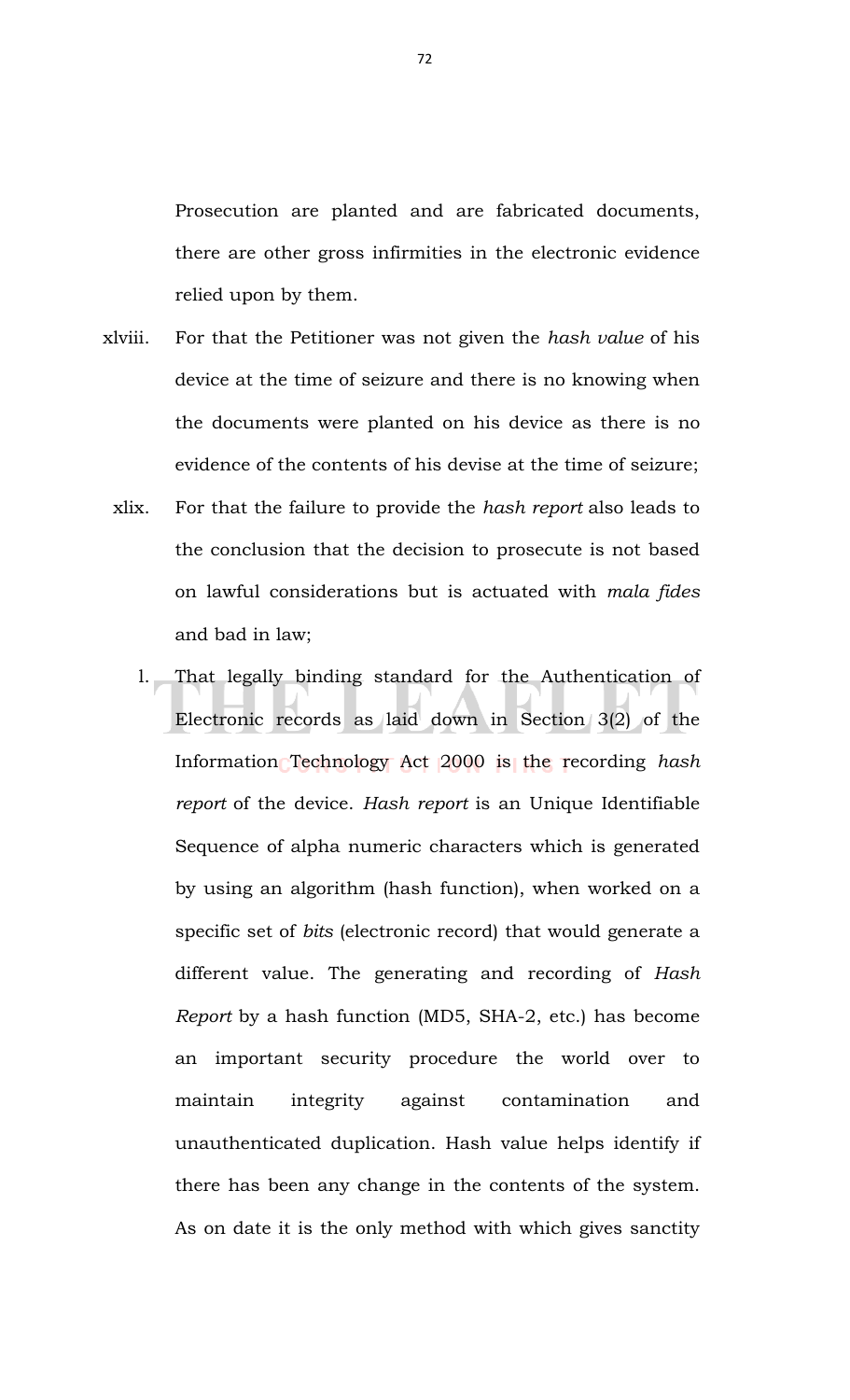Prosecution are planted and are fabricated documents, there are other gross infirmities in the electronic evidence relied upon by them.

- xlviii. For that the Petitioner was not given the *hash value* of his device at the time of seizure and there is no knowing when the documents were planted on his device as there is no evidence of the contents of his devise at the time of seizure;
	- xlix. For that the failure to provide the *hash report* also leads to the conclusion that the decision to prosecute is not based on lawful considerations but is actuated with *mala fides* and bad in law;
		- l. That legally binding standard for the Authentication of Electronic records as laid down in Section 3(2) of the Information Technology Act 2000 is the recording *hash report* of the device. *Hash report* is an Unique Identifiable Sequence of alpha numeric characters which is generated by using an algorithm (hash function), when worked on a specific set of *bits* (electronic record) that would generate a different value. The generating and recording of *Hash Report* by a hash function (MD5, SHA-2, etc.) has become an important security procedure the world over to maintain integrity against contamination and unauthenticated duplication. Hash value helps identify if there has been any change in the contents of the system. As on date it is the only method with which gives sanctity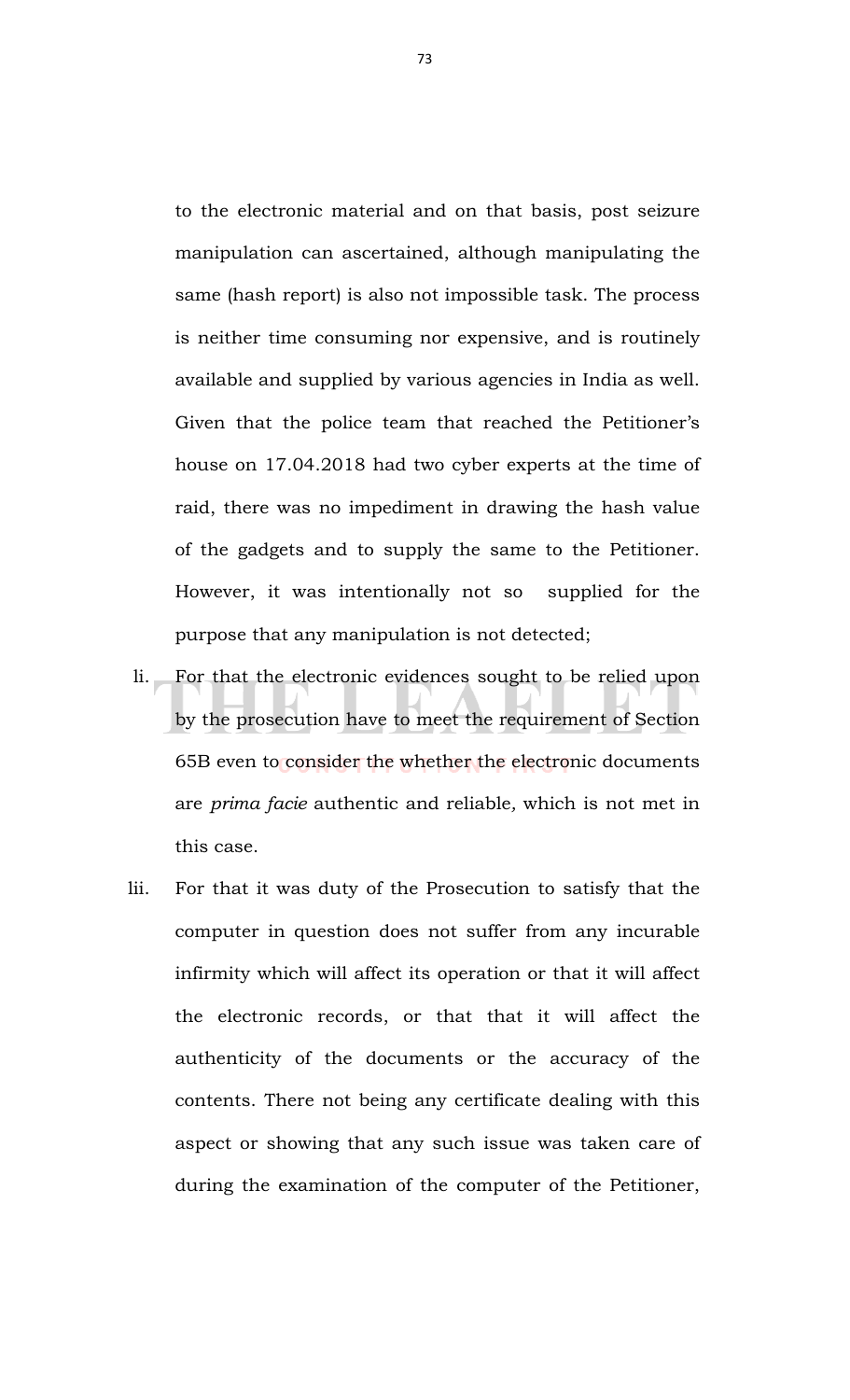to the electronic material and on that basis, post seizure manipulation can ascertained, although manipulating the same (hash report) is also not impossible task. The process is neither time consuming nor expensive, and is routinely available and supplied by various agencies in India as well. Given that the police team that reached the Petitioner's house on 17.04.2018 had two cyber experts at the time of raid, there was no impediment in drawing the hash value of the gadgets and to supply the same to the Petitioner. However, it was intentionally not so supplied for the purpose that any manipulation is not detected;

- li. For that the electronic evidences sought to be relied upon by the prosecution have to meet the requirement of Section 65B even to consider the whether the electronic documents are *prima facie* authentic and reliable*,* which is not met in this case.
- lii. For that it was duty of the Prosecution to satisfy that the computer in question does not suffer from any incurable infirmity which will affect its operation or that it will affect the electronic records, or that that it will affect the authenticity of the documents or the accuracy of the contents. There not being any certificate dealing with this aspect or showing that any such issue was taken care of during the examination of the computer of the Petitioner,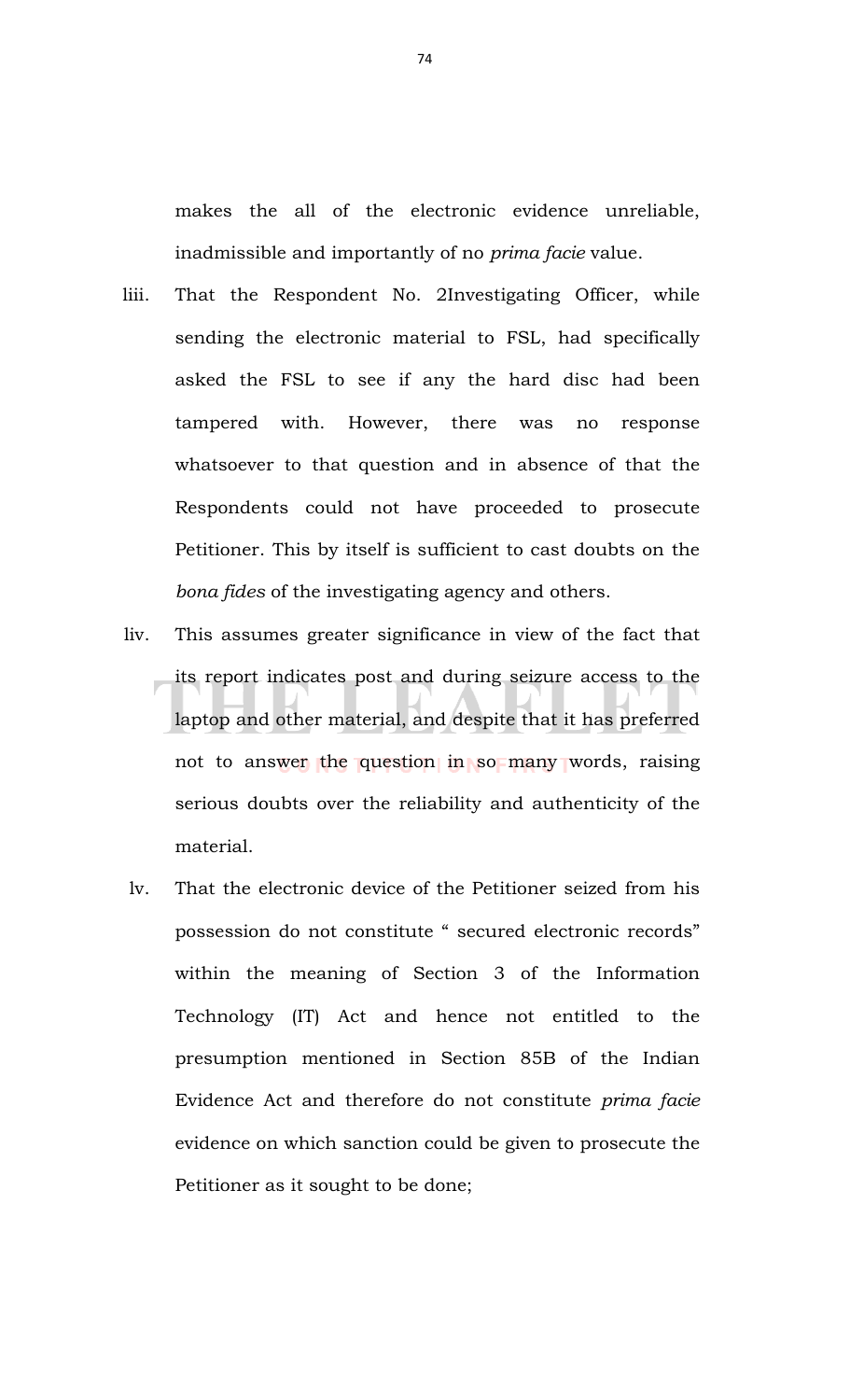makes the all of the electronic evidence unreliable, inadmissible and importantly of no *prima facie* value.

- liii. That the Respondent No. 2Investigating Officer, while sending the electronic material to FSL, had specifically asked the FSL to see if any the hard disc had been tampered with. However, there was no response whatsoever to that question and in absence of that the Respondents could not have proceeded to prosecute Petitioner. This by itself is sufficient to cast doubts on the *bona fides* of the investigating agency and others.
- liv. This assumes greater significance in view of the fact that its report indicates post and during seizure access to the laptop and other material, and despite that it has preferred not to answer the question in so many words, raising serious doubts over the reliability and authenticity of the material.
- lv. That the electronic device of the Petitioner seized from his possession do not constitute " secured electronic records" within the meaning of Section 3 of the Information Technology (IT) Act and hence not entitled to the presumption mentioned in Section 85B of the Indian Evidence Act and therefore do not constitute *prima facie* evidence on which sanction could be given to prosecute the Petitioner as it sought to be done;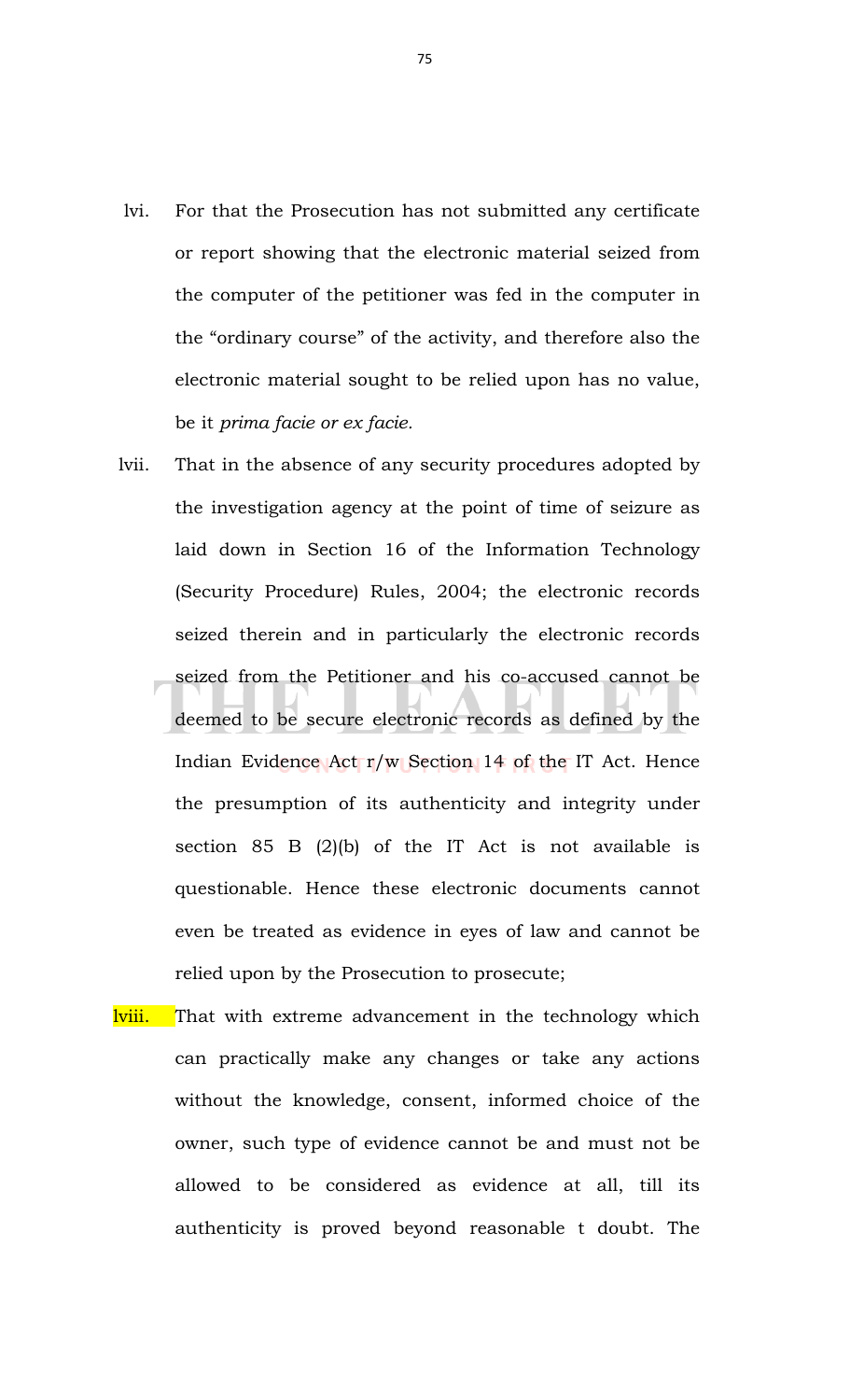- lvi. For that the Prosecution has not submitted any certificate or report showing that the electronic material seized from the computer of the petitioner was fed in the computer in the "ordinary course" of the activity, and therefore also the electronic material sought to be relied upon has no value, be it *prima facie or ex facie.*
- lvii. That in the absence of any security procedures adopted by the investigation agency at the point of time of seizure as laid down in Section 16 of the Information Technology (Security Procedure) Rules, 2004; the electronic records seized therein and in particularly the electronic records seized from the Petitioner and his co-accused cannot be deemed to be secure electronic records as defined by the Indian Evidence Act r/w Section 14 of the IT Act. Hence the presumption of its authenticity and integrity under section 85 B (2)(b) of the IT Act is not available is questionable. Hence these electronic documents cannot even be treated as evidence in eyes of law and cannot be relied upon by the Prosecution to prosecute;
- lviii. That with extreme advancement in the technology which can practically make any changes or take any actions without the knowledge, consent, informed choice of the owner, such type of evidence cannot be and must not be allowed to be considered as evidence at all, till its authenticity is proved beyond reasonable t doubt. The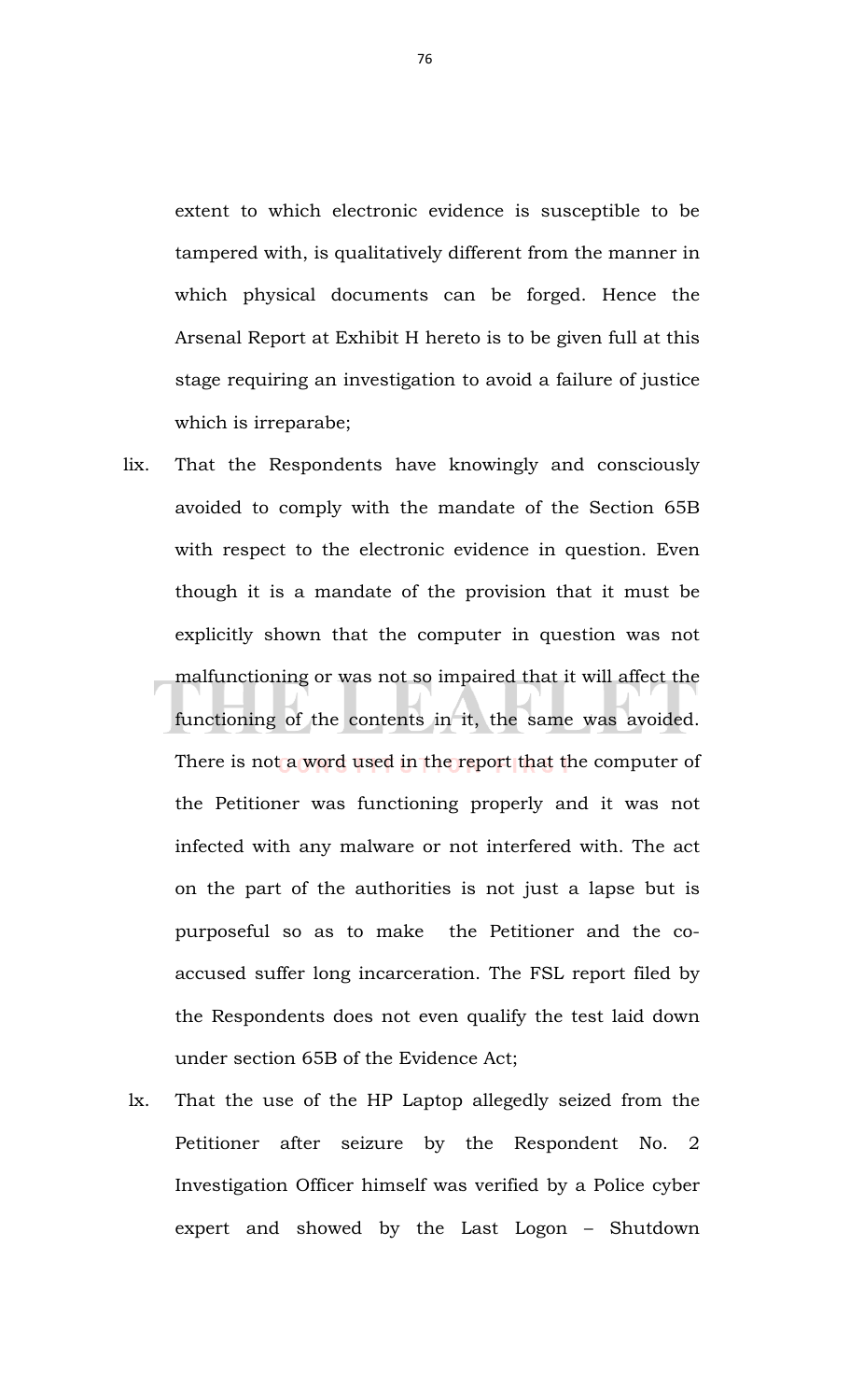extent to which electronic evidence is susceptible to be tampered with, is qualitatively different from the manner in which physical documents can be forged. Hence the Arsenal Report at Exhibit H hereto is to be given full at this stage requiring an investigation to avoid a failure of justice which is irreparabe;

- lix. That the Respondents have knowingly and consciously avoided to comply with the mandate of the Section 65B with respect to the electronic evidence in question. Even though it is a mandate of the provision that it must be explicitly shown that the computer in question was not malfunctioning or was not so impaired that it will affect the functioning of the contents in it, the same was avoided. There is not a word used in the report that the computer of the Petitioner was functioning properly and it was not infected with any malware or not interfered with. The act on the part of the authorities is not just a lapse but is purposeful so as to make the Petitioner and the coaccused suffer long incarceration. The FSL report filed by the Respondents does not even qualify the test laid down under section 65B of the Evidence Act;
- lx. That the use of the HP Laptop allegedly seized from the Petitioner after seizure by the Respondent No. 2 Investigation Officer himself was verified by a Police cyber expert and showed by the Last Logon – Shutdown

76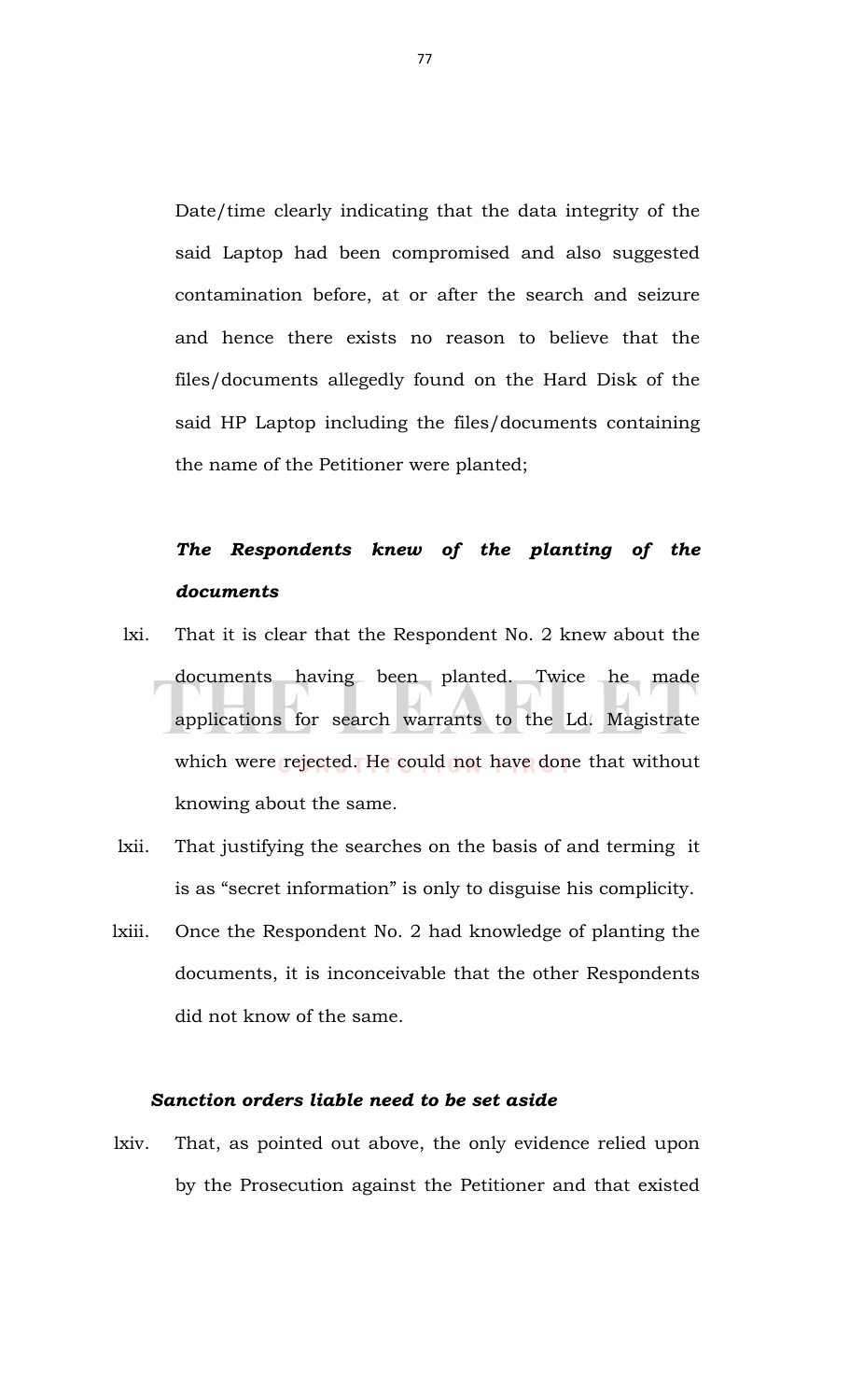Date/time clearly indicating that the data integrity of the said Laptop had been compromised and also suggested contamination before, at or after the search and seizure and hence there exists no reason to believe that the files/documents allegedly found on the Hard Disk of the said HP Laptop including the files/documents containing the name of the Petitioner were planted;

## *The Respondents knew of the planting of the documents*

- lxi. That it is clear that the Respondent No. 2 knew about the documents having been planted. Twice he made applications for search warrants to the Ld. Magistrate which were rejected. He could not have done that without knowing about the same.
- lxii. That justifying the searches on the basis of and terming it is as "secret information" is only to disguise his complicity.
- lxiii. Once the Respondent No. 2 had knowledge of planting the documents, it is inconceivable that the other Respondents did not know of the same.

## *Sanction orders liable need to be set aside*

lxiv. That, as pointed out above, the only evidence relied upon by the Prosecution against the Petitioner and that existed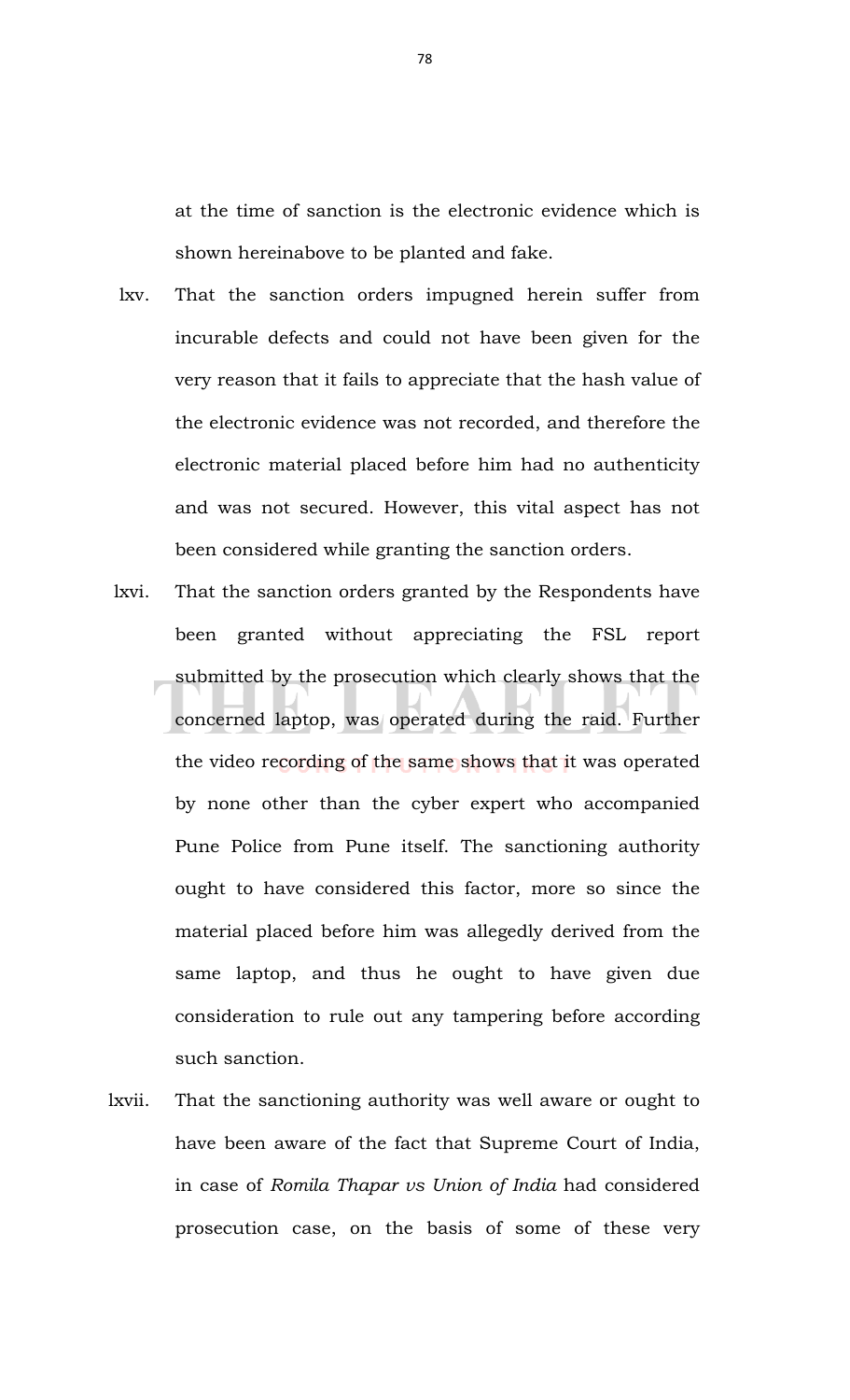at the time of sanction is the electronic evidence which is shown hereinabove to be planted and fake.

- lxv. That the sanction orders impugned herein suffer from incurable defects and could not have been given for the very reason that it fails to appreciate that the hash value of the electronic evidence was not recorded, and therefore the electronic material placed before him had no authenticity and was not secured. However, this vital aspect has not been considered while granting the sanction orders.
- lxvi. That the sanction orders granted by the Respondents have been granted without appreciating the FSL report submitted by the prosecution which clearly shows that the concerned laptop, was operated during the raid. Further the video recording of the same shows that it was operated by none other than the cyber expert who accompanied Pune Police from Pune itself. The sanctioning authority ought to have considered this factor, more so since the material placed before him was allegedly derived from the same laptop, and thus he ought to have given due consideration to rule out any tampering before according such sanction.
- lxvii. That the sanctioning authority was well aware or ought to have been aware of the fact that Supreme Court of India, in case of *Romila Thapar vs Union of India* had considered prosecution case, on the basis of some of these very

78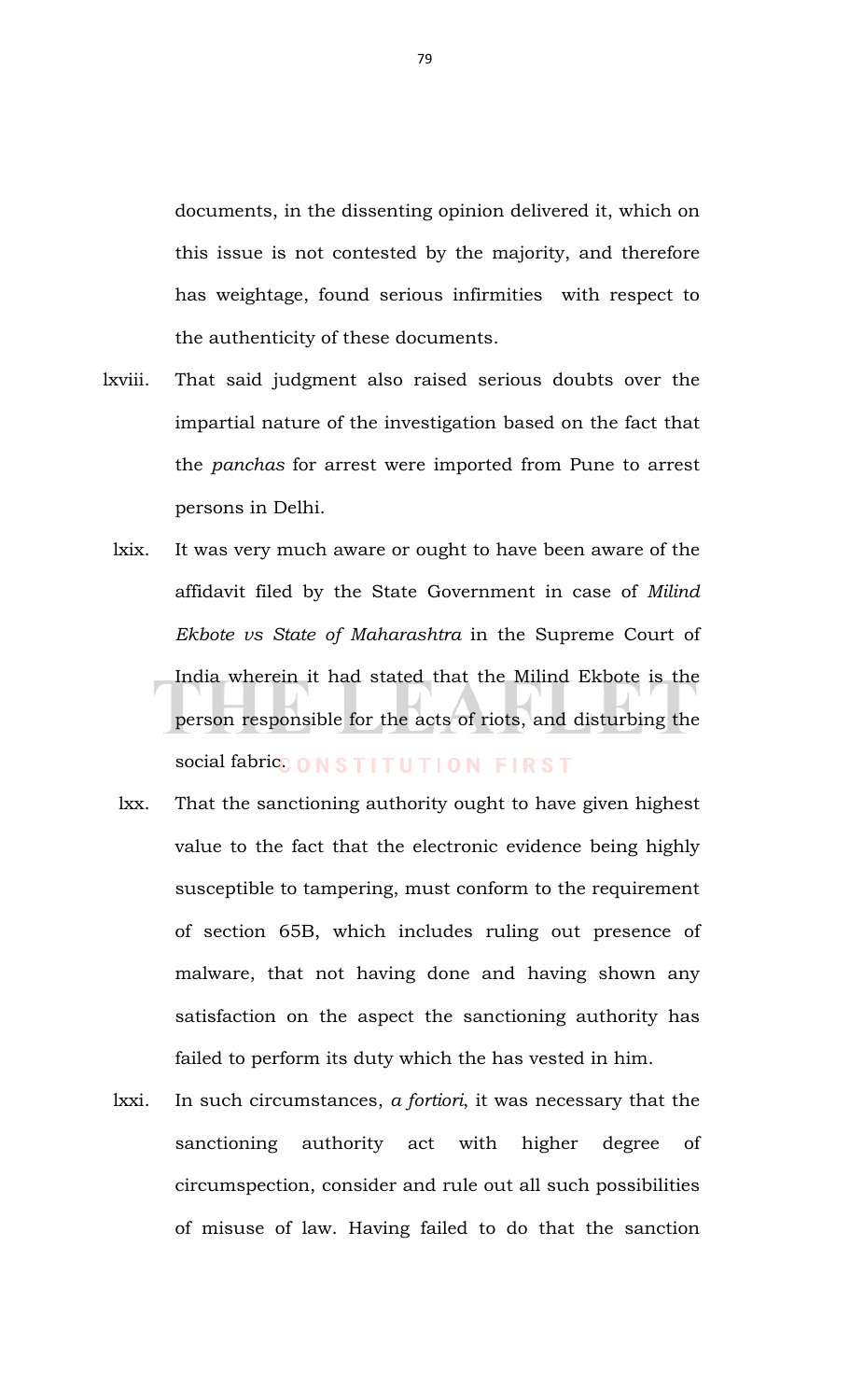documents, in the dissenting opinion delivered it, which on this issue is not contested by the majority, and therefore has weightage, found serious infirmities with respect to the authenticity of these documents.

- lxviii. That said judgment also raised serious doubts over the impartial nature of the investigation based on the fact that the *panchas* for arrest were imported from Pune to arrest persons in Delhi.
	- lxix. It was very much aware or ought to have been aware of the affidavit filed by the State Government in case of *Milind Ekbote vs State of Maharashtra* in the Supreme Court of India wherein it had stated that the Milind Ekbote is the person responsible for the acts of riots, and disturbing the social fabric. ONSTITUTION FIRST
	- lxx. That the sanctioning authority ought to have given highest value to the fact that the electronic evidence being highly susceptible to tampering, must conform to the requirement of section 65B, which includes ruling out presence of malware, that not having done and having shown any satisfaction on the aspect the sanctioning authority has failed to perform its duty which the has vested in him.
	- lxxi. In such circumstances, *a fortiori*, it was necessary that the sanctioning authority act with higher degree of circumspection, consider and rule out all such possibilities of misuse of law. Having failed to do that the sanction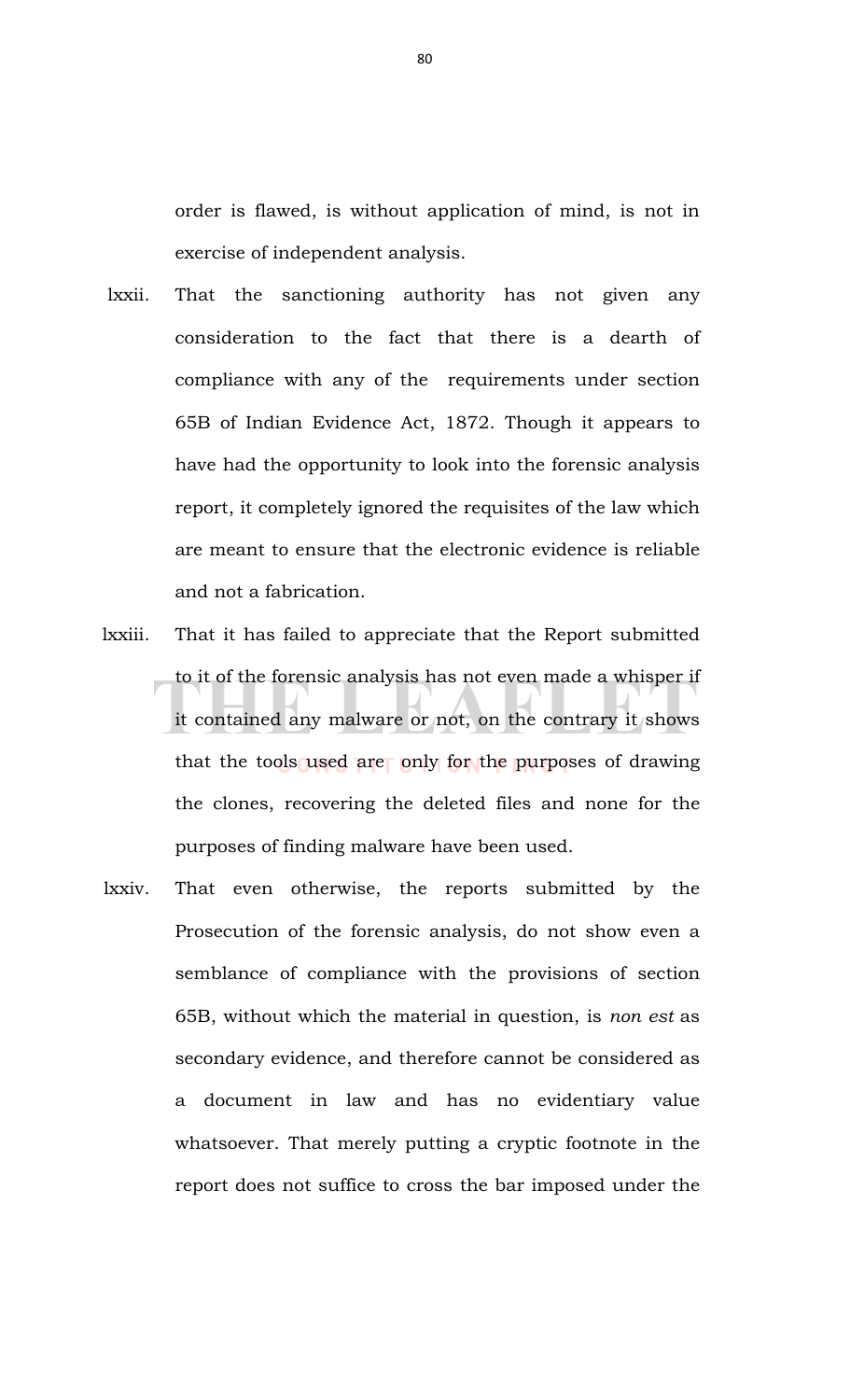order is flawed, is without application of mind, is not in exercise of independent analysis.

- lxxii. That the sanctioning authority has not given any consideration to the fact that there is a dearth of compliance with any of the requirements under section 65B of Indian Evidence Act, 1872. Though it appears to have had the opportunity to look into the forensic analysis report, it completely ignored the requisites of the law which are meant to ensure that the electronic evidence is reliable and not a fabrication.
- lxxiii. That it has failed to appreciate that the Report submitted to it of the forensic analysis has not even made a whisper if it contained any malware or not, on the contrary it shows that the tools used are only for the purposes of drawing the clones, recovering the deleted files and none for the purposes of finding malware have been used.
- lxxiv. That even otherwise, the reports submitted by the Prosecution of the forensic analysis, do not show even a semblance of compliance with the provisions of section 65B, without which the material in question, is *non est* as secondary evidence, and therefore cannot be considered as a document in law and has no evidentiary value whatsoever. That merely putting a cryptic footnote in the report does not suffice to cross the bar imposed under the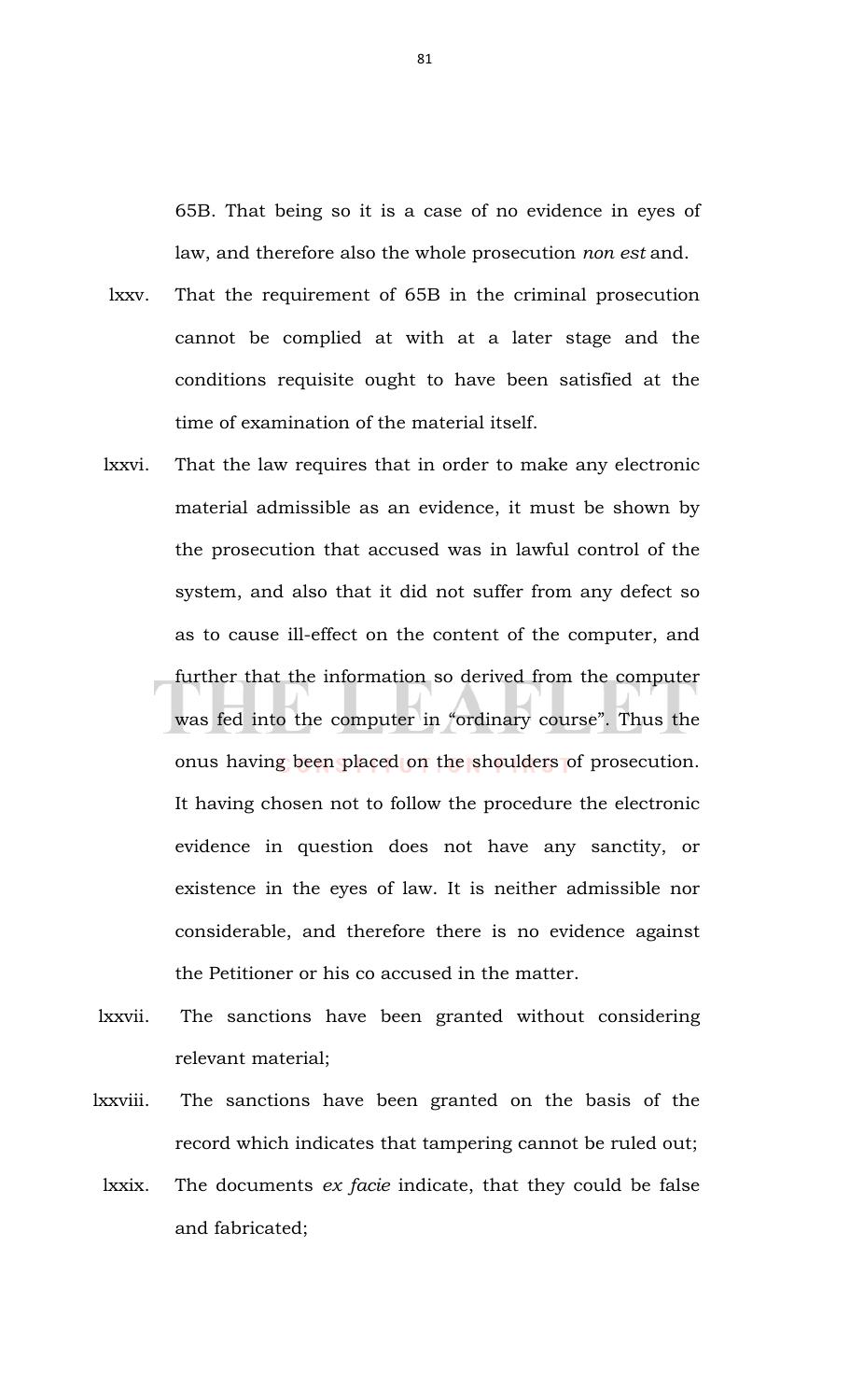65B. That being so it is a case of no evidence in eyes of law, and therefore also the whole prosecution *non est* and.

- lxxv. That the requirement of 65B in the criminal prosecution cannot be complied at with at a later stage and the conditions requisite ought to have been satisfied at the time of examination of the material itself.
- lxxvi. That the law requires that in order to make any electronic material admissible as an evidence, it must be shown by the prosecution that accused was in lawful control of the system, and also that it did not suffer from any defect so as to cause ill-effect on the content of the computer, and further that the information so derived from the computer was fed into the computer in "ordinary course". Thus the onus having been placed on the shoulders of prosecution. It having chosen not to follow the procedure the electronic evidence in question does not have any sanctity, or existence in the eyes of law. It is neither admissible nor considerable, and therefore there is no evidence against the Petitioner or his co accused in the matter.
- lxxvii. The sanctions have been granted without considering relevant material;
- lxxviii. The sanctions have been granted on the basis of the record which indicates that tampering cannot be ruled out;
- lxxix. The documents *ex facie* indicate, that they could be false and fabricated;

81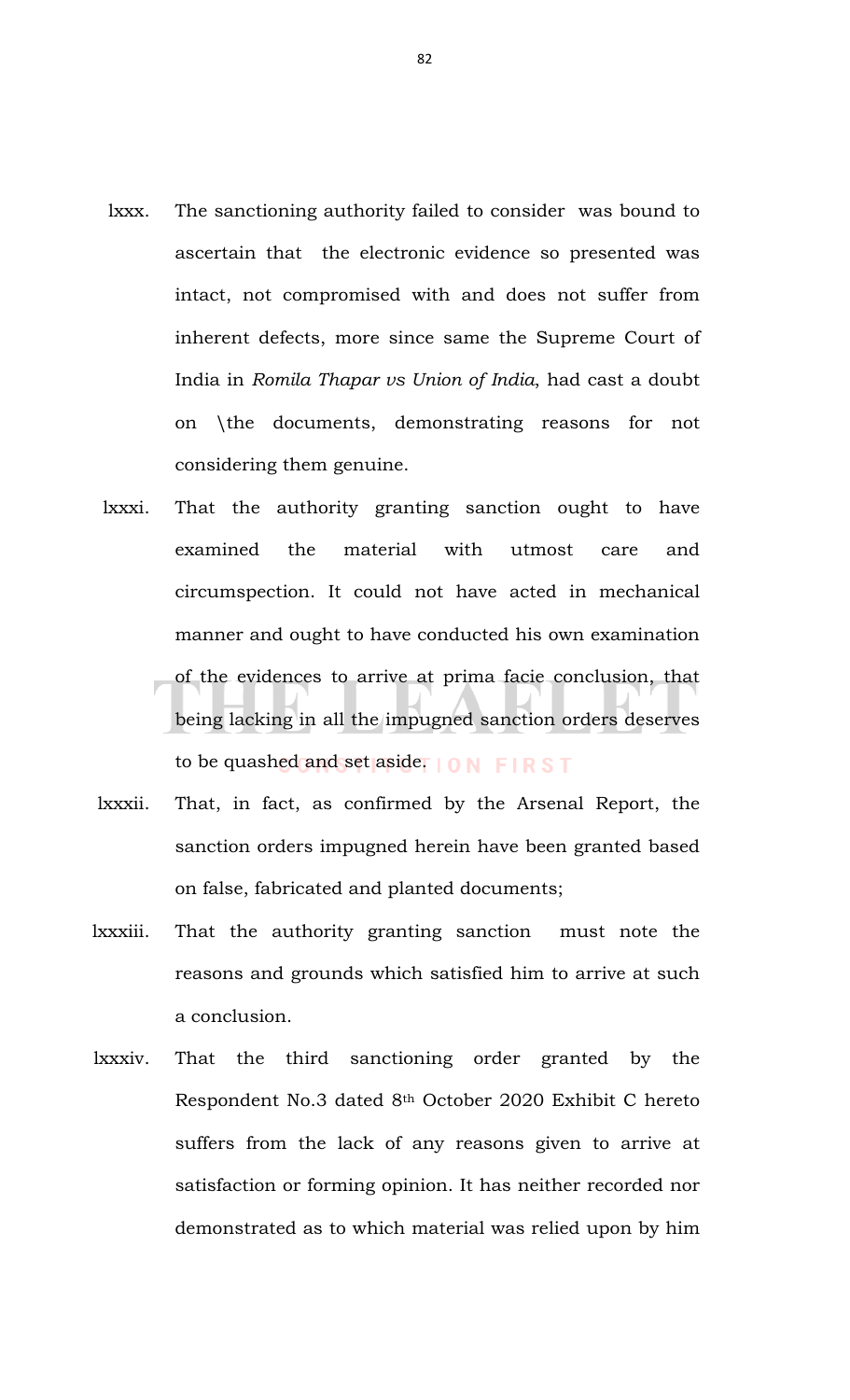- lxxx. The sanctioning authority failed to consider was bound to ascertain that the electronic evidence so presented was intact, not compromised with and does not suffer from inherent defects, more since same the Supreme Court of India in *Romila Thapar vs Union of India*, had cast a doubt on \the documents, demonstrating reasons for not considering them genuine.
- lxxxi. That the authority granting sanction ought to have examined the material with utmost care and circumspection. It could not have acted in mechanical manner and ought to have conducted his own examination of the evidences to arrive at prima facie conclusion, that being lacking in all the impugned sanction orders deserves to be quashed and set aside.
- lxxxii. That, in fact, as confirmed by the Arsenal Report, the sanction orders impugned herein have been granted based on false, fabricated and planted documents;
- lxxxiii. That the authority granting sanction must note the reasons and grounds which satisfied him to arrive at such a conclusion.
- lxxxiv. That the third sanctioning order granted by the Respondent No.3 dated 8th October 2020 Exhibit C hereto suffers from the lack of any reasons given to arrive at satisfaction or forming opinion. It has neither recorded nor demonstrated as to which material was relied upon by him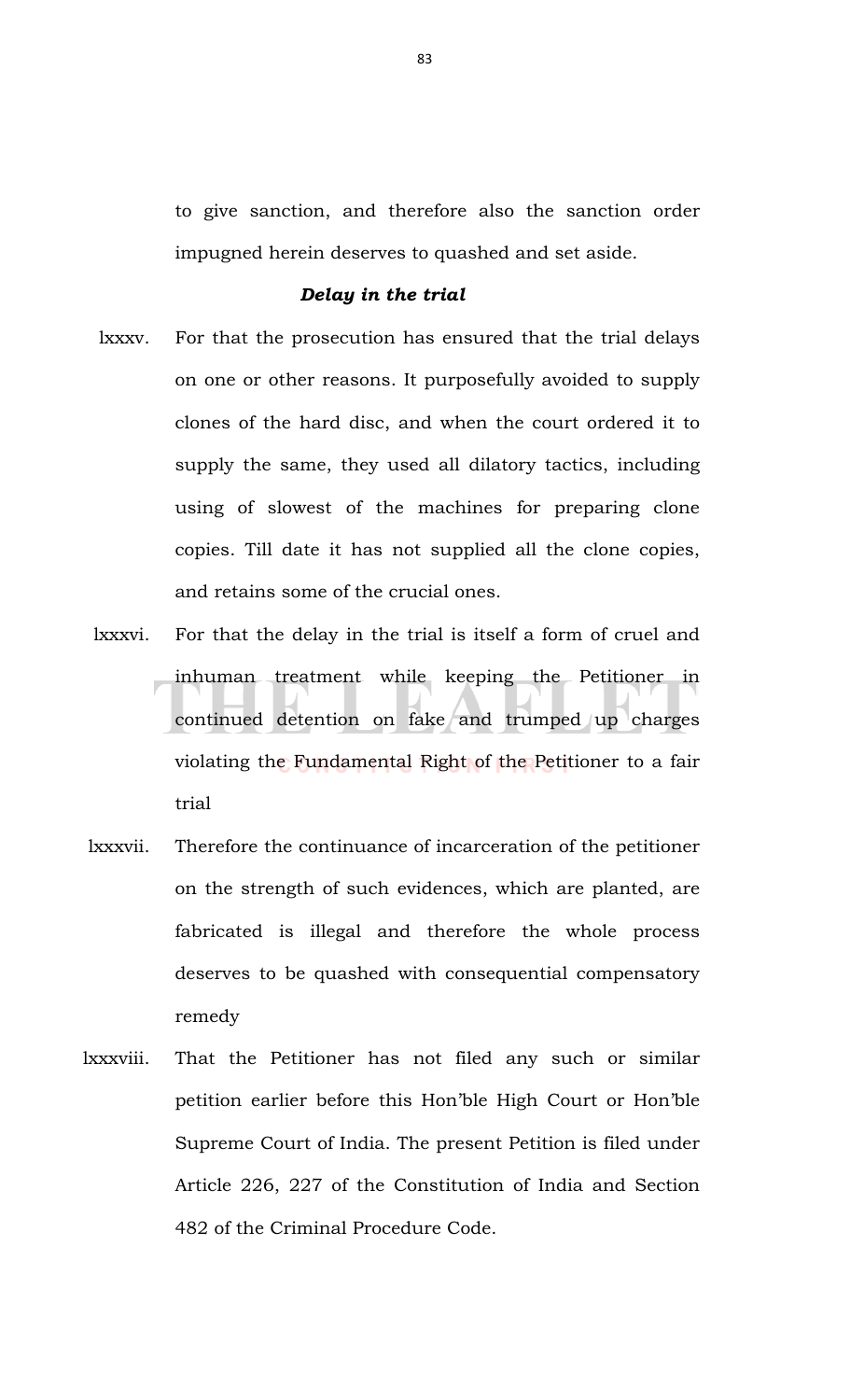to give sanction, and therefore also the sanction order impugned herein deserves to quashed and set aside.

## *Delay in the trial*

- lxxxv. For that the prosecution has ensured that the trial delays on one or other reasons. It purposefully avoided to supply clones of the hard disc, and when the court ordered it to supply the same, they used all dilatory tactics, including using of slowest of the machines for preparing clone copies. Till date it has not supplied all the clone copies, and retains some of the crucial ones.
- lxxxvi. For that the delay in the trial is itself a form of cruel and inhuman treatment while keeping the Petitioner in continued detention on fake and trumped up charges violating the Fundamental Right of the Petitioner to a fair trial
- lxxxvii. Therefore the continuance of incarceration of the petitioner on the strength of such evidences, which are planted, are fabricated is illegal and therefore the whole process deserves to be quashed with consequential compensatory remedy
- lxxxviii. That the Petitioner has not filed any such or similar petition earlier before this Hon'ble High Court or Hon'ble Supreme Court of India. The present Petition is filed under Article 226, 227 of the Constitution of India and Section 482 of the Criminal Procedure Code.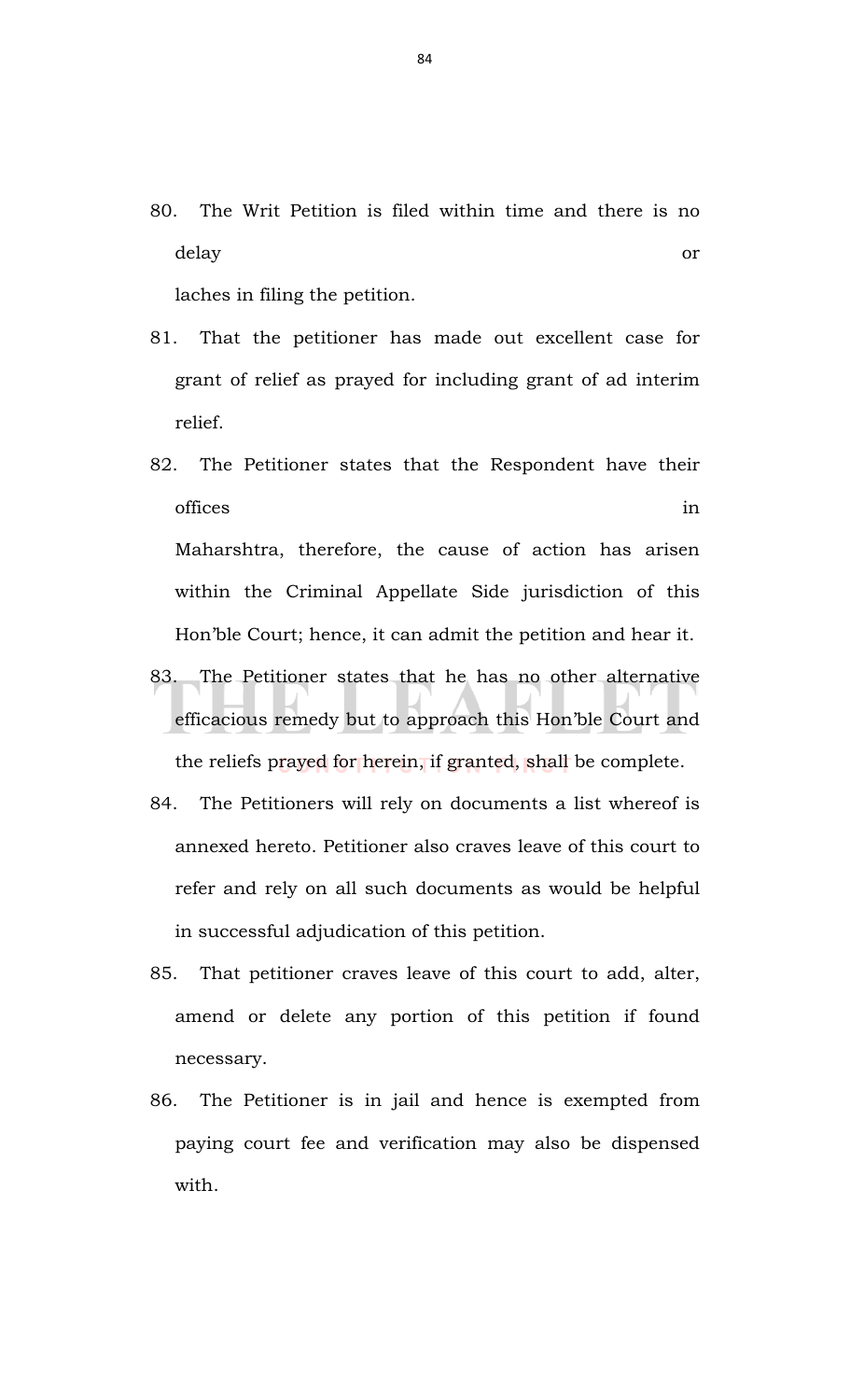80. The Writ Petition is filed within time and there is no delay or

laches in filing the petition.

- 81. That the petitioner has made out excellent case for grant of relief as prayed for including grant of ad interim relief.
- 82. The Petitioner states that the Respondent have their offices in the set of the set of the set of the set of the set of the set of the set of the set of the set of the set of the set of the set of the set of the set of the set of the set of the set of the set of the set of th Maharshtra, therefore, the cause of action has arisen within the Criminal Appellate Side jurisdiction of this Hon'ble Court; hence, it can admit the petition and hear it.
- 83. The Petitioner states that he has no other alternative efficacious remedy but to approach this Hon'ble Court and the reliefs prayed for herein, if granted, shall be complete.
- 84. The Petitioners will rely on documents a list whereof is annexed hereto. Petitioner also craves leave of this court to refer and rely on all such documents as would be helpful in successful adjudication of this petition.
- 85. That petitioner craves leave of this court to add, alter, amend or delete any portion of this petition if found necessary.
- 86. The Petitioner is in jail and hence is exempted from paying court fee and verification may also be dispensed with.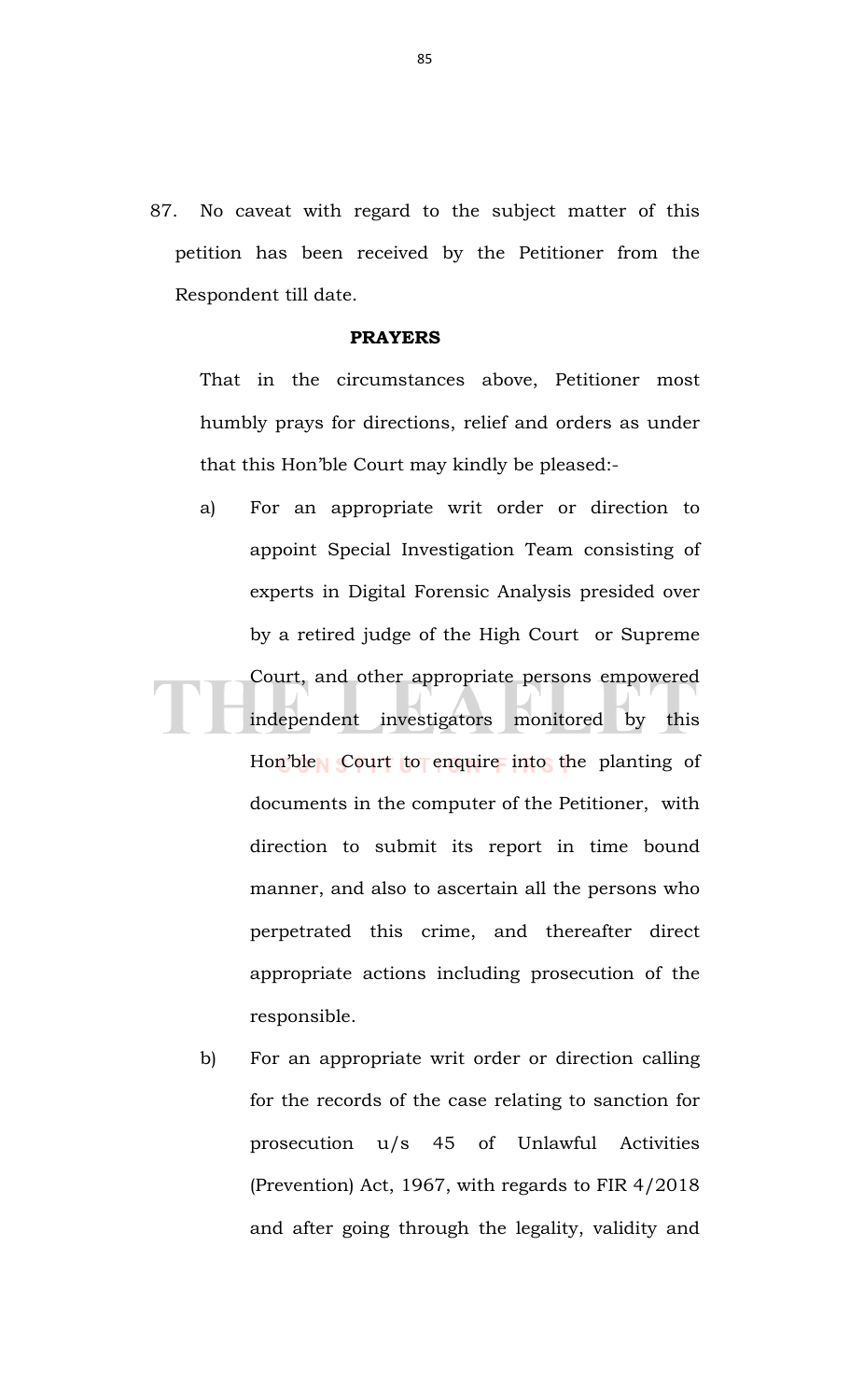87. No caveat with regard to the subject matter of this petition has been received by the Petitioner from the Respondent till date.

## **PRAYERS**

That in the circumstances above, Petitioner most humbly prays for directions, relief and orders as under that this Hon'ble Court may kindly be pleased:-

- a) For an appropriate writ order or direction to appoint Special Investigation Team consisting of experts in Digital Forensic Analysis presided over by a retired judge of the High Court or Supreme Court, and other appropriate persons empowered independent investigators monitored by this Hon'ble Court to enquire into the planting of documents in the computer of the Petitioner, with direction to submit its report in time bound manner, and also to ascertain all the persons who perpetrated this crime, and thereafter direct appropriate actions including prosecution of the responsible.
	- b) For an appropriate writ order or direction calling for the records of the case relating to sanction for prosecution u/s 45 of Unlawful Activities (Prevention) Act, 1967, with regards to FIR 4/2018 and after going through the legality, validity and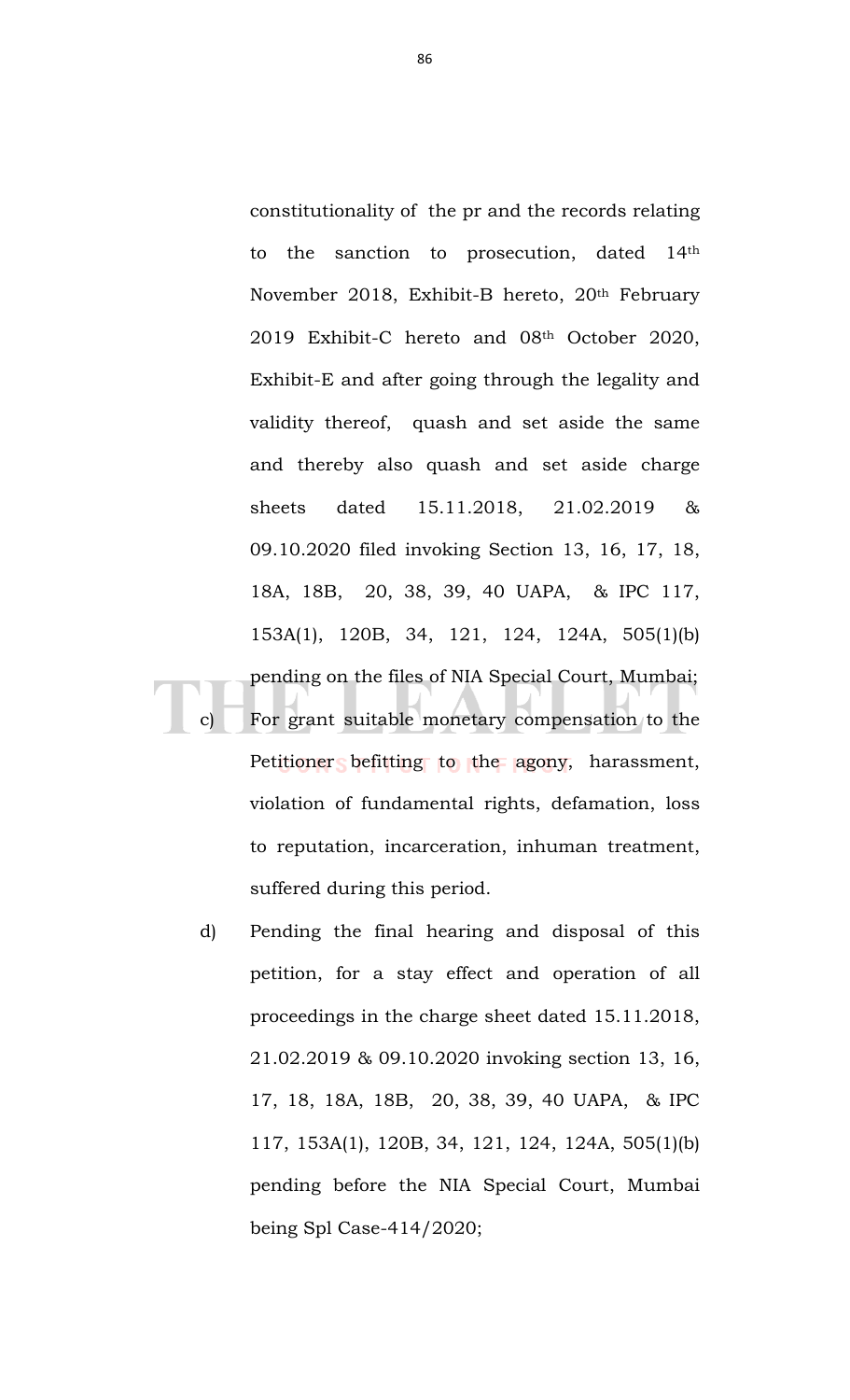constitutionality of the pr and the records relating to the sanction to prosecution, dated 14th November 2018, Exhibit-B hereto, 20th February 2019 Exhibit-C hereto and 08th October 2020, Exhibit-E and after going through the legality and validity thereof, quash and set aside the same and thereby also quash and set aside charge sheets dated 15.11.2018, 21.02.2019 & 09.10.2020 filed invoking Section 13, 16, 17, 18, 18A, 18B, 20, 38, 39, 40 UAPA, & IPC 117, 153A(1), 120B, 34, 121, 124, 124A, 505(1)(b) pending on the files of NIA Special Court, Mumbai; For grant suitable monetary compensation to the Petitioner befitting to the agony, harassment, violation of fundamental rights, defamation, loss to reputation, incarceration, inhuman treatment,

d) Pending the final hearing and disposal of this petition, for a stay effect and operation of all proceedings in the charge sheet dated 15.11.2018, 21.02.2019 & 09.10.2020 invoking section 13, 16, 17, 18, 18A, 18B, 20, 38, 39, 40 UAPA, & IPC 117, 153A(1), 120B, 34, 121, 124, 124A, 505(1)(b) pending before the NIA Special Court, Mumbai being Spl Case-414/2020;

suffered during this period.